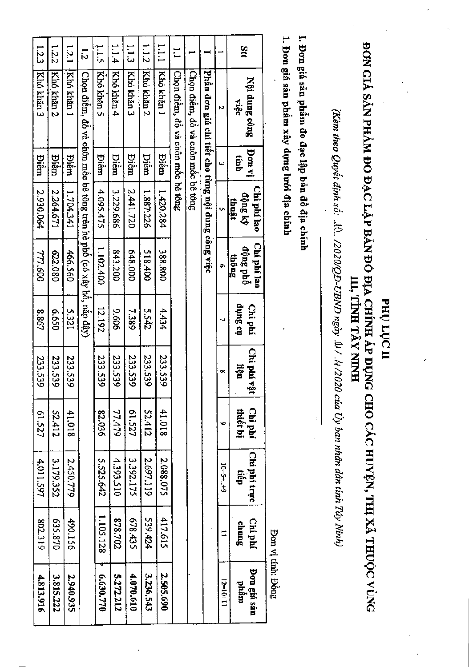| ăt                       | Nội dung công<br>việt                                              | iy nod<br>tính | Chi phí lao<br>thuật | Chi phí lao<br>dộng phố<br>$_{\rm th\hat{o}\text{ng}}$ | tio Sutip<br>Chi phí | Chi phí vật<br>ngn | Chi phí<br>thiết bị | Chi phi trure<br>tiếp | Chi phí<br>chung | Don giá sản<br>phâm |
|--------------------------|--------------------------------------------------------------------|----------------|----------------------|--------------------------------------------------------|----------------------|--------------------|---------------------|-----------------------|------------------|---------------------|
|                          | Ν                                                                  | ىي             | Ü                    | o                                                      |                      | œ                  | ۱o                  | $6 + 1 - 6 = 0$       |                  | $12=10+11$          |
|                          | Phần đơn giá chi tiết cho từng nội dung công việc                  |                |                      |                                                        |                      |                    |                     |                       |                  |                     |
|                          | Chon diêm, đô và chôn môc bê tông                                  |                |                      |                                                        |                      |                    |                     |                       |                  |                     |
| $\overline{\phantom{0}}$ | Chon diêm, đồ và chôn môc bê tông                                  |                |                      |                                                        |                      |                    |                     |                       |                  |                     |
| 1.1.1                    | Khó khán 1                                                         | Diêm           | 1.420.284            | 388.800                                                | 4.434                | 233.539            | 41.018              | 2.088.075             | 417.615          | 2.505.690           |
| 1.12                     | Khó khán 2                                                         | <b>Piên</b>    | 1.887.226            | 518.400                                                | 5.542                | 233.59             | <b>52.412</b>       | 2.697.119             | 539,424          | 3.236.543           |
| $\frac{1}{2}$            | Kho khán 3                                                         | <b>Piêm</b>    | 2,441.720            | 648.000                                                | 7.389                | 233.539            | LZS'19              | 3.392.175             | 678.435          | 4.070.610           |
| 1.1.4                    | Khó khăn 4                                                         | <b>Piêm</b>    | 3.229.686            | 843.200                                                | 909'6                | 233.539            | 77.479              | 4.393.510             | 202'8'38         | 5.272.212           |
| 511                      | Khó khản 5                                                         | Diêm           | 4.095.475            | 1.102.400                                              | 12.192               | 233.539            | 82.036              | 5.525.642             | 1.105.128        | 6.630.770           |
| $\overline{5}$           | Chọn điểm, đô và chôn mốc bê tông trên hè phố (có xây hỏ, năp đậy) |                |                      |                                                        |                      |                    |                     |                       |                  |                     |
| 12.1                     | Khó khán 1                                                         | Diêm           | 1.704.341            | 466.560                                                | 5.321                | 233.539            | 41.018              | 2.450.779             | 490.156          | 2.940.935           |
| 1.2.2                    | Khó khán 2                                                         | Diêm           | 2.264.671            | 622.080                                                | 059'9                | 233.539            | S2.412              | 3.179.352             | 025.870          | 3.815.222           |
| 1.2.3                    | Khó khán 3                                                         | <b>Piên</b>    | 2.930.064            | 777.600                                                | 8.867                | 233.539            | 61.527              | 4.011.597             | 802.319          | 4.813.916           |

вно грс п

## ĐƠN CHẢ SẢN PHẢM ĐO ĐẠC LẬP BẢN ĐÓ ĐỊA CHÍNH ÁP DỤNG CHO CÁC HUYỆN, THỊ XÃ THUỘC VÙNG III, TINH TÂY NINH

(Kèm theo Quyết định số: ..l0.. /2020/QĐ-UBND ngày .0l/. l4/2020 của Uy ban nhân dân tinh Tây Ninh)

I. Đơn giá sản phẩm đo đạc lập bản đồ địa chính

1. Đơn giá sản phẩm xây dựng lưới địa chính

Bon vị tính: Đồng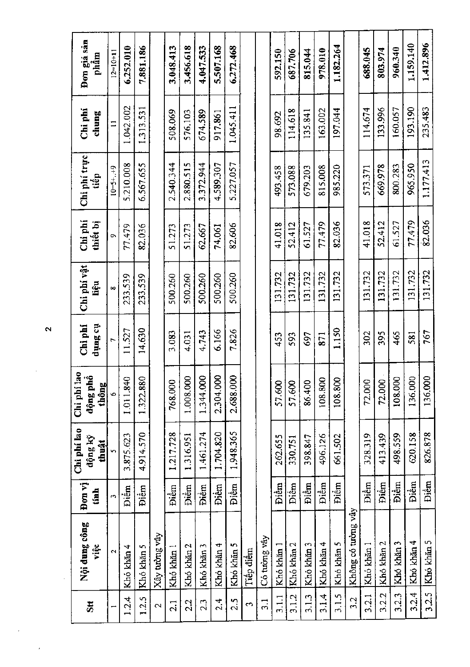| $\overline{\mathbf{3}}$ tt | Nội dung công<br>việc | Đơn vị<br>tanh       | Chi phi lao<br>động kỹ<br>thuật | 180<br>động phổ<br>thông<br>Chi phi | Chi phi<br>n Sunp | Chi phi vật<br>liệu | Chi phi<br>thiết bị | Chi phí trực<br>tiếp | Chi phí<br>$_{\rm clump}$ | Don giá sãn<br>phâm |
|----------------------------|-----------------------|----------------------|---------------------------------|-------------------------------------|-------------------|---------------------|---------------------|----------------------|---------------------------|---------------------|
| $\overline{\phantom{0}}$   | $\mathbf{\hat{c}}$    | $\ddot{\phantom{1}}$ |                                 | $\ddot{\circ}$                      | Ē                 | œ                   | $\sigma$            | $10 = 5 + . + 9$     | $\Box$                    | $12=10+11$          |
| 1.2.4                      | Khó khăn 4            | <b>Diêm</b>          | 3.875.623                       | 1.011.840                           | 11.527            | 233.539             | 77.479              | 5.210.008            | 1.042.002                 | 6.252.010           |
| 1.2.5                      | Khó khăn 5            | Điềm                 | 4.914.570                       | 1.322.880                           | 14,630            | 233,539             | 82.036              | 6.567.655            | 1.313.531                 | 7.881.186           |
| 2                          | Xây tường vây         |                      |                                 |                                     |                   |                     |                     |                      |                           |                     |
| 2.1                        | Khó khăn              | Điềm                 | 1,217,728                       | 768.000                             | 3.083             | 500.260             | 51.273              | 2.540.344            | 508.069                   | 3.048.413           |
| 2.2                        | Khó khăn 2            | Điềm                 | 1.316.951                       | 1.008.000                           | 4.031             | 500.260             | 51.273              | 2.880.515            | 576,103                   | 3.456.618           |
| 23                         | Khó khăn 3            | Điềm                 | 1.461.274                       | 1.344.000                           | 4.743             | 500.260             | 62.667              | 3.372.944            | 674.589                   | 4.047.533           |
| 2.4                        | Khó khăn 4            | Điềm                 | 1.704.820                       | 2.304.000                           | 6.166             | 500,260             | 74,061              | 4.589.307            | 917.861                   | 5.507.168           |
| 2.5                        | Khó khăn 5            | <b>Diêm</b>          | 1.948.365                       | 8<br>2.688.0                        | 7.826             | 500.260             | 82,606              | 5.227.057            | 1.045.411                 | 6.272.468           |
| ణ                          | Tiếp điểm             |                      |                                 |                                     |                   |                     |                     |                      |                           |                     |
| $\frac{1}{2}$              | Có tường vây          |                      |                                 |                                     |                   |                     |                     |                      |                           |                     |
| 3.1.1                      | Khó khăn              | Điềm                 | 262.655                         | 57.600                              | 453               | 131.732             | 41.018              | 493.458              | 98.692                    | 592.150             |
| 3.1.2                      | Khó khăn 2            | <b>Diêm</b>          | 330.751                         | 57.600                              | 593               | 131.732             | 52.412              | 573.088              | 114.618                   | 687.706             |
| 3.1.3                      | Khó khăn 3            | Điềm                 | 398.847                         | 86.400                              | 697               | 131.732             | 61.527              | 679.203              | 135.841                   | 815.044             |
| 3.1.4                      | Khó khăn 4            | Điểm                 | 496.126                         | 108.800                             | 871               | 131,732             | 77.479              | 815.008              | 163.002                   | 978.010             |
| 3.1.5                      | Khó khăn 5            | <b>Diêm</b>          | 661.502                         | $\approx$<br>108.80                 | 1.150             | 131.732             | 82.036              | 985.220              | 197.044                   | 1.182.264           |
| 3.2                        | Không có tường vây    |                      |                                 |                                     |                   |                     |                     |                      |                           |                     |
| 3.2.1                      | Khó khăn 1            | <b>Diềm</b>          | 328.319                         | 72.000                              | 302               | 131.732             | 41.018              | 573.371              | 114.674                   | 688.045             |
| 3.2.2                      | Khó khăn 2            | Điềm                 | 413.439                         | 72.000                              | 395               | 131.732             | 52.412              | 669.978              | 133,996                   | 803.974             |
| 3.2.3                      | Khó khăn 3            | Điểm                 | 498.559                         | 108.000                             | 465               | 131.732             | 61.527              | 800.283              | 160.057                   | 960.340             |
| 3.2.4                      | Khó khăn 4            | Điềm                 | 620,158                         | 136.000                             | 581               | 131.732             | 77.479              | 965.950              | 193.190                   | 1.159.140           |
| 3.2.5                      | Khó khăn 5            | Điềm                 | 826.878                         | 136.000                             | 767               | 131.732             | 82.036              | 1.177.413            | 235.483                   | 1,412.896           |

 $\overline{\mathbf{c}}$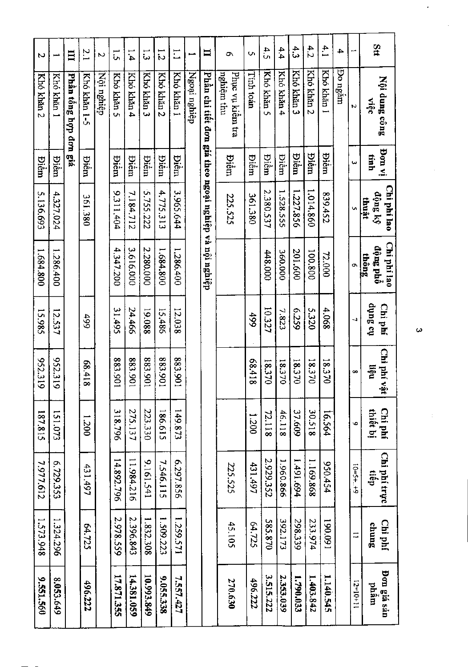| Stt              | Nội dung công<br>Aiec                                 | iv mod<br>tinh | Chi phí lao<br>ciong ký<br>thuật | Chi phi lao<br>dộng phố<br>$\frac{1}{2}$ | tio Butip<br>Chi phí | Chi phí vật<br>nën | Chi phí<br>thiết bị | Chi phí trực<br>den | Chi phí<br>sunup | Don giá sản<br>mgqd |
|------------------|-------------------------------------------------------|----------------|----------------------------------|------------------------------------------|----------------------|--------------------|---------------------|---------------------|------------------|---------------------|
| ш                | Ν                                                     | یبا            |                                  |                                          | ↵                    | œ                  | Ó                   | $6 + 3 + 3 - 01$    | ≍                | $13=10+11$          |
| 4                | <b>Po</b> ngăm                                        |                |                                  |                                          |                      |                    |                     |                     |                  |                     |
| 4.1              | Khó khăn 1                                            | <b>Biếm</b>    | 239.452                          | 72.000                                   | 4.068                | 18.370             | 16.564              | 950.454             | 190.091          | 1.140.545           |
| 4.2              | Khó khán 2                                            | <b>Diêm</b>    | 1.014.860                        | 100.800                                  | 5.320                | 18.370             | 30.518              | 1.169.868           | 233.974          | 1.403.842           |
| $\ddot{3}$       | Khó khăn 3                                            | <b>Biếm</b>    | 1,227.856                        | 201.600                                  | 6229                 | 18.370             | 37.609              | 1.491.694           | 298,339          | 1,790.033           |
| 4.4              | Khó khản 4                                            | <b>Diêm</b>    | 1.528.555                        | 360.000                                  | 7.823                | 18.370             | 46.118              | 1.960.866           | 392.173          | 2.353.039           |
| 4.5              | Khó khăn 5                                            | <b>Piêm</b>    | 2.380.537                        | 448.000                                  | 10.327               | 18.370             | 72.118              | 2.929.352           | 585.870          | 3.515.222           |
| Ō,               | Tinh toán                                             | <b>Diêm</b>    | 361.380                          |                                          | 499                  | 81789              | 1.200               | 431.497             | 64.725           | 496.222             |
| ᡡ                | Phục vụ kiểm tra<br>nghiệm thu                        | <b>Biếm</b>    | 225.525                          |                                          |                      |                    |                     | 225.525             | 45.105           | 270.630             |
| Ħ                | Phần chi tiết đơn giá theo ngoại nghiệp và nội nghiệp |                |                                  |                                          |                      |                    |                     |                     |                  |                     |
| ⊷                | Ngoại nghiệp                                          |                |                                  |                                          |                      |                    |                     |                     |                  |                     |
| $\Xi$            | Khó khán 1                                            | <b>Diêm</b>    | 3.965.644                        | 1,286.400                                | 12.038               | 106'588            | 149.873             | 6.297.856           | 1.259.571        | 7.557.427           |
| $\frac{1}{2}$    | Khó khăn 2                                            | <b>Piêm</b>    | 4.775.313                        | 1.684.800                                | 15,486               | 106'888            | 186.615             | 7.546.115           | 1.509.223        | 9.055.338           |
| ر<br>ن           | Khó khán 3                                            | <b>Biểm</b>    | 5.755.222                        | 2.280.000                                | 19.088               | 106'888            | 223.330             | 9.161.541           | 1.832.308        | 10.993.849          |
| 1.4              | Khó khán 4                                            | <b>Biểm</b>    | 7.184.712                        | 3.616.000                                | 24.466               | 106'588            | 275.137             | 11.984.216          | 2.396.843        | 14.381.059          |
| $\frac{1}{2}$    | Khó khản 5                                            | Điền           | 9.311.404                        | 4,347,200                                | 31.495               | 106:88             | 318.796             | 14.892.796          | 2.978.559        | 17.871.355          |
| $\overline{a}$   | Nội nghiệp                                            |                |                                  |                                          |                      |                    |                     |                     |                  |                     |
| $\overline{2.1}$ | Khó khản 1-5                                          | <b>Biềm</b>    | 361.380                          |                                          | 66#                  | 81789              | 1.200               | 431.497             | 64.725           | 496.222             |
| $\Box$           | Phần tổng hợp đơn giá                                 |                |                                  |                                          |                      |                    |                     |                     |                  |                     |
| فسمو             | Khó khán 1                                            | Điềm           | 4.327.024                        | 1.286.400                                | 12.537               | 952.319            | 151.073             | 6.729.353           | 1.324.296        | 8.053.649           |
| Z                | Kho khan 2                                            | <b>Diêm</b>    | 5.136.693                        | 1.684.800                                | 15.985               | 952.319            | 187.815             | 7.977.612           | 1.573.948        | 9.551.560           |

 $\pmb{\omega}$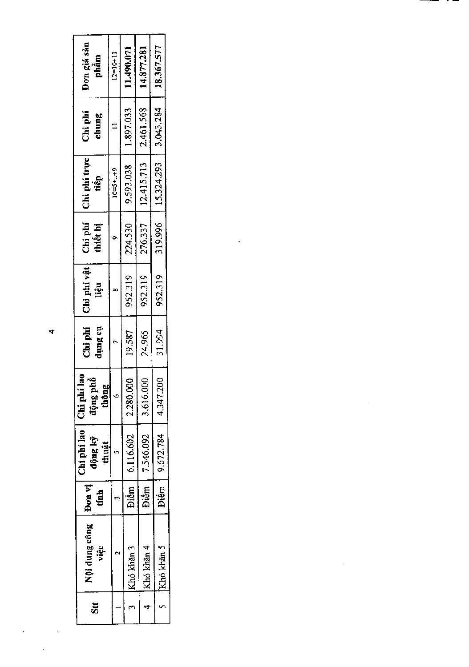| Don giá sån<br>phầm                            | $12=10+11$ | 11.490.071       | 14.877.281       | 18.367.577           |  |
|------------------------------------------------|------------|------------------|------------------|----------------------|--|
| Chi phí<br>chung                               |            | 1.897.033        | 2.461.568        | 3.043.284            |  |
| Chi phí trực<br>tiếp                           | $10=5+.49$ | 9.593.038        | 12.415.713       | 319.996   15.324.293 |  |
| Chi phí<br>thiết bị                            |            | 224.530          | 276.337          |                      |  |
| Chi phi vật<br>liệu                            |            | 952.319          | 952.319          | 952.319              |  |
| Chi phí<br>in Sunt                             |            | 19.587           | 24.965           | 31.994               |  |
| la o<br>្ទ្រ<br>Chi phi!<br>liq au ột<br>thông |            | 2.280.000        | 3,616.000        | 4.347.200            |  |
| Chi phi lao<br>1ộng kỹ<br>thuât                |            | Diễm   6.116.602 | Diềm   7.546.092 | Diệm 9.672.784       |  |
| Pom vi<br>tinh                                 |            |                  |                  |                      |  |
| Nội dung công<br>việc                          |            | Khó khăn 3       | Khó khăn 4       | 5 Khó khăn 5         |  |
| $\overline{\overline{\overline{5}}}$           |            |                  |                  |                      |  |

 $\mathcal{L}(\mathcal{L}^{\mathcal{L}})$  and  $\mathcal{L}^{\mathcal{L}}$  and  $\mathcal{L}^{\mathcal{L}}$ 

 $\label{eq:2.1} \frac{1}{\sqrt{2}}\left(\frac{1}{\sqrt{2}}\right)^{2} \left(\frac{1}{\sqrt{2}}\right)^{2} \left(\frac{1}{\sqrt{2}}\right)^{2} \left(\frac{1}{\sqrt{2}}\right)^{2} \left(\frac{1}{\sqrt{2}}\right)^{2} \left(\frac{1}{\sqrt{2}}\right)^{2} \left(\frac{1}{\sqrt{2}}\right)^{2} \left(\frac{1}{\sqrt{2}}\right)^{2} \left(\frac{1}{\sqrt{2}}\right)^{2} \left(\frac{1}{\sqrt{2}}\right)^{2} \left(\frac{1}{\sqrt{2}}\right)^{2} \left(\$ 

 $\label{eq:2.1} \frac{1}{\sqrt{2}}\left(\frac{1}{\sqrt{2}}\right)^{2} \left(\frac{1}{\sqrt{2}}\right)^{2} \left(\frac{1}{\sqrt{2}}\right)^{2} \left(\frac{1}{\sqrt{2}}\right)^{2} \left(\frac{1}{\sqrt{2}}\right)^{2} \left(\frac{1}{\sqrt{2}}\right)^{2} \left(\frac{1}{\sqrt{2}}\right)^{2} \left(\frac{1}{\sqrt{2}}\right)^{2} \left(\frac{1}{\sqrt{2}}\right)^{2} \left(\frac{1}{\sqrt{2}}\right)^{2} \left(\frac{1}{\sqrt{2}}\right)^{2} \left(\$ 

 $\ddot{\phantom{0}}$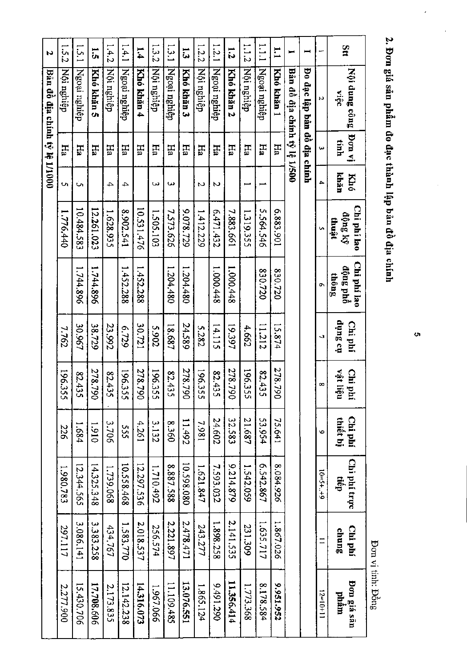| N                             | 1.52       | 1.5.1        | ត          | 1.4.2      | 1.4.1        | 1.4        | 1.32       | $1.3 - 1$    | تة<br>ما   | 1.2.2        | 1.2.1        | ្ចុ        | 1.12       | $\frac{1}{1}$ | $\mathbf{r}$ | ⊷                            |                             |                  | $\frac{3}{4}$                    |
|-------------------------------|------------|--------------|------------|------------|--------------|------------|------------|--------------|------------|--------------|--------------|------------|------------|---------------|--------------|------------------------------|-----------------------------|------------------|----------------------------------|
| Bản đồ địa chính tý lệ 1/1000 | Nội nghiệp | Ngoại nghiệp | Khó khăn 5 | Nội nghiệp | Ngoại nghiệp | Khó khăn 4 | Nội nghiệp | Ngoại nghiệp | Khó khán 3 | Nội nghiệp   | Ngoại nghiệp | Khó khăn 2 | Nội nghiệp | Ngoại nghiệp  | Khó khản 1   | Bản đô địa chính tỷ lệ 1/500 | Đo đạc lập bản đồ địa chính | N                | Nội dung công<br>viêc            |
|                               | Ha         | H4           | Ha         | Ηă         | Hа           | 뵤          | Ha         | Ha           | Ha         | H            | Ha           | Ha         | Ha         | $H_2$         | Ha           |                              |                             | نيا              | iv nof<br>tinh                   |
|                               | C)         | Un.          |            | 4          | 4            |            | ى          | ω            |            | Z            | N            |            |            |               |              |                              |                             | 4                | khăn<br><b>Khó</b>               |
|                               | 1.776.440  | 10.484.583   | 12.261.023 | 1.628.935  | 8.902.541    | 10.531.476 | 1.505.103  | 7.573.626    | 9.078.729  | 1.412.229    | 6.471.432    | 7.883.661  | 1.319.355  | 5.564.546     | 6.883.901    |                              |                             | Ų.               | Chi phí lao<br>động ký<br>thuật  |
|                               |            | 1.744.896    | 1.744.896  |            | 1.452.288    | 452.288    |            | 1.204.480    | 1.204.480  |              | 1.000.448    | 1.000.448  |            | 830.720       | 0220.720     |                              |                             | Ō,               | Chi phí lao<br>dộng phổ<br>thông |
|                               | 7.762      | 30.967       | 38.729     | 23.992     | 6'129        | 30.721     | 2.902      | 18.687       | 24.589     | <b>S.282</b> | 14.115       | 19.397     | 4.662      | 11.212        | 15.874       |                              |                             | د                | ប់ា និបព្វែ<br>Chi phí           |
|                               | 196.355    | 82.43<br>ပ္ပ | 278.790    | 82.435     | 196.355      | 278.790    | 196.355    | 82.435       | 278.7<br>Š | 196.3<br>Š   | 82.435       | 278.7<br>8 | 196.3<br>S | 82.435        | 278.790      |                              |                             | $\infty$         | nģi liện<br>Chi phí              |
|                               | 226        | 1.684        | 0161       | 3.706      | SSS          | 4.261      | 3.132      | 8.360        | 11.492     | 1861         | 24.602       | 32.583     | 21.687     | 53.954        | 75.641       |                              |                             | ۰                | Chí phí<br>thiết bị              |
|                               | 1.980.783  | 12.344.565   | 14.325.348 | 1.739.068  | 10.558.468   | 12.297.536 | 1.710.492  | 887.588      | 10.598.080 | 1.621.847    | 7.593.032    | 9.214.879  | 1.542.059  | 6.542.867     | 8.084.926    |                              |                             | $6 + 3 + 5 = 01$ | Chi phí trực<br>dien             |
|                               | 297.117    | 3.086.141    | 3.383.258  | 434.767    | 1.583,770    | 2.018.537  | 256.574    | 2.221.897    | 2.478.471  | 243.277      | 1.898.258    | 2.141.535  | 231.309    | 1.635.717     | 1.867.026    |                              |                             | $\overline{1}$   | Chi phí<br>chung                 |
|                               | 2.277.900  | 15.430.706   | 17,708.606 | 2.173.835  | 12.142.238   | 14.316.073 | 1.967.066  | 11.109.485   | 13.076.551 | 1.865.124    | 9.491.290    | 11.356.414 | 1.773.368  | 8.178.584     | 2,951.952    |                              |                             | $12 = 10 + 11$   | <b>Don giá sãn</b><br>phầm       |

2. Đơn giá sản phẩm đo đạc thành lập bản đồ địa chính

 $\sigma$ 

Bon vị tính: Đồng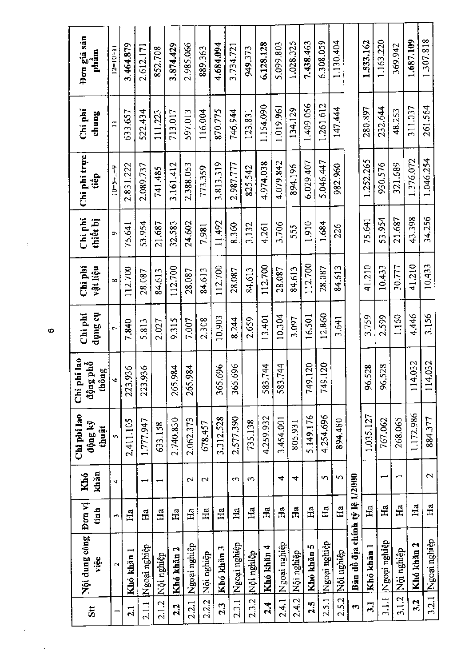| 5t              | Nội dung công<br>việc         | Đơn vị<br>tinh | khăn<br>Khó     | Chi phi lao<br>động kỹ<br>thuật | Chi phi lao<br>động phổ<br>thông | tio Sunp<br>Chi phí | Chi phí<br>vật liệu | Chi<br>thiết bị | Chi phí trực<br>tiếp | Chi phí<br>chung | Đơn giá sản<br>phâm |
|-----------------|-------------------------------|----------------|-----------------|---------------------------------|----------------------------------|---------------------|---------------------|-----------------|----------------------|------------------|---------------------|
|                 | $\mathbf{\tilde{c}}$          | $\blacksquare$ | 4               | Ÿ,                              | $\ddot{\circ}$                   | r                   | œ                   | o               | $10 = 5 + . + 9$     |                  | $12 = 10 + 1$       |
| $\overline{21}$ | Khó khăn 1                    | Ha             |                 | 2.411.105                       | 223.936                          | 7.840               | 112.700             | 75.641          | 2.831.222            | 633.657          | 3.464.879           |
| 2.1.1           | Ngoại nghiệp                  | Ha             |                 | 1.777.947                       | 223.936                          | 5.813               | 28.087              | 53.954          | 2.089.737            | 522.434          | 2.612.171           |
| 2.1.2           | darigu roN                    | Ha             |                 | 633,158                         |                                  | 2.027               | 84,613              | 21.687          | 741.485              | 111.223          | 852.708             |
| 2.2             | Khó khăn 2                    | Ha             |                 | 2.740.830                       | 265.984                          | 9.315               | 112.700             | 32.583          | 3.161.412            | 713.017          | 3.874.429           |
| 2.2.1           | Ngoại nghiệp                  | Ha             | $\mathbf{\sim}$ | 2.062.373                       | 265.984                          | 7.007               | 28.087              | 24,602          | 2.388.053            | 597.013          | 2.985.066           |
| 2.2.2           | Nội nghiệp                    | Ha             | 2               | 678.457                         |                                  | 2.308               | 84.613              | 7.981           | 773.359              | 116,004          | 889.363             |
| 2.3             | Khó khản 3                    | Ha             |                 | 3.312.528                       | 365,696                          | 10,903              | 112.700             | 11.492          | 3,813,319            | 870.775          | 4.684.094           |
| 2.3.1           | Ngoại nghiệp                  | $_{\rm Ha}$    | $\mathfrak{S}$  | 2.577.390                       | 696<br>365.                      | 8.244               | 28.087              | 8.360           | 2.987.777            | 746.944          | 3.734.721           |
| 2.3.2           | Nội nghiệp                    | Ha             | $\sim$          | 735.138                         |                                  | 2.659               | 84.613              | 3.132           | 825.542              | 123.831          | 949.373             |
| 2.4             | Khó khăn 4                    | Ha             |                 | 4.259.932                       | 744<br>583.                      | 13.401              | 112.700             | 4.261           | 4.974.038            | 1.154.090        | 6.128.128           |
| 2.4.1           | Ngoại nghiệp                  | Ha             | 4               | 3.454.001                       | 744<br>583.                      | 10,304              | 28.087              | 3.706           | 4.079.842            | 1.019.961        | 5.099.803           |
| 2.4.2           | Nội nghiệp                    | Ha             | 4               | 805.931                         |                                  | 3.097               | 84,613              | 555             | 894.196              | 134.129          | 1,028.325           |
| 2.5             | Khó khăn 5                    | Ha             |                 | 5.149.176                       | 749.120                          | 16,501              | 112.700             | 1.910           | 6.029.407            | 1.409.056        | 7.438.463           |
| 2.5.1           | Ngoại nghiệp                  | $Ha$           | 5               | 4.254.696                       | 120<br>749.                      | 12.860              | 28.087              | 1.684           | 5.046.447            | 1.261.612        | 6.308.059           |
| 2.5.2           | Nội nghiệp                    | Ha             | S               | 894.480                         |                                  | 3.641               | 84,613              | 226             | 982.960              | 147.444          | 1.130.404           |
| m               | Bản đồ địa chính tỷ lệ 1/2000 |                |                 |                                 |                                  |                     |                     |                 |                      |                  |                     |
| $\overline{3}$  | Khó khăn 1                    | Ha             |                 | 1,035,127                       | 528<br>86.                       | 3.759               | 41.210              | 75.641          | 1.252.265            | 280.897          | 1.533.162           |
| 3.1.1           | Ngoại nghiệp                  | Ha             |                 | 767.062                         | 528<br>\$                        | 2.599               | 10.433              | 53.954          | 930.576              | 232.644          | 1.163.220           |
| 3.1.2           | Nội nghiệp                    | Ha             |                 | 268.065                         |                                  | 1.160               | 30.777              | 21.687          | 321.689              | 48.253           | 369.942             |
| 32              | Khó khản 2                    | Ha             |                 | 1.172.986                       | 032<br>$\frac{4}{11}$            | 4,446               | 41,210              | 43.398          | 1.376.072            | 311.037          | 1.687.109           |
| 3.2.1           | Ngoại nghiệp                  | Ha             | $\sim$          | 884.377                         | 032<br>14                        | 3.156               | 10.433              | 34.256          | 1.046.254            | 261.564          | 1.307.818           |

 $\ddot{\circ}$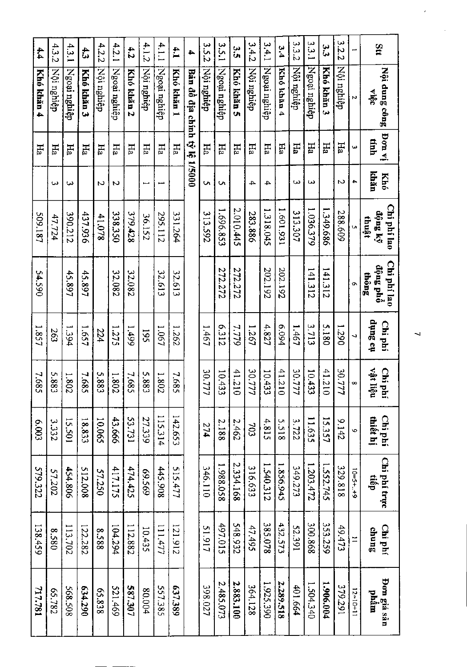| 4.1.1<br>4.2.2<br>4.2.1<br>4.1.2<br>4.3.2<br>4.3.1<br>42<br>4.1<br>43<br>4           |        |         |           |        |         |            |            |              |            |                               | <b>3.52</b> | 3.5.1        | ς<br>Ω     | 3.4.2      | 3,4.1        | 3,4        | 3.3.2      | 3.3.1        | 33<br>3    | 3.2.2      |            | $\frac{3}{1}$                    |
|--------------------------------------------------------------------------------------|--------|---------|-----------|--------|---------|------------|------------|--------------|------------|-------------------------------|-------------|--------------|------------|------------|--------------|------------|------------|--------------|------------|------------|------------|----------------------------------|
| Nội nghiệp<br>Ngoại nghiệp<br>Khó khản 2<br>Nội nghiệp<br>Ngoai nghiệp<br>Khó khán 3 |        |         |           |        |         |            | Nội nghiệp | Ngoại nghiệp | Khó khán 1 | Bản đồ địa chính tỷ lệ 1/5000 | Nội nghiệp  | Ngoại nghiệp | Khó khản 5 | Nội nghiệp | Ngoại nghiệp | Khó khăn 4 | Nội nghiệp | Ngoại nghiệp | Khó khăn 3 | Nội nghiệp | N          | Nội dung công<br>oğia            |
| FП<br>Ha                                                                             |        |         | Ħа        | FIa    | FR      | Ha         | EН         | FIa          | FП         |                               | EН          | EН           | EН         | FИ         | EН           | Ha         | Ha         | EН           | $H_2$      | Hа         | Ċ.         | $\overline{1}$ bon vi<br>tính    |
| دى                                                                                   |        | ىي      |           | N      | ю       |            |            |              |            |                               | c           | Un           |            | 4          | 4            |            | ىب         | دى           |            | N          | 4          | khăn<br>Khó                      |
| 390.212<br>47.724                                                                    |        |         | 437.936   | 41.078 | 338.350 | 379.428    | 36.152     | 295.112      | 331.264    |                               | 313.592     | 1.696.853    | 2.010.445  | 283.886    | 1.318.045    | 1.601.931  | 313.307    | 1.036.379    | 1.349.686  | 288.609    |            | Chi phí lao<br>dộng ký<br>thuật  |
|                                                                                      |        | 45.897  | 45.897    |        | 32.082  | 32.082     |            | 32.613       | 32.613     |                               |             | 272.272      | 272.272    |            | 202.192      | 202.192    |            | 141.312      | 141.312    |            | o          | Chi phí lao<br>dộng phổ<br>thông |
| 263                                                                                  |        | 1.394   | 1.657     | 224    | 1.275   | 1.499      | 195        | 1901         | 1.262      |                               | 1911        | 2151         | 7.779      | 1267       | 4.827        | 420.94     | $13 + 1$   | 3.713        | 5.180      | 1.290      | د          | no Sunp<br>Chi phí               |
| S.88<br>دب                                                                           |        | 1.802   | 7.68<br>u | 5.88   | 1.802   | 7.68<br>Ur | S.88       | 1.802        | 892<br>v.  |                               | 30.777      | 10.433       | 41.210     | 30.777     | 10.433       | 41.210     | 30.777     | 10.433       | 41.210     | 30.777     | œ          | ngi liên<br>Chi phí              |
| 3.332                                                                                |        | 15.501  | 18,833    | 10.065 | 43.666  | 53.731     | 27.339     | 115.314      | 142.653    |                               | 274         | 2.188        | 2.462      | 703        | 4,815        | 5.518      | 3.722      | 11.635       | 15.357     | 9.142      | Ó          | Chi phí<br>thiết hị              |
|                                                                                      | 57.202 | 454.806 | 512.008   | 57.250 | 417.175 | 474.425    | 695'69     | 445.908      | 515.477    |                               | 346.110     | 1.988.058    | 2.334.168  | 316.633    | 1.540.312    | 1.856.945  | 349.273    | 1.203.472    | 1.552.745  | 329.818    | $10=5+.49$ | Chi phí trực<br>tiêp             |
|                                                                                      | 0858   | 113.702 | 122.282   | 8.588  | 104.294 | 112.882    | 10.435     | 111.477      | 121.912    |                               | 51.917      | 497.015      | 548.932    | 47.495     | 385.078      | 432.573    | 52.391     | 300.868      | 353.259    | 49.473     | $\Xi$      | Chi phí<br>chung                 |
|                                                                                      | 55.782 | 568.508 | 034.290   | 65.838 | 521.469 | 587.307    | 80.004     | 557.385      | 637.389    |                               | 398.027     | 2.485.073    | 2.883.100  | 364.128    | 1.925.390    | 2.289.518  | 401.664    | 1.504.340    | 1.906.004  | 19291      | $12=10+11$ | Đơn giá sản<br>mgud              |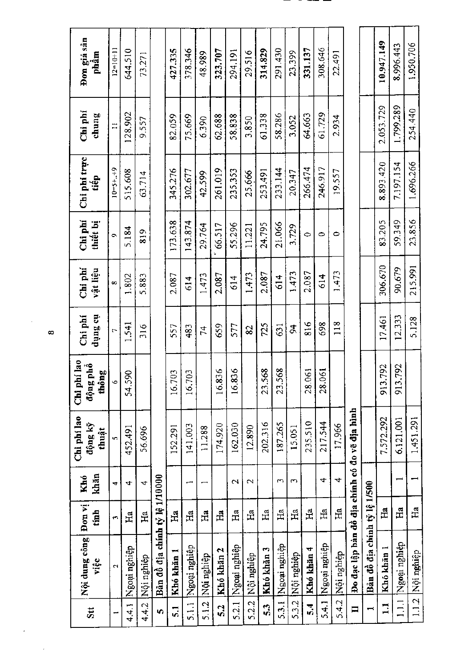| Stt            | Nội dung công<br>việc                         | Đon vị<br>tinh | khăn<br>Khó | Chi phi lao<br>động kỹ<br>thuật | i lao<br>phổ<br>thông<br>$Chi$ ph<br>động | tio Sunp<br>Chi phí | Chi phí<br>vật liệu | Chi phí<br>thiết bị | Chi phi trực<br>tiếp | Chi phí<br>chung | Đơn giá sản<br>phẩm |
|----------------|-----------------------------------------------|----------------|-------------|---------------------------------|-------------------------------------------|---------------------|---------------------|---------------------|----------------------|------------------|---------------------|
|                | $\mathbf{\hat{c}}$                            | c              | 4           | n                               | Ó                                         | r,                  | œ                   | G                   | $10 = 5 + . + 9$     | $\Xi$            | $12 = 10 + 11$      |
| 4.4.1          | Ngoại nghiệp                                  | $H_a$          | 4           | 452.491                         | 54.590                                    | 1.541               | 1.802               | 5.184               | 515.608              | 128,902          | 644.510             |
| 4.4.2          | Nội nghiệp                                    | Ha             | 4           | 56.696                          |                                           | $\frac{316}{5}$     | 5.883               | 819                 | 63.714               | 9.557            | 73.271              |
| Ю              | Bân đồ địa chính tỷ lệ 1/1000                 |                |             |                                 |                                           |                     |                     |                     |                      |                  |                     |
| 51             | Khó khăn 1                                    | Ha             |             | 152.291                         | 16.703                                    | 557                 | 2.087               | 173.638             | 345.276              | 82.059           | 427.335             |
| 5.1.1          | Ngoại nghiệp                                  | Ha             |             | 141.003                         | S<br>16.7                                 | 483                 | 614                 | 143.874             | 302.677              | 75.669           | 378.346             |
| 5.1.2          | <b>Nội nghiệp</b>                             | $H_a$          |             | 11.288                          |                                           | 74                  | 1.473               | 29.764              | 42.599               | 6.390            | 48,989              |
| 52             | Khó khăn 2                                    | Ha             |             | 174.920                         | 16,836                                    | 659                 | 2.087               | 66.517              | 261.019              | 62.688           | 323.707             |
| 5.2.1          | Ngoại nghiệp                                  | Ha             | $\sim$      | 162.030                         | 16.836                                    | 577                 | 614                 | 55,296              | 235,353              | 58.838           | 294.191             |
| 5.2.2          | Nội nghiệp                                    | Ha             | $\sim$      | 12.890                          |                                           | 82                  | 1.473               | 11.221              | 25,666               | 3.850            | 29.516              |
| 53             | Khó khăn 3                                    | $H_{a}$        |             | 202.316                         | 23.568                                    | 725                 | 2.087               | 24.795              | 253.491              | 61.338           | 314.829             |
| 5.3.1          | Ngoại nghiệp                                  | Ha             | S           | 187.265                         | 23.568                                    | 631                 | 614                 | 21.066              | 233.144              | 58.286           | 291.430             |
| 53.2           | Nội nghiệp                                    | Ha             | S           | 15.051                          |                                           | Ř                   | 1,473               | 3.729               | 20.347               | 3.052            | 23,399              |
| 54             | Khó khăn 4                                    | Ha             |             | 235.510                         | 28.061                                    | 816                 | 2.087               | $\ddot{\circ}$      | 266.474              | 64.663           | 331.137             |
| 5.4.1          | Ngoại nghiệp                                  | Ha             | 4           | 217.544                         | 28.061                                    | 698                 | 614                 | $\bullet$           | 246.917              | 61.729           | 308,646             |
| 5.4.2          | Nội nghiệp                                    | Ha             | 4           | 17,966                          |                                           | 118                 | 1.473               | $\bullet$           | 19.557               | 2.934            | 22.491              |
| $\blacksquare$ | Đo đạc lập bản đồ địa chính có đo vẽ địa hình |                |             |                                 |                                           |                     |                     |                     |                      |                  |                     |
|                | Bản đồ địa chính tỷ lệ 1/500                  |                |             |                                 |                                           |                     |                     |                     |                      |                  |                     |
| $\mathbf{I}$   | Khó khān 1                                    | Ha             |             | 7.572.292                       | 792<br>913.                               | 17.461              | 306.670             | 83.205              | 8,893,420            | 2.053.729        | 10.947.149          |
| 1.1.1          | Rgoại nghiệp                                  | Ha             |             | 6.121.001                       | 792<br>913                                | 12.333              | 90.679              | 59,349              | 7.197.154            | 1.799.289        | 8.996.443           |
| 1.12           | Nội nghiệp                                    | Ha             |             | 1,451,291                       |                                           | 5.128               | 215.991             | 23,856              | 1.696.266            | 254,440          | 1.950.706           |

 $\pmb{\infty}$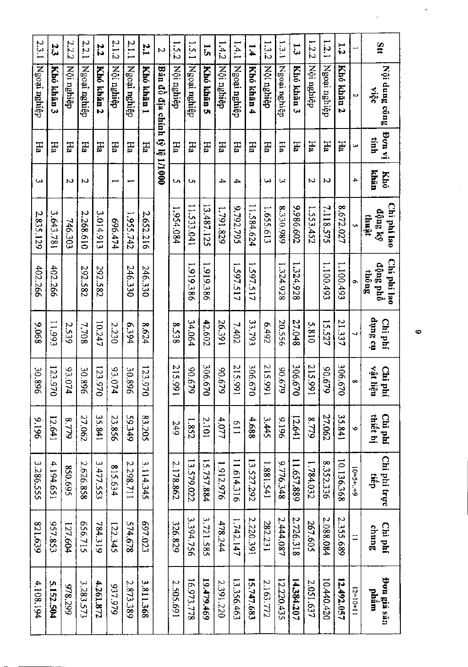| Stt            | Nội dung công<br>oğu          | iv nod<br>tinh  | khăn<br><b>Khó</b> | Chi phí lao<br>động ký<br>thuật | Chi phi lao<br>động phổ<br>thông | tio Sutip<br>Chi phí | vật liệu<br>Chi phí | thiết bị<br>Chi phí | Chi phí trực<br>dan | Chi phí<br>chung | Đơn giá sản<br>mgud |
|----------------|-------------------------------|-----------------|--------------------|---------------------------------|----------------------------------|----------------------|---------------------|---------------------|---------------------|------------------|---------------------|
|                | N                             | دیا             | ≏                  |                                 |                                  |                      | $\infty$            | Ó                   | $10=5++9$           | $\equiv$         | $12=10+11$          |
| $\overline{z}$ | Khó khăn 2                    | ΕH              |                    | 8.672.027                       | 1.100.493                        | 21.337               | 306.67<br>ਠ         | 35.841              | 10.136.368          | 2.355.689        | 12.492.057          |
| 1.2.1          | Ngoại nghiệp                  | FГа             | N                  | 7.118.575                       | 1.100.493                        | 15.527               | 12906<br>Ю          | 27.062              | 8.352.336           | 2.088.084        | 10.440.420          |
| 1.2.2          | Nội nghiệp                    | Ha              | N                  | 1.553.452                       |                                  | 5.810                | 215.991             | 8.779               | 1.784.032           | 267.605          | 2.051.637           |
| $\vec{3}$      | Khó khăn 3                    | <b>Fa</b>       |                    | 209'986'6                       | 1.324,928                        | 27.048               | 306.670             | 12.641              | 11.657,889          | 2.726.318        | 14.384.207          |
| 1.3.1          | Ngoại nghiệp                  | Ha              | ω                  | 8.330.989                       | 1.324.928                        | 20.556               | 629'06              | 9616                | 9.776.348           | 2.444.087        | 12.220.435          |
| 1.3.2          | Nội nghiệp                    | FIa             | دیا                | 1.655.613                       |                                  | 2643                 | 215.991             | 3.445               | 1.881.541           | 282.231          | 2.163.772           |
| 1.4            | Khó khán 4                    | EH <sub>3</sub> |                    | 11.584.624                      | 1.597.517                        | 33.793               | 306.670             | 4.688               | 13.527.292          | 2,220.391        | 15.747.683          |
| 1.4.1          | Ngoại nghiệp                  | ЕH              | 4                  | 9.792.795                       | 1.597.517                        | 7.402                | 215.991             | 119                 | 11.614.316          | 1.742.147        | 13.356.463          |
| 1.4.2          | Nội nghiệp                    | FЦ              | 4                  | 1.791.829                       |                                  | 26.391               | 629.06              | 4.077               | 1.912.976           | 478.244          | 2.391.220           |
| ัน<br>ับ       | Khó khăn 5                    | FГа             |                    | 13.487.125                      | 1.919.386                        | 42.602               | 306.670             | 2.101               | 15.757.884          | 3,721.585        | 19.479.469          |
| 1.5.1          | Ngoại nghiệp                  | Hа              | c                  | 11.533.041                      | 1.919.386                        | 34.064               | 649'06              | 1.852               | 13.579.022          | 3.394.756        | 16.973.778          |
| 1.5.2          | Nội nghiệp                    | Нã              | U                  | 1.954.084                       |                                  | 8538                 | 215.991             | 249                 | 2,178.862           | 326.829          | 2.505.691           |
| M              | Bản đồ địa chính tỷ lệ 1/1000 |                 |                    |                                 |                                  |                      |                     |                     |                     |                  |                     |
| 2.1            | Khó khān 1                    | Fв              |                    | 2.652.216                       | 246.330                          | 429'8                | 123.970             | 83.205              | 3.114.345           | 697.023          | 3.811.368           |
| 2.1.1          | Ngoại nghiệp                  | FГа             |                    | 1.955.742                       | 246.330                          | 6.394                | 30.896              | 59.349              | 2.298.711           | 574.678          | 2.873.389           |
| 2.1.2          | Nội nghiệp                    | ЕH              |                    | 696.474                         |                                  | 2.230                | 93.074              | 23.856              | 815.634             | 122.345          | 937.979             |
| 2.2            | Khó khản 2                    | ΕÄ              |                    | 3.014.913                       | 292.582                          | 10.247               | 123.970             | 35.841              | 3.477.553           | 784.319          | 4,261.872           |
| 2.2.1          | Ngoại nghiệp                  | FIa             | N                  | 2.268.610                       | 292.582                          | 7.708                | 30.896              | 27.062              | 2.626.858           | 656.715          | 3.283.573           |
| 2.2.2          | Nội nghiệp                    | <b>Fia</b>      | N                  | 746.303                         |                                  | 2.539                | 93.074              | 8.779               | 850.695             | 127.604          | 978.299             |
| 23             | Khó khản 3                    | FЮ              |                    | 3.643.781                       | 402.266                          | 11.993               | 123.970             | 12.641              | 4.194.651           | 957.853          | 5.152.504           |
| 2.3.1          | Ngoại nghiệp                  | FП              | ډي                 | 2.835.129                       | 402.266                          | 890'6                | 30.896              | 961'6               | 3.286.555           | 621.639          | 4,108.194           |

 $\ddot{\circ}$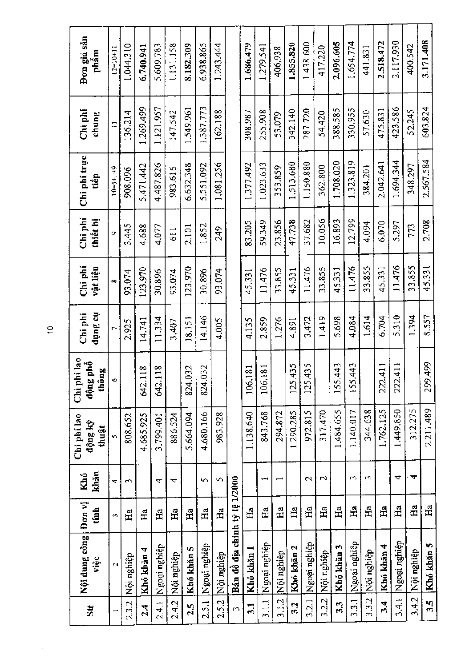| Đơn giá sản<br>phâm              | $12 = 10 + 11$       | 1.044.310  | 6.740.941              | 5.609.783              | 1.131.158  | 8,182.309  | 6.938.865    | 1.243.444  |                               | 1.686.479  | 1.279.541    | 406.938    | 1.855.820     | 1.438.600    | 417.220         | 2.096.605  | 1.654.774    | 441.83     | 2.518.472   | 2.117.930    | 400.542    | 3.171.408     |
|----------------------------------|----------------------|------------|------------------------|------------------------|------------|------------|--------------|------------|-------------------------------|------------|--------------|------------|---------------|--------------|-----------------|------------|--------------|------------|-------------|--------------|------------|---------------|
| Chi phi<br>chung                 | $\Xi$                | 136,214    | 1.269.499              | 1.121.957              | 147.542    | 1.549.961  | 1.387.773    | 162.188    |                               | 308.987    | 255.908      | 53.079     | 342.140       | 287.720      | 54.420          | 388.585    | 330.955      | 57.630     | 475.831     | 423.586      | 52.245     | 603.824       |
| Chi phí trực<br>tiêp             | $10 = 5 + . + 9$     | 908.096    | 5.471.442              | 4.487.826              | 983.616    | 6.632.348  | 5.551.092    | 1.081.256  |                               | 1.377.492  | 1.023.633    | 353.859    | 1.513.680     | 1.150.880    | 362.800         | 1.708.020  | 1.323.819    | 384.201    | 2.042.641   | 1.694.344    | 348.297    | 2.567.584     |
| Chi phí<br>thiết bị              | o                    | 3.445      | 4.688                  | 4.077                  | 611        | 2,101      | 1.852        | 249        |                               | 83.205     | 59.349       | 23.856     | 47.738        | 37.682       | 10.056          | 16.893     | 12.799       | 4.094      | 6.070       | 5.297        | 773        | 2.708         |
| Chi phí<br>vật liệu              | œ                    | 93.074     | 123.970                | 30.896                 | 93.074     | 123.970    | 30.896       | 93.074     |                               | 45.331     | 11.476       | 33,855     | 45.331        | 11.476       | 33.855          | 45.331     | 11.476       | 33,855     | 45.331      | 11.476       | 33,855     | 45.331        |
| no aunp<br>Chi phí               | r                    | 2.925      | 14.741                 | 11.334                 | 3.407      | 18.151     | 14.146       | 4.005      |                               | 4.135      | 2.859        | 1.276      | 4.891         | 3.472        | 1.419           | 5.698      | 4.084        | 1.614      | 6.704       | 5.310        | 1.394      | 8.557         |
| Chi phí lao<br>động phổ<br>thông | ۰o                   |            | $\frac{8}{18}$<br>542. | $\frac{8}{10}$<br>642. |            | 824.032    | 32<br>824.   |            |                               | 181<br>106 | 181<br>106.  |            | 125.435       | 125,435      |                 | 155.443    | 443<br>155.  |            | 411<br>222. | 411<br>222   |            | 1,499<br>299. |
| Chi phí lao<br>động kỹ<br>thuật  | Ś,                   | 808.652    | 4,685.925              | 3.799.401              | 886.524    | 5.664.094  | 4.680.166    | 983.928    |                               | 1.138.640  | 843.768      | 294,872    | 1.290.285     | 972.815      | 317.470         | 1.484.655  | 1.140.017    | 344.638    | 1.762.125   | 1.449.850    | 312,275    | 2.211.489     |
| khăn<br>Khó                      | 4                    | $\sim$     |                        | 4                      | 4          |            | S            | 5          |                               |            |              |            |               | $\sim$       | $\mathbf{\sim}$ |            | $\sim$       | S          |             | 4            | ₩          |               |
| Đơn vị<br>tính                   | $\mathbf{r}$         | Ha         | H                      | Ha                     | Ha         | Ha         | Ha           | Ha         |                               | Нa         | Ha           | Ha         | Ha            | Ha           | Ha              | Ha         | $\tilde{H}$  | Ha         | H           | Ηa           | Ha         | Ha            |
| Nội dung công<br>viêc            | $\mathbf{\tilde{c}}$ | Nội nghiệp | Khó khăn 4             | Ngoại nghiệp           | Nội nghiệp | Khó khăn 5 | Ngoại nghiệp | Nội nghiệp | Bản đồ địa chính tỷ lệ 1/2000 | Khó khăn 1 | Ngoại nghiệp | Nội nghiệp | Khó khăn 2    | Ngoại nghiệp | Nội nghiệp      | Khó khăn 3 | Ngoại nghiệp | Nội nghiệp | Khó khăn 4  | Ngoại nghiệp | Nội nghiệp | Khó khăn 5    |
| $\mathbf{S}$ tt                  |                      | 2.3.2      | 2.4                    | 2.4.1                  | 2.4.2      | 2.5        | 2.5.1        | 2.5.2      | $\sim$                        | 3.1        | 3.1.1        | 3.1.2      | $\frac{3}{2}$ | 3.2.1        | 3.2.2           | 33         | 3.3.1        | 3.3.2      | र<br>ठ      | 3.4.1        | 3.4.2      | 35            |

 $\ddot{a}$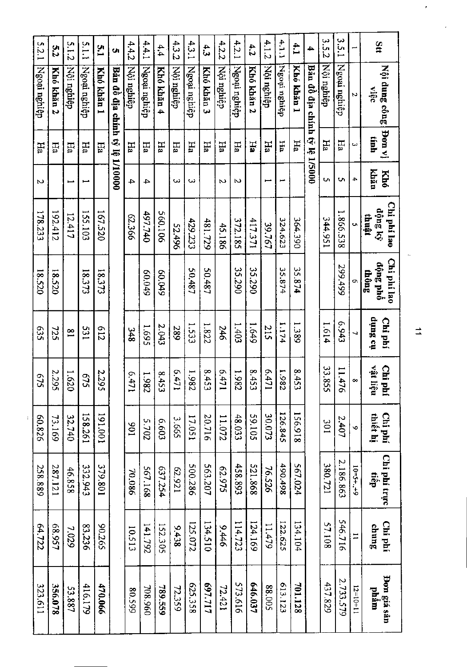| Stt        | Nội dung công<br>việc          | Pon vi<br>tinh | khăn<br>Khó              | Chi phí lao<br>dộng ký | Chi phí lao<br>động phố | io Sunp<br>Chi phí | vật liệu<br>Chi phí | Chi phí<br>thiết hị | Chi phí trực<br>tiếp |            | Chi phí<br>sunne |
|------------|--------------------------------|----------------|--------------------------|------------------------|-------------------------|--------------------|---------------------|---------------------|----------------------|------------|------------------|
|            | N                              | ω              | 4                        | thuật<br>Ū,            | thông<br>G.             | ↵                  | œ                   | Ó                   |                      | $10=3+1+6$ | $\mathbf{I}$     |
| 3.5.1      | Ngoại nghiệp                   | Ha             | U                        | 1.866.538              | 299.499                 | 6.943              | 11.476              |                     | 2.407                | 2.186.863  | 546.716          |
| 3.5.2      | Nội nghiệp                     | Fю             | U)                       | 344.951                |                         | 1.614              | 33.855              |                     | 10£                  | 380.721    | 57.108           |
| 4          | Bản đồ địa chính tỷ lệ 1/5000  |                |                          |                        |                         |                    |                     |                     |                      |            |                  |
| $\ddot{1}$ | Khó khán 1                     | FIa            |                          | 364.390                | 35.874                  | 1.389              | 8.45                |                     | 156,918              | 567.024    | 134.104          |
| 4.1.1      | Ngoại nghiệp                   | Hа             | اسم                      | 324.623                | 35.874                  | 1.174              | 1.98<br>N           |                     | 126.845              | 490.498    | 122.625          |
| 4.1.2      | Nội nghiệp                     | FПа            | ⊷                        | 39.767                 |                         | 215                | 6.47                |                     | 30.073               | 76.526     | 11.479           |
| 4.2        | Khó khán 2                     | ЕH             |                          | 17.371                 | 35.290                  | <b>1.649</b>       | 8.45<br>ىئ          |                     | <b>59.105</b>        | 521.868    | 124.169          |
| 4.2.1      | Ngoai nghiệp                   | Ěд             | N                        | 372.185                | 35.290                  | 1.403              | 1.98<br>N           |                     | 48.033               | 458.893    | 114.723          |
| 4.2.2      | Nội nghiệp                     | ЕH             | ь                        | 45.186                 |                         | 246                | 6.47                |                     | 11.072               | 62.975     | $9 + 6$          |
| 43         | Khó khán 3                     | Ěд             |                          | 481.729                | 50.487                  | 1.822              | 8.45<br>دب          |                     | 20.716               | 563.207    | 134.510          |
| 4.3.1      | Ngoại nghiệp                   | FН             | ىب                       | 429.233                | 50.487                  | 1.533              | 1.982               |                     | 17.051               | 500.286    | 125.072          |
| 4.3.2      | Nội nghiệp                     | Ha             | ىب                       | 52.496                 |                         | 289                | 6.47<br>مسو         |                     | 3.665                | 62.921     | 9.438            |
| 4.4        | Khó khăn 4                     | FПа            |                          | 560.106                | 60.049                  | 2.043              | 8.453               |                     | £09'9                | 637.254    | 152.305          |
| 4.4.1      | Ngoai nghiệp                   | Eд             | 4                        | 497.740                | 660.049                 | 1.695              | 1.982               |                     | 2.702                | 567.168    | 141.792          |
| 4.4.2      | Nội nghiệp                     | Ěд             | 4                        | 62.366                 |                         | 348                | 6.471               |                     | 106                  | 70.086     | 10.513           |
| Ù1         | Bản đồ địa chính tỷ lệ 1/10000 |                |                          |                        |                         |                    |                     |                     |                      |            |                  |
| E.d        | Khó khán 1                     | Hā             |                          | 167.520                | 18.373                  | 213                | 2.295               |                     | 100'161              | 379.801    | 90.265           |
| 5.1.1      | Ngoại nghiệp                   | Fю             |                          | 155.103                | 18.373                  | 183                | \$75                |                     | 158.261              | 332.943    | 83.236           |
| 5.1.2      | Nội nghiệp                     | Ha             | $\overline{\phantom{0}}$ | 12.417                 |                         | $\overline{8}$     | 1.620               |                     | 32.740               | 46.858     | 7.029            |
| 52         | Khó khăn 2                     | Ηā             |                          | 192.412                | 18.520                  | 725                | 2.295               |                     | 73.169               | 287.121    | 68.957           |
| 5.2.1      | Ngoại nghiệp                   | Ha             | Z                        | 178.233                | 18.520                  | 535                | 549                 |                     | 60.826               | 258.889    | 64.722           |

 $\vec{\mathbb{I}}$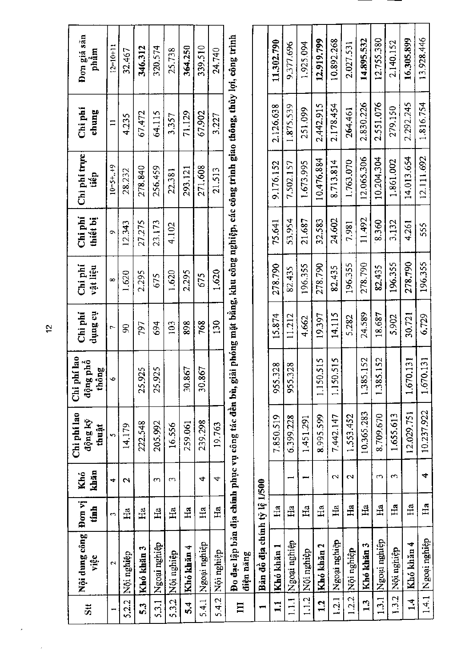| $\overline{\mathbf{5}}$ | Nội dung công<br>việc        | Đơn vị<br>tính       | khăn<br>Khó              | Chi phi lao<br>động kỹ<br>thuật | Chi phi lao<br>động phổ<br>thông | th Sunp<br>Chi phí | Chi<br>vật liệu | Chi phí<br>thiết bị | Chi phi trực<br>tiêp                                                                                                                    | Chi phi<br>chung | Đơn giá sản<br>phâm |
|-------------------------|------------------------------|----------------------|--------------------------|---------------------------------|----------------------------------|--------------------|-----------------|---------------------|-----------------------------------------------------------------------------------------------------------------------------------------|------------------|---------------------|
|                         | $\mathbf{\tilde{N}}$         | $\mathbf{\tilde{z}}$ | 4                        | î,                              | Ó                                | Ļ,                 | $\infty$        | Ö                   | $10 = 5 + . + 9$                                                                                                                        | $\Xi$            | $12 = 10 + 11$      |
| 5.2.2                   | Nội nghiệp                   | Ea                   | $\mathbf{\Omega}$        | 14.179                          |                                  | g                  | 1.620           | 12.343              | 28,232                                                                                                                                  | 4.235            | 32.467              |
| 33                      | Khó khăn 3                   | Ha                   |                          | 222.548                         | 25.925                           | 797                | 2.295           | 27.275              | 278.840                                                                                                                                 | 67.472           | 346.312             |
| 5.3.1                   | Ngoai nghiệp                 | Ha                   | $\sim$                   | 205.992                         | 25.925                           | 694                | 675             | 23.173              | 256,459                                                                                                                                 | 64.115           | 320.574             |
| 5.3.2                   | Nội nghiệp                   | $_{\rm Ha}$          | S                        | 16.556                          |                                  | 103                | 1,620           | 4.102               | 22.381                                                                                                                                  | 3.357            | 25.738              |
| उँ                      | Khó khăn 4                   | Ha                   |                          | 259.061                         | 30.867                           | 898                | 2.295           |                     | 293.121                                                                                                                                 | 71.129           | 364.250             |
| 5.4.1                   | Ngoại nghiệp                 | $_{\rm Ha}$          | 4                        | 239.298                         | 30.867                           | 768                | 675             |                     | 271.608                                                                                                                                 | 67.902           | 339.510             |
| 5.4.2                   | Nội nghiệp                   | Ha                   | 4                        | 19.763                          |                                  | 130                | 1.620           |                     | 21.513                                                                                                                                  | 3.227            | 24.740              |
| $\overline{\mathbf{u}}$ | điện năng                    |                      |                          |                                 |                                  |                    |                 |                     | Đo đạc lập bản địa chính phục vụ công tác đền bù, giải phóng mặt bằng, khu công nghiệp, các công trình giao thông, thủy lợi, công trình |                  |                     |
|                         | Bản đồ địa chính tỷ lệ 1/500 |                      |                          |                                 |                                  |                    |                 |                     |                                                                                                                                         |                  |                     |
| $\Xi$                   | Khó khăn 1                   | Ha                   |                          | 7.850.519                       | 955.328                          | 15.874             | 278.790         | 75.641              | 9.176.152                                                                                                                               | 2.126.638        | 11.302.790          |
| $\frac{11}{11}$         | Ngoại nghiệp                 | H <sub>a</sub>       | $\overline{\phantom{0}}$ | 6.399.228                       | 955.328                          | 11.212             | 82.435          | 53.954              | 7.502.157                                                                                                                               | 1.875.539        | 9.377.696           |
| 1.1.2                   | Nội nghiệp                   | Ha                   | −                        | 1,451,291                       |                                  | 4.662              | 196.355         | 21.687              | 1.673.995                                                                                                                               | 251.099          | 1.925.094           |
| 12                      | Khó khăn 2                   | Ha                   |                          | 8.995.599                       | 1.150.515                        | 19.397             | 278.790         | 32.583              | 10.476.884                                                                                                                              | 2.442.915        | 12.919.799          |
| 1.2.1                   | Ngoại nghiệp                 | H <sub>a</sub>       | $\mathbf{\sim}$          | 7.442.147                       | 1.150.515                        | 14.115             | 82,435          | 24.602              | 8.713.814                                                                                                                               | 2.178.454        | 10.892.268          |
| 1.2.2                   | Nội nghiệp                   | $\tilde{H}$          | $\mathbf{C}$             | 1.553.452                       |                                  | 5.282              | 196.355         | 7.981               | 1.763.070                                                                                                                               | 264.461          | 2.027.531           |
| 1.3                     | Khó khăn 3                   | Ha                   |                          | 10.365.283                      | 152<br>1.385.                    | 24.589             | 278.790         | 11.492              | 12.065.306                                                                                                                              | 2.830.226        | 14.895.532          |
| 1.3.1                   | Ngoại nghiệp                 | Ha                   | 3                        | 8.709.670                       | 152<br>1.385.                    | 18,687             | 82.435          | 8.360               | 10.204.304                                                                                                                              | 2.551.076        | 12.755.380          |
| 1.3.2                   | Nội nghiệp                   | Ha                   | $\sim$                   | 1.655.613                       |                                  | 5.902              | 196.355         | 3.132               | 1.861.002                                                                                                                               | 279.150          | 2.140.152           |
| $\frac{4}{11}$          | Khó khăn 4                   | Ha                   |                          | 12,029.751                      | 131<br>1.670.                    | 30.721             | 278.790         | 4.261               | 14.013.654                                                                                                                              | 2.292.245        | 16.305.899          |
|                         | 1.4.1 Ngoại nghiệp           | $H_{\bf a}$          | 4                        | 10.237.922                      | 131<br>1.670.                    | 6.729              | 196.355         | 555                 | 12.111.692                                                                                                                              | 1.816.754        | 13.928.446          |

 $\frac{1}{2}$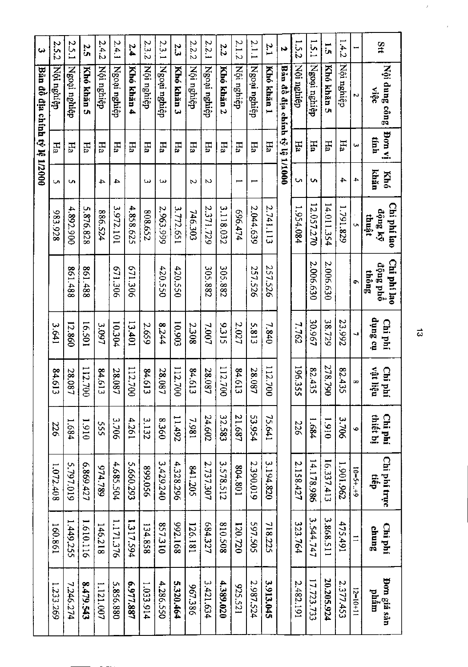| $\bullet$                     | 2.52       | 2.5.1        | 2.<br>S    | 2.4.2      | 2.4.1        | 2.4        | 2.3.2      | 2.3.1        | 23         | 2.2.2      | 2.2.1        | 2.2        | 2.1.2      | 2.1.1        | 2.1        | Ñ                      | 1.5.2      | 1.5.1        | $\overline{\overline{u}}$ | 1.4.2      |            | $3\pi$                           |
|-------------------------------|------------|--------------|------------|------------|--------------|------------|------------|--------------|------------|------------|--------------|------------|------------|--------------|------------|------------------------|------------|--------------|---------------------------|------------|------------|----------------------------------|
| Bần đồ địa chính tỷ lệ 1/2000 | Nội nghiệp | Ngoại nghiệp | Khó khán 5 | Nội nghiệp | Ngoại nghiệp | Khó khản 4 | Nội nghiệp | Ngoại nghiệp | Khó khăn 3 | Nội nghiệp | Ngoại nghiệp | Khó khán 2 | Nội nghiệp | Ngoại nghiệp | Khó khản 1 | Bản đồ địa chính tỷ lệ | Nội nghiệp | Ngoại nghiệp | Khó khán 5                | Nội nghiệp | N          | Nội dung công<br>$\frac{3}{25}$  |
|                               | EЕ         | FR           | FГа        | EН         | FЬ           | EН         | Ha         | Ha           | FIa        | FЫ         | FН           | Ha         | EН         | Ha           | FЫ         |                        | EН         | Нa           | Ha                        | Ha         | ω          | iv noff<br>tinh                  |
|                               | ς,         | u            |            | 4          | ≏            |            | ىي         | ىئ           |            | Z          | N            |            |            | Ţ            |            | <b>DO001/1</b>         | U          | <b>S</b>     |                           | 4          | 4          | khän<br><b>Khó</b>               |
|                               | 826'886    | 4.892.900    | 5.876.828  | 886.524    | 3.972.101    | 4.858.625  | 808.652    | 2.963.999    | 3.772.651  | 746.303    | 2.371.729    | 3.118.032  | 696.474    | 2.044.639    | 2.741.113  |                        | 1.954.084  | 12.057.270   | 14.011.354                | 1.791.829  |            | Chi phí lao<br>động ký<br>thuật  |
|                               |            | 861.488      | 861.488    |            | 671.306      | 671.306    |            | 420.550      | 420.550    |            | 305.882      | 305.882    |            | 257.526      | 257.526    |                        |            | 2.006.630    | 2.006.630                 |            | ¢          | Chi phi lao<br>động phổ<br>thông |
|                               | 3.641      | 12.860       | 16.501     | 3.097      | 10.304       | 13.401     | 2.659      | 8.244        | 10.903     | 2.308      | 7.007        | 9.315      | 2.027      | 5.813        | 7.840      |                        | 7.762      | 30.967       | 38.729                    | 23.992     | J,         | no Sunp<br>Chi phí               |
|                               | 84.613     | 28.087       | 112.700    | 84.613     | 28.087       | 112,700    | 84.613     | 28.087       | 112.700    | 84.613     | 28.087       | 112,700    | 84.613     | 28.087       | 112.700    |                        | 196.355    | 82.435       | 278.790                   | 82.435     | $\infty$   | vật liệu<br>Chi phí              |
|                               | 226        | 1.684        | 1.910      | 555        | 3.706        | 4.261      | 3.132      | 0958         | 11.492     | 7.981      | 24.602       | 32.583     | 21.687     | 53.954       | 75.641     |                        | 226        | 1.684        | 1.910                     | 3.706      | Ŵ          | thiết bị<br>Chi phí              |
|                               | 1.072.408  | 5.797.019    | 6.869.427  | 974.789    | 4.685.504    | 5.660.293  | 899.056    | 3,429,240    | 4.328.296  | 841.205    | 2.737.307    | 3.578.512  | 804.801    | 2.390.019    | 3.194.820  |                        | 2.158.427  | 14.178.986   | 16.337.413                | 1.901.962  | $10=5++9$  | Chi phí trực<br>tiếp             |
|                               | 160.861    | 1.449.255    | 1.610.116  | 146.218    | 1.171.376    | 1.317.594  | 134.858    | 857.310      | 992.168    | 126.181    | 684.327      | 805.018    | 120.720    | 597.505      | 718.225    |                        | 323.764    | 3.544.747    | 3.868.511                 | 475.491    | $\equiv$   | Chi phí<br>sunup                 |
|                               | 1.233.269  | 7.246.274    | 8.479.543  | 1.121.007  | 5.856.880    | 6.977.887  | 1.033.914  | 4.286.550    | 5.320.464  | 967.386    | 3.421.634    | 4.389.020  | 925.521    | 2.987.524    | 3.913.045  |                        | 2.482.191  | 17.723.733   | 20.205.924                | 2.377.453  | $12=10+11$ | <b>Bon giá sân</b><br>phâm       |

 $\vec{\omega}$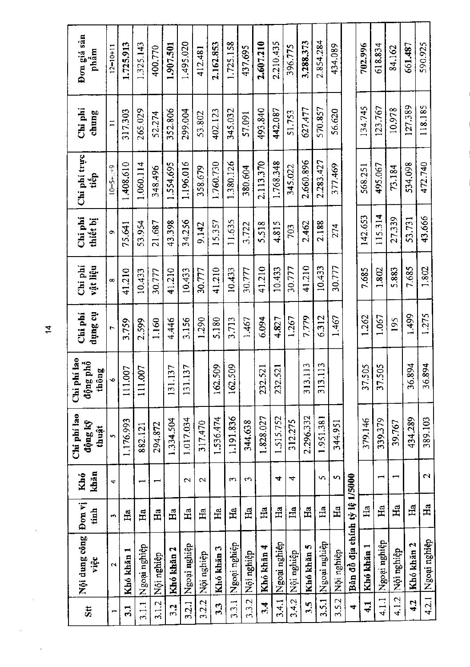| $\ddot{\bm{s}}$ | Nội dung công<br>việc         | Đon vị<br>tính   | khăn<br>Khó     | Chi phi lao<br>động kỹ<br>thuật | Chi phí lao<br>động phổ<br>thông | na Sunp<br>Chi phí | Chi phi<br>vật liệu | Chi phí<br>thiết bị | Chi phi trực<br>tiêp | Chi phi<br>chung | Đơn giá sân<br>mgqd |
|-----------------|-------------------------------|------------------|-----------------|---------------------------------|----------------------------------|--------------------|---------------------|---------------------|----------------------|------------------|---------------------|
|                 | $\mathbf{\tilde{c}}$          | $\sim$           | 4               | S                               | Ý.                               | ٣                  | œ                   | ô                   | $10 = 5 + . + 9$     | $\Xi$            | $12=10+11$          |
| ್ಲ              | Khó khản 1                    | Ea               |                 | 1.176.993                       | 111.007                          | 3.759              | 41.210              | 75.641              | 1,408.610            | 317,303          | 1.725.913           |
| 3.1.1           | dệingu nghiệp                 | Ha               | −               | 882.121                         | 007<br>111.0                     | 2.599              | 10.433              | 53.954              | 1.060.114            | 265.029          | 1.325.143           |
| 3.1.2           | Nội nghiệp                    | $H\mathbf{a}$    |                 | 294.872                         |                                  | 1.160              | 30.777              | 21.687              | 348.496              | 52.274           | 400.770             |
| 32              | Khó khăn 2                    | Ha               |                 | 1.334.504                       | 137<br>131.                      | 4.446              | 41.210              | 43.398              | 1.554.695            | 352.806          | 1.907.501           |
| 3.2.1           | Ngoại nghiệp                  | Ha               | $\mathbf{\sim}$ | 1.017.034                       | 137<br>131                       | 3.156              | 10,433              | 34.256              | 1.196.016            | 299,004          | 1.495.020           |
| 3.2.2           | Nội nghiệp                    | ЕÄ               | $\mathbf{\sim}$ | 317.470                         |                                  | 1,290              | 30.777              | 9,142               | 358.679              | 53.802           | 412.481             |
| 33              | Khó khăn 3                    | £â               |                 | 1.536.474                       | 509<br>162.                      | 5.180              | 41.210              | 15,357              | 1.760.730            | 402.123          | 2.162.853           |
| 3.3.1           | Ngoại nghiệp                  | $\mathbf{H}$     | $\mathfrak{m}$  | 1.191.836                       | 503<br>$\overline{3}$            | 3.713              | 10.433              | 11.635              | 1.380.126            | 345.032          | 1.725.158           |
| 3.3.2           | Nội nghiệp                    | $_{\rm Ha}$      | $\sim$          | 344.638                         |                                  | 1.467              | 30.777              | 3.722               | 380,604              | 57.091           | 437.695             |
| 3.4             | Khó khăn 4                    | Ha               |                 | 1.828.027                       | 521<br>232.                      | 6.094              | 41.210              | 5.518               | 2.113.370            | 493.840          | 2.607.210           |
| 3.4.1           | Ngoại nghiệp                  | Ha               | 4               | 1.515.752                       | 521<br>232.                      | 4.827              | 10.433              | 4.815               | 1.768.348            | 442.087          | 2.210.435           |
| 3.4.2           | Nội nghiệp                    | $H_{\bf a}$      | 4               | 312.275                         |                                  | 1.267              | 30.777              | 703                 | 345.022              | 51.753           | 396,775             |
| 3.5             | Khó khản 5                    | Ea               |                 | 2.296.332                       | 313.113                          | 7.779              | 41.210              | 2.462               | 2.660.896            | 627.477          | 3,288,373           |
| 3.5.1           | Ngoại nghiệp                  | Ha               | S.              | 1.951.381                       | $\frac{13}{2}$<br>313            | 6.312              | 10.433              | 2.188               | 2.283.427            | 570.857          | 2.854.284           |
| 3.5.2           | Nội nghiệp                    | Нa               | S               | 344.951                         |                                  | 1.467              | 30.777              | 274                 | 377.469              | 56.620           | 434.089             |
| 4               | Bản đồ địa chính tỷ lệ 1/5000 |                  |                 |                                 |                                  |                    |                     |                     |                      |                  |                     |
| 4.1             | Khó khăn 1                    | $_{\rm Ha}$      |                 | 379.146                         | 37,505                           | 1.262              | 7.685               | 142.653             | 568.251              | 134.745          | 702.996             |
| 4.1.1           | Ngoại nghiệp                  | Ha               |                 | 339.379                         | 505<br>57.                       | 1.067              | 1.802               | 115.314             | 495.067              | 123.767          | 618.834             |
| 4.1.2           | Nội nghiệp                    | $H_{a}$          |                 | 39.767                          |                                  | 195                | 5.883               | 27,339              | 73.184               | 10.978           | 84.162              |
| 4.2             | Khó khăn 2                    | $H_{a}$          |                 | 434,289                         | 36.894                           | 1.499              | 7.685               | 53.731              | 534.098              | 127.389          | 661.487             |
| 4.2.1           | Ngoại nghiệp                  | $H_{\mathbf{a}}$ | 2               | 389.103                         | 894<br>36.                       | 1.275              | 1.802               | 43.666              | 472.740              | 118.185          | 590.925             |

 $\frac{4}{\pi}$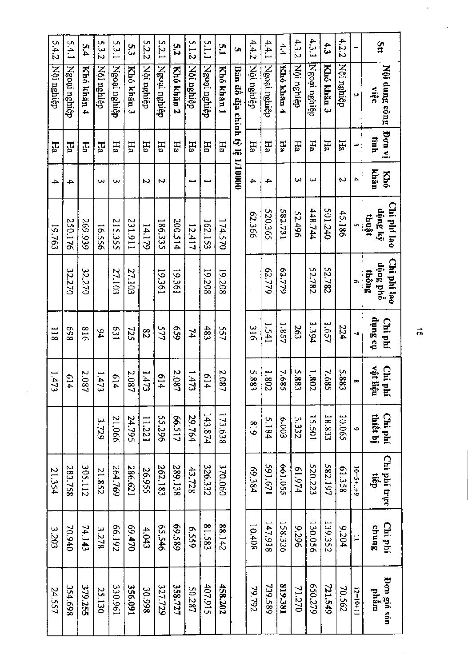| 5.4.2         | 5.4.1        | 5.4        | 5.3.2          | 5.3.1        | ςa         | 5.2.2      | 5.2.1        | 5.2        | 5.1.2      | 5.1.1        | بر<br>سا   | U)                             | 44.2       | 4.4.1        | 4,4        | 4.32       | 4.3.1        | 43         | 4.2.2      |            | 3 <sup>tt</sup>                  |
|---------------|--------------|------------|----------------|--------------|------------|------------|--------------|------------|------------|--------------|------------|--------------------------------|------------|--------------|------------|------------|--------------|------------|------------|------------|----------------------------------|
| Nội nghiệp    | Ngoại nghiệp | Khó khản 4 | Nội nghiệp     | Ngoại nghiệp | Khó khán 3 | Nội nghiệp | Ngoại nghiệp | Khó khản 2 | Nội nghiệp | Ngoại nghiệp | Khó khán 1 | Bản đồ địa chính tỷ lệ 1/10000 | Nội nghiệp | Ngoại nghiệp | Khó khăn 4 | Nội nghiệp | Ngoại nghiệp | Khó khăn 3 | Nội nghiệp | N          | Nội dung công<br>việt            |
| Ha            | Ħа           | Ha         | Ha             | Ha           | Ha         | Ëд         | Ha           | Ha         | EН         | Ha           | Ha         |                                | Ha         | Hа           | Ha         | Ha         | Ha           | Ηā         | Ha         | نيا        | ja uo <sub>f</sub><br>tinh       |
| →             | 4            |            | ω              | ω            |            | N          | N            |            | فسمة       | فسعة         |            |                                | 4          | 4            |            | ω          | ω            |            | Ν          | 4          | khăn<br>Khó                      |
| 19.763        | 250.176      | 269.939    | 16.556         | 215.355      | 131.911    | 14.179     | 186.335      | 200.514    | 12.417     | 162.153      | 174.570    |                                | 993366     | 520.365      | 182,731    | 52.496     | 448.744      | 501.240    | 45.186     | U,         | Chi phí lao<br>động ký<br>thuật  |
|               | 32.270       | 32.270     |                | 27.103       | 27.103     |            | 19361        | 19561      |            | 19.208       | 19.208     |                                |            | 62.779       | 62.779     |            | 52.782       | 52.782     |            | ٠          | Chi phí lao<br>dộng phố<br>thông |
| $\frac{1}{8}$ | 869          | 918        | $\frac{94}{4}$ | 631          | 725        | 82         | 577          | 659        | 74         | 483          | 557        |                                | 316        | 1.541        | 1.857      | 263        | 1.394        | 1.657      | 224        | Ñ,         | no Sunp<br>Chi phí               |
| 1.47<br>ىب    | 614          | 2.08       | 1.473          | 614          | 2.08       | 1.473      | 614          | 2.08       | 1.473      | 614          | 2.08       |                                | 5.883      | 1.802        | 7.685      | 5.883      | 1.802        | 7.685      | 5.883      | œ          | vật liệ<br>Chi phí<br>vật liệu   |
|               |              |            | 3.729          | 21.066       | 24.795     | 11.221     | 55.296       | LIS-99     | 29.764     | 143.874      | 173.638    |                                | 618        | 5.184        | £00°9      | 3.332      | 15.501       | 18.833     | 10.065     | Ğ.         | Chi phí<br>thiết bị              |
| 21.354        | 283.758      | 305.112    | 21.852         | 264.769      | 286.621    | 26.955     | 262.183      | 289.138    | 43.728     | 326.332      | 370.060    |                                | 69.384     | 1291.671     | 550.055    | 476.19     | 520.223      | 582.197    | 61.358     | $10=5+1+9$ | Chi phí trực<br>tiêp             |
| 3.203         | 70.940       | 74.143     | 3.278          | 66.192       | 69.470     | 4.043      | 65.546       | 685'69     | 6559       | 81.583       | 88.142     |                                | 10.408     | 147.918      | 158.326    | 9.296      | 130.056      | 139.352    | 9.204      | Ξ          | Chi phí<br><b>Chung</b>          |
| 24.557        | 354.698      | 379.255    | 25.130         | 130.961      | 356.091    | 30.998     | 327.729      | 358.727    | 50.287     | 407.915      | 458.202    |                                | 79.792     | 739.589      | 819.381    | 71.270     | 620.279      | 721.549    | 20.562     | $12=10+11$ | Don giá sản<br>phâm              |

 $\vec{a}$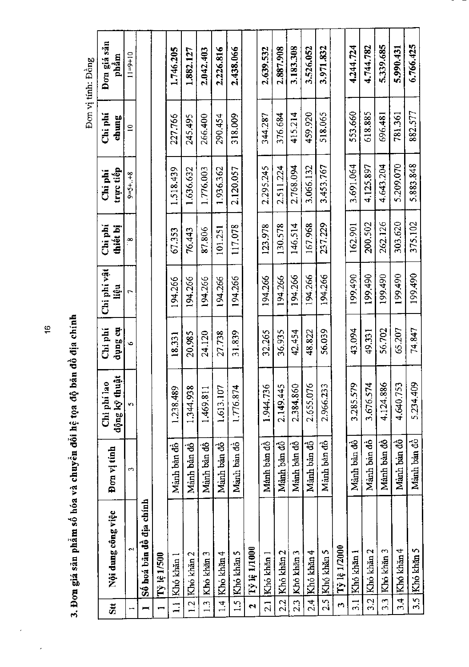|                     |                         |             |                                  |                    |                     |                 |                       |                  | Don vị tính: Đồng   |
|---------------------|-------------------------|-------------|----------------------------------|--------------------|---------------------|-----------------|-----------------------|------------------|---------------------|
| $\mathbf{S}$ tt     | Nội dung công việc      | Đơn vị tính | .,<br>động kỹ thu<br>Chi phí lac | na gunp<br>Chi phí | Chi phi vật<br>liệu | Chi<br>thiết bị | triye tiếp<br>Chi phi | Chi phí<br>chung | Đơn giá sản<br>phầm |
|                     | S                       | $\sim$      | n                                | Ó                  | r                   | ¦∞<br>∶         | $9 - 5 + . + 8$       | $\Xi$            | $11 = 9 + 10$       |
| −                   | Số hoá bân đồ địa chính |             |                                  |                    |                     |                 |                       |                  |                     |
|                     | Tỷ lệ 1/500             |             |                                  |                    |                     |                 |                       |                  |                     |
|                     | 1.1 Khó khăn 1          | Manh ban đồ | 1.238,489                        | 18,331             | 194.266             | 67.353          | 1.518.439             | 227.766          | 1.746.205           |
| $\overline{12}$     | Khó khăn 2              | Manh ban đồ | 1.344.938                        | 20.985             | 194.266             | 76.443          | 1.636.632             | 245.495          | 1.882.127           |
| 1.3                 | Khó khăn 3              | Manh ban dô | 1.469.811                        | 24.120             | 194.266             | 87.806          | 1.776.003             | 266.400          | 2.042.403           |
|                     | 1.4 Kho khān 4          | Manh ban đồ | 1,613.107                        | 27.738             | 194.266             | 101.251         | 1.936.362             | 290.454          | 2.226.816           |
| 1.5                 | Khó khān 5              | Manh ban đồ | 1.776.874                        | 31.839             | 194.266             | 117.078         | 2.120.057             | 318.009          | 2.438.066           |
| $\ddot{\mathbf{c}}$ | <b>Tỷ lệ 1/1000</b>     |             |                                  |                    |                     |                 |                       |                  |                     |
| $\overline{21}$     | Khó khăn 1              | Manh bàn đồ | 1.944.736                        | 32.265             | 194.266             | 123.978         | 2.295.245             | 344.287          | 2.639.532           |
| 2.2                 | Khó khăn 2              | Manh ban đồ | 2.149.445                        | 36.935             | 194.266             | 130.578         | 2.511.224             | 376.684          | 2.887.908           |
| 23                  | Khó khăn 3              | Manh bàn đô | 2.384.860                        | 42.454             | 194.266             | 146.514         | 2.768.094             | 415.214          | 3.183.308           |
| $\frac{1}{2}$       | Khó khăn 4              | Manh ban đồ | 2.655.076                        | 48.822             | 194.266             | 167.968         | 3.066.132             | 459.920          | 3.526.052           |
| 2.5                 | Khó khăn 5              | Manh ban đồ | 2.966.233                        | 56.039             | 194.266             | 237.229         | 3.453.767             | 518.065          | 3.971.832           |
| $\bullet$           | Tỷ lệ 1/2000            |             |                                  |                    |                     |                 |                       |                  |                     |
| $\frac{1}{2}$       | Khó khăn l              | Manh ban đồ | 3.285.579                        | 43.094             | 199,490             | 162.901         | 3.691.064             | 553.660          | 4.244.724           |
| 32                  | Khó khăn 2              | Manh bàn đồ | 3.676.574                        | 49,331             | 199,490             | 200.502         | 4.125.897             | 618.885          | 4.744.782           |
| $\frac{3}{2}$       | Khó khăn 3              | Manh bàn đồ | 4.124.886                        | 56.702             | 199.490             | 262.126         | 4.643.204             | 696.481          | 5,339,685           |
| $3.4 -$             | Khó khăn 4              | Manh ban đồ | 4.640.753                        | 65.207             | 199.490             | 303,620         | 5.209.070             | 781.361          | 5.990.431           |
| 3.5                 | Khó khăn 5              | Manh ban đồ | 5.234.409                        | 74.847             | 199,490             | 375,102         | 5,883,848             | 882.577          | 6.766.425           |

3. Đơn giá sản phẩm số hóa và chuyển đỗi hệ tọa độ bản đồ địa chính

 $\frac{6}{2}$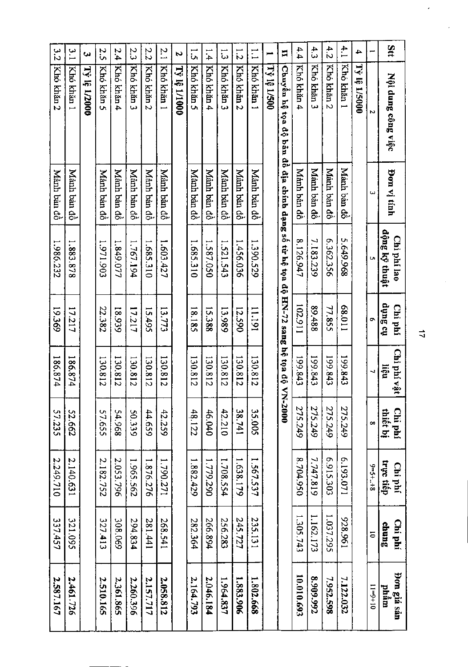| Stt           | Nội dung công việc                | Bon vi tinh          | động kỹ thuật<br>Chi phí lao | no Sunp<br>Chi phí | Chi phí vật<br>liệu          | thiết bị<br>Chi phí | trực tiếp<br>Chi phí | Chi phí<br>chung | Don giá sản<br>phâm |
|---------------|-----------------------------------|----------------------|------------------------------|--------------------|------------------------------|---------------------|----------------------|------------------|---------------------|
|               |                                   | ω                    |                              |                    | ┙                            | œ                   | $3 + 2 + 5 = 6$      | 5                | $11+6=11$           |
| 4             | <b>Ty Ie 1/5000</b>               |                      |                              |                    |                              |                     |                      |                  |                     |
| 4.1           | Khó khăn 1                        | Mánh bản đồ          | 5.649.968                    | 110'89             | 199.843                      | 275.249             | 6.193.071            | 196'826          | 7.122.032           |
| 4.2           | Khó khăn 2                        | Manh ban dò          | 6.362.356                    | 77.855             | 199.843                      | 275.249             | 6.915.303            | 1.037.295        | 7.952.598           |
| 43            | Khó khán 3                        | Mành bản đồ          | 7.183.239                    | 89,488             | 199,843                      | 275.249             | 7.747.819            | 1.162.173        | 8,909.992           |
| 4.4           | Khó khăn 4                        | Manh ban dô          | 8.126.947                    | 102.911            | 199.843                      | 275.249             | 8.704.950            | 1.305.743        | 10.010.693          |
| Ħ             | Chuyên hệ<br>م.<br>و<br>å,<br>nån | ĝ,<br>dia chính dạng | số từ hệ tọn<br>۔<br>وف      |                    | HN-72 sang hệ tọa độ VN-2000 |                     |                      |                  |                     |
| jaar          | <b>Tỷ lệ 1/500</b>                |                      |                              |                    |                              |                     |                      |                  |                     |
| $\Box$        | Khó khản 1                        | Mành bản đồ          | 1.390.529                    | 11,191             | 130.812                      | 35.005              | 1.567.537            | 235.131          | 1.802.668           |
| $\vec{v}$     | Khó khản 2                        | Manh bản đồ          | 1.456.036                    | 12.590             | 130.812                      | 18.741              | 1.638.179            | 245.727          | 1.883.906           |
| ہے<br>سا      | Khó khán 3                        | Mành bản đồ          | 1.521.543                    | 13.989             | 130.812                      | 42.210              | 1.708.554            | 256.283          | 1.964.837           |
| $\frac{1}{4}$ | Khó khán 4                        | Manh bản đô          | 1.587.050                    | 15.388             | 130.812                      | 46.040              | 1.779.290            | 266.894          | 2.046.184           |
| <u>ូ</u>      | Khó khán 5                        | Manh ban dô          | 1.685.310                    | 18.185             | 130.812                      | 48.122              | 1.882.429            | 282.364          | 2,164.793           |
| Ñ             | <b>Ty le 1/1000</b>               |                      |                              |                    |                              |                     |                      |                  |                     |
| 2.1           | Khó khăn 1                        | Manh bản đô          | 1.603.427                    | 13.773             | 130.812                      | 42.259              | 1.790.271            | 268.541          | 2.058.812           |
| 2.2           | Khó khán 2                        | Manh bản đồ          | 1.685.310                    | 15.495             | 130.812                      | 44.659              | 1.876.276            | 141.441          | 2.157.717           |
| 23            | Khó khán 3                        | Mành bàn đồ          | 1.767.194                    | 17.217             | 130.812                      | 50.339              | 1.965.562            | 294.834          | 2.260.396           |
| 2.4           | Khó khán 4                        | Mành bản đô          | 1.849.077                    | 666'81             | 130.812                      | 54.968              | 2.053.796            | 308,069          | 2.361.865           |
| 2.5           | Khó khán 5                        | Manh ban dô          | 1.971.903                    | 22.382             | 130.812                      | 57.655              | 2.182.752            | 327.413          | 2.510.165           |
| Š,            | <b>Tỷ lệ 1/2000</b>               |                      |                              |                    |                              |                     |                      |                  |                     |
| $\frac{1}{2}$ | Khó khán 1                        | Manh bản đồ          | 1.883.878                    | 17.217             | 186.874                      | 52.662              | 2.140.631            | 321.095          | 2.461.726           |
| 3.2           | Kho khăn 2                        | Manh bản đồ          | 1.986.232                    | 19.369             | 186.874                      | 57.235              | 2.249.710            | 337.457          | 2.587.167           |

 $\overrightarrow{4}$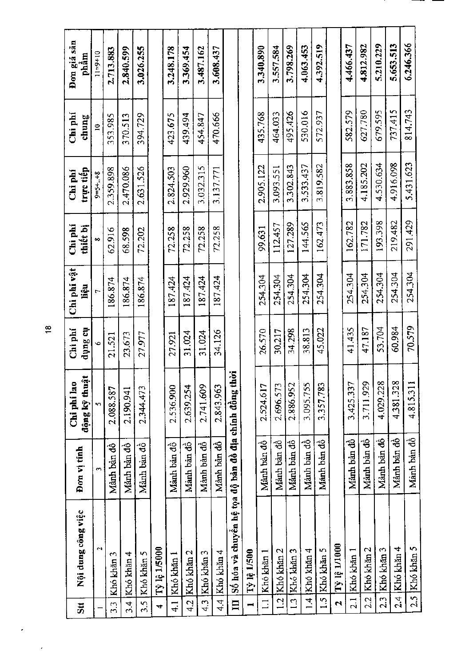| $\overline{\mathbf{5}}$ <sub>ii</sub> | Nội dung công việc                                  | Don vi tinh    | động kỹ thuật<br>Chi phi lao | Chi phi<br>the Sunp | Chi phi vật<br>iệu | Chi phí<br>thiết bị | trực tiếp<br>$\operatorname{Chi}$ phí | Chi phí<br>chung | Đơn giá sản<br>phầm |
|---------------------------------------|-----------------------------------------------------|----------------|------------------------------|---------------------|--------------------|---------------------|---------------------------------------|------------------|---------------------|
|                                       | $\mathbf{\hat{c}}$                                  | $\overline{ }$ | n                            | ò                   |                    | 60                  | $8 + . + 8 = 9$                       | $\tilde{=}$      | $11 - 9 + 10$       |
| $\overline{3}$ .                      | Khó khăn 3                                          | Manh ban đồ    | 2.088.587                    | 21.521              | 186.874            | 62.916              | 2.359.898                             | 353.985          | 2.713.883           |
| ર.<br>બ                               | Khó khăn 4                                          | Manh ban dô    | 2.190.941                    | 23.673              | 186.874            | 68.598              | 2.470.086                             | 370.513          | 2.840.599           |
| 3.5                                   | Khó khăn 5                                          | Manh bản đồ    | 2.344.473                    | 27.977              | 186.874            | 72.202              | 2.631.526                             | 394.729          | 3,026.255           |
| $\rightarrow$                         | Tỳ lệ 1/5000                                        |                |                              |                     |                    |                     |                                       |                  |                     |
| $\frac{1}{4}$                         | Khó khân l                                          | Manh ban dô    | 2.536.900                    | 27.921              | 187.424            | 72.258              | 2.824.503                             | 423.675          | 3.248.178           |
| $\frac{1}{4}$                         | Khó khăn 2                                          | Manh ban đô    | 2.639.254                    | 31.024              | 187.424            | 72.258              | 2.929.960                             | 439.494          | 3.369.454           |
| 4.3                                   | Khó khăn 3                                          | Mành bàn đồ    | 2.741.609                    | 31.024              | 87.424             | 72.258              | 3.032.315                             | 454.847          | 3.487.162           |
| पं<br>पं                              | Khó khăn 4                                          | Manh ban đô    | 2.843.963                    | 34.126              | 187.424            | 72.258              | 3.137.771                             | 470.666          | 3.608.437           |
| $\mathbf{m}$                          | Số hóa và chuyển hệ tọa độ bản đồ địa chính đồng th |                | <u>;ξ</u>                    |                     |                    |                     |                                       |                  |                     |
|                                       | <b>Tỷ lệ 1/500</b>                                  |                |                              |                     |                    |                     |                                       |                  |                     |
| $\Xi$                                 | Khó khăn 1                                          | Manh ban dò    | 2.524.617                    | 26.570              | 254.304            | 99,631              | 2.905.122                             | 435.768          | 3.340.890           |
| $\frac{1}{2}$                         | Khó khăn 2                                          | Manh ban đồ    | 2.696.573                    | 30.217              | 254.304            | 112.457             | 3.093.551                             | 464.033          | 3.557.584           |
| $\frac{1}{2}$                         | Khó khăn 3                                          | Månh bån đô    | 2.886.952                    | 34.298              | 254.304            | 127.289             | 3.302.843                             | 495.426          | 3.798.269           |
| $\vec{A}$                             | Khó khăn 4                                          | Manh ban dò    | 3.095.755                    | 38.813              | 254.304            | 144.565             | 3.533.437                             | 530.016          | 4,063,453           |
| 1.5                                   | Khó khăn 5                                          | Manh bàn đồ    | 3.357.783                    | 45.022              | 254.304            | 162.473             | 3.819.582                             | 572.937          | 4.392.519           |
| $\mathbf{\hat{z}}$                    | Tỷ lệ 1/1000                                        |                |                              |                     |                    |                     |                                       |                  |                     |
| $\overline{21}$                       | Khó khăn 1                                          | Manh bản đồ    | 3.425.337                    | 41.435              | 254.304            | 162.782             | 3.883.858                             | 582.579          | 4.466.437           |
| 2.2                                   | Khó khăn 2                                          | Manh ban đô    | 3.711.929                    | 47.187              | 254.304            | 171.782             | 4.185.202                             | 627.780          | 4,812.982           |
| 2.3                                   | Khó khăn 3                                          | Manh ban đồ    | 4.029.228                    | 53.704              | 254.304            | 193.398             | 4.530.634                             | 679.595          | 5.210.229           |
| 2.4                                   | Khó khăn 4                                          | Mânh bản đồ    | 4.381.328                    | 60.984              | 254.304            | 219.482             | 4.916.098                             | 737.415          | 5.653.513           |
| 2.5                                   | Khó khăn 5                                          | Manh bản đồ    | 4.815.311                    | 70.579              | 254.304            | 291.429             | 5.431.623                             | 814.743          | 6,246.366           |
|                                       |                                                     |                |                              |                     |                    |                     |                                       |                  |                     |

 $\frac{1}{6}$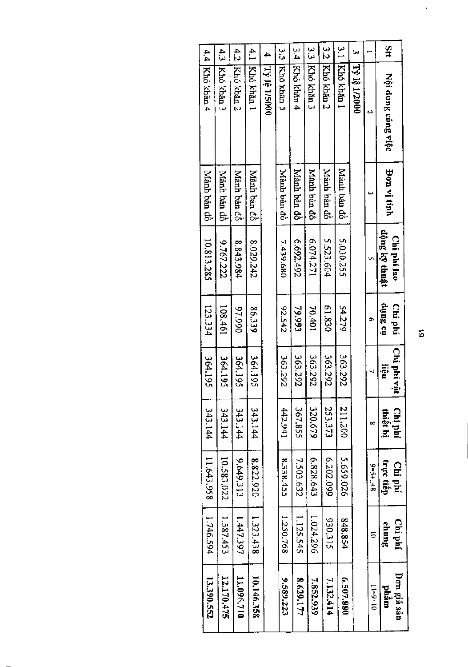|            | Bon vi tính                                                                                                                                                                                 | Chi phí lao | Chi phí       | Chi phí vật  | Chi phí        |               |                                         | Don giá sán<br>phâm |
|------------|---------------------------------------------------------------------------------------------------------------------------------------------------------------------------------------------|-------------|---------------|--------------|----------------|---------------|-----------------------------------------|---------------------|
|            |                                                                                                                                                                                             |             |               |              |                |               |                                         | $11+6+11$           |
|            |                                                                                                                                                                                             |             |               |              |                |               |                                         |                     |
|            |                                                                                                                                                                                             |             |               |              |                |               |                                         |                     |
|            | Manh bản đồ                                                                                                                                                                                 | 5.030.255   | 54.279        | 363.292      | 211.200        | 5.659.026     | 848.854                                 | 6.507.880           |
| Khó khán 2 | do niso hair dô                                                                                                                                                                             | 5.523.604   | 61.830        | 363.292      | 253.373        | 6202.099      | 330.315                                 | 7.132.414           |
|            | Manh ban đồ                                                                                                                                                                                 | 6.074.271   | 70.401        | 363.292      | 320.679        | 6.828.643     | 1.024.296                               | 7.852.939           |
| Khó khăn 4 | Manh ban đô                                                                                                                                                                                 | 264'769'9   | 79.993        | 363.292      | 367.855        | 7.503.632     | 1.125.545                               | 8.629.177           |
| Khó khán 5 | Manh ban đồ                                                                                                                                                                                 | 7.439.680   | 22.542        | 363.292      | 442.941        | 8.338.455     | 1.250.768                               | 9.589.223           |
|            |                                                                                                                                                                                             |             |               |              |                |               |                                         |                     |
|            | Manh ban dô                                                                                                                                                                                 | 8.029.242   | 86.339        | 364.195      | 343.144        | 8.822.920     | 1.323.438                               | 10.146.358          |
|            | <b>Manh ban dô</b>                                                                                                                                                                          | 8.843.984   | 066'16        | 364.195      | <b>143.144</b> | 9.649.313     | 1.447.397                               | 11.096.710          |
| Khó khán 3 | Manh ban dô                                                                                                                                                                                 | 9.767.222   | 108.461       | 364.195      | 343.144        | 10.583.022    | 1.587.453                               | 12.170.475          |
| Khó khản 4 | Manh bản đồ                                                                                                                                                                                 | 10.813.285  | 123.334       | 364.195      | 343.144        | 11.643.958    | 1.746.594                               | 13.390.552          |
|            | $\frac{3}{1}$<br>ن<br>ن<br>ب<br>4<br>ن<br>ن<br>42<br>4.1<br>4.<br>4.4<br>Khó khăn 1<br>[Tỷ lệ 1/2000<br>Khó khán 3<br><b>Tỷ lệ 1/5000</b><br>Khó khán 1<br>Khó khán 2<br>Nội dung công việc |             | dộng ký thuật | no Sunp<br>۰ | nën            | thiết bị<br>∞ | trực tiếp<br>Chi phí<br>$9 = 5 + 1 + 8$ | Chi phí<br>chung    |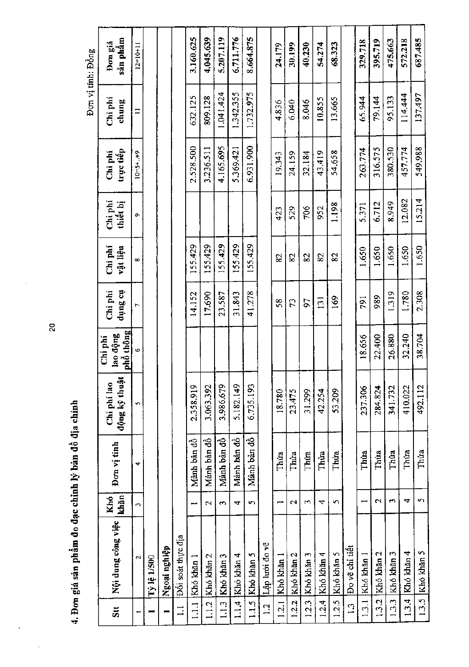|                            |                    |                          |             |                              |                                         |                      |                     |                     |                      | Đơn vị tính: Đồng |                     |
|----------------------------|--------------------|--------------------------|-------------|------------------------------|-----------------------------------------|----------------------|---------------------|---------------------|----------------------|-------------------|---------------------|
| $\overline{\mathbf{S}}$ tt | Nội dung công việc | khăn<br>Khó              | Đơn vị tính | động kỹ thuật<br>Chi phi lao | <u>phổ thông</u><br>lao động<br>Chi phí | the Sutip<br>Chi phi | Chi phí<br>vật liệu | Chi phí<br>thiết bị | trực tiếp<br>Chi phi | Chi phí<br>chung  | sån phâm<br>Đơn giá |
|                            | $\mathbf{\hat{c}}$ | P.                       | ₩           | S                            | $\ddot{\phantom{0}}$                    | Ļ,                   | œ                   | Ō,                  | $10 = 5 + . +9$      | $\Xi$             | $12 = 10 + 11$      |
|                            | <b>Tỷ lệ 1/500</b> |                          |             |                              |                                         |                      |                     |                     |                      |                   |                     |
|                            | Ngoại nghiệp       |                          |             |                              |                                         |                      |                     |                     |                      |                   |                     |
| $\Xi$                      | Dôi soát thực địa  |                          |             |                              |                                         |                      |                     |                     |                      |                   |                     |
| $\frac{1}{2}$              | Khó khăn 1         | $\overline{\phantom{0}}$ | Manh ban dò | 2.358.919                    |                                         | 14.152               | 155.429             |                     | 2.528.500            | 632.125           | 3,160.625           |
| 1.1.2                      | Khó khăn 2         | $\mathbf{r}$             | Mành bản đồ | 3.063.392                    |                                         | 17,690               | 155.429             |                     | 3.236.511            | 809.128           | 4.045.639           |
| 1.13                       | Khó khăn 3         | $\sim$                   | Mành bản đồ | 3.986.679                    |                                         | 23.587               | 155.429             |                     | 4.165.695            | 1.041.424         | 5.207.119           |
| 1.1.4                      | Khó khăn 4         | 4                        | Manh ban đồ | 5.182.149                    |                                         | 31.843               | 155.429             |                     | 5.369.421            | 1.342.355         | 6.711.776           |
| 1.1.5                      | Khó khăn 5         | $\sim$                   | Manh bản đồ | 6.735.193                    |                                         | 41.278               | 155.429             |                     | 6.931.900            | 1.732.975         | 8.664.875           |
| $\frac{1}{2}$              | Lập lưới đo vẽ     |                          |             |                              |                                         |                      |                     |                     |                      |                   |                     |
| 1.2.1                      | Khó khăn           |                          | Thúa        | 18.780                       |                                         | \$8                  | 82                  | 423                 | 19.343               | 4.836             | 24.179              |
| 1.2.2                      | Khó khăn 2         | $\sim$                   | Thưa        | 23.475                       |                                         | 52                   | 82                  | 529                 | 24.159               | 6.040             | 30.199              |
| 1.2.3                      | Khó khăn 3         | m                        | Thua        | 31.299                       |                                         | 57                   | 82                  | 706                 | 32.184               | 8.046             | 40.230              |
| 1.2.4                      | Khó khăn 4         | 4                        | Thúa        | 42.254                       |                                         | 131                  | 82                  | 952                 | 43.419               | 10.855            | 54.274              |
| 1.2.5                      | Khó khăn 5         | 5                        | Thứa        | 53.209                       |                                         | 169                  | 82                  | 1.198               | 54.658               | 13.665            | 68.323              |
| $\frac{3}{2}$              | Đo về chi tiết     |                          |             |                              |                                         |                      |                     |                     |                      |                   |                     |
| 1.3.1                      | Khó khăn 1         |                          | Thúa        | 237.306                      | 18,656                                  | 791                  | 1.650               | 5.371               | 263.774              | 65.944            | 329.718             |
| 1.3.2                      | Khó khăn 2         | $\sim$                   | Thúa        | 284.824                      | 22.400                                  | 989                  | 1.650               | 6.712               | 316.575              | 79.144            | 395.719             |
| 1.3.3                      | Khó khán 3         | $\sim$                   | Thua        | 341.732                      | 26,880                                  | 1.319                | 1.650               | 8.949               | 380.530              | 95.133            | 475.663             |
| 1.3.4                      | Khó khăn 4         | 4                        | Thúa        | 410.022                      | 32.240                                  | 1.780                | 1.650               | 12.082              | 457.774              | 114,444           | 572.218             |
| 1.3.5                      | Khó khăn 5         | 5                        | Thúa        | 492.112                      | 38.704                                  | 2.308                | 1.650               | 15.214              | 549.988              | 137,497           | 687.485             |

4. Đơn giá sản phẩm đo đạc chỉnh lý bản đồ địa chính

 $\overline{20}$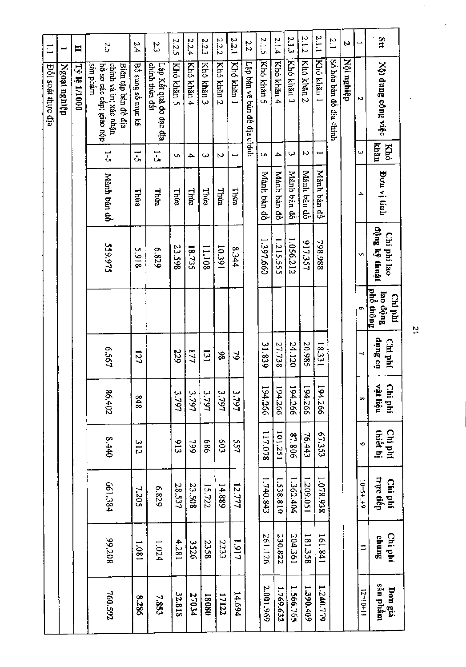| $\Xi$                    | $\blacksquare$ | $\blacksquare$      | 2.5                                                                                 | 2.4               | 2.3                                      | 2.2.5           | 2.2.4      | 2.2.3      | 22.2       | 2.2.1      | 2.2                         | 2.1.5       | 2.1.4       | 2.1.3       | 2.1.2       | 2.1.1       | 2.1                     | Z          |            | Stt                              |
|--------------------------|----------------|---------------------|-------------------------------------------------------------------------------------|-------------------|------------------------------------------|-----------------|------------|------------|------------|------------|-----------------------------|-------------|-------------|-------------|-------------|-------------|-------------------------|------------|------------|----------------------------------|
| <b>Đôi soát thực địa</b> | Ngoại nghiệp   | <b>Tỷ lệ 1/1000</b> | chính và in; xác nhận<br>cản phẩm<br>hồ sơ các cấp; giao nộp<br>Biên tập bản đồ địa | Bô sung sô mục kê | chinh thừa đất<br>Lập Kết quả đo đạc địa | Khó khán 5      | Khó khăn 4 | Khó khán 3 | Khó khăn 2 | Khó khăn 1 | Lập bản vẽ bản đồ địa chính | Khó khăn 5  | Khó khán 4  | Khó khăn 3  | Khó khán 2  | Khó khán 1  | So hoa ban dô dia chính | Nội nghiệp | N          | Nội dung công việc               |
|                          |                |                     | $\frac{1}{2}$                                                                       | $\tilde{c}$       | i.                                       | Ç               | 4          | ω          | N          |            |                             | C,          | 4           | ω           | 2           | سب          |                         |            | ω          | <b>khân</b><br>Khó               |
|                          |                |                     | Mành bản đồ                                                                         | Thùa              | Thira                                    | <b>Thứa</b>     | Thừa       | Thira      | Thira      | Thira      |                             | Mành bản đồ | Mành bản đồ | Mành bản đồ | Mánh bản đồ | Mành bản đồ |                         |            | ≏          | <b>Don vi tinh</b>               |
|                          |                |                     | 559.975                                                                             | <b>S.918</b>      | 6'829                                    | 23.598          | 18.735     | 11.108     | 165'01     | 8.344      |                             | 1.397.660   | 1.215.555   | 1.056.212   | 917.357     | 798.988     |                         |            | c          | động ký thuật<br>Chi phí lao     |
|                          |                |                     |                                                                                     |                   |                                          |                 |            |            |            |            |                             |             |             |             |             |             |                         |            | o,         | phỏ thông<br>lao động<br>Chi phí |
|                          |                |                     | 6.567                                                                               | 127               |                                          | 229             | 17         | 131        | 86         | 3          |                             | 31.839      | 27.738      | 24.120      | 20.985      | 18331       |                         |            | ↵          | tio Butip<br>Chi phí             |
|                          |                |                     | 86,402                                                                              | 848               |                                          | 3.797           | 3.797      | 3.797      | 3.797      | 3.797      |                             | 194.266     | 194.266     | 194.266     | 194.266     | 194.266     |                         |            | œ          | vật liệu<br>Chi phí              |
|                          |                |                     | $0 + 3$                                                                             | 312               |                                          | $\frac{513}{2}$ | 799        | 989        | 503        | 557        |                             | 117.078     | 101,251     | 87.806      | 76.443      | 67.353      |                         |            | ø          | Chi phí<br>thiêt hi              |
|                          |                |                     | 661.384                                                                             | 7.205             | 628'9                                    | 28.537          | 23.508     | 15.722     | 14.889     | 12.777     |                             | 1.740.843   | 1.538.810   | 1.362.404   | 1.209.051   | 1.078.938   |                         |            | $10=5++9$  | trực tiếp<br>Chi phí             |
|                          |                |                     | 807'66                                                                              | 1.081             | 1.024                                    | 4.281           | 3526       | 2358       | 2233       | 1161       |                             | 261.126     | 230.822     | 204.361     | 181.358     | 161.841     |                         |            | ÷,         | Chi phí<br>Sunus                 |
|                          |                |                     | 760.592                                                                             | 82.286            | 7.853                                    | 32.818          | 27034      | 18081      | 17122      | 14.694     |                             | 2.001.969   | 1.769.632   | 1.566.765   | 1.390.409   | 1.240.779   |                         |            | $12=10+11$ | sản phẩm<br>Bon giá              |

 $\tilde{\mathbf{z}}$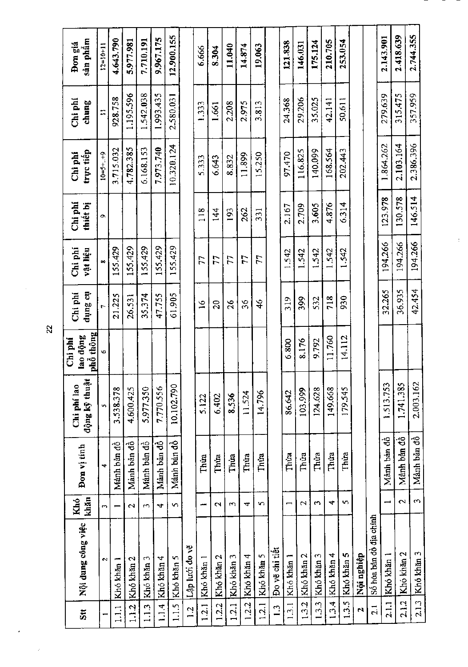| sån phâm<br>Đơn giá                  | $12 = 10 + 11$       | 4.643.790   | 5.977.981          | 7.710.191     | 9,967.175   | 12,900,155  |                | 6.666       | 8.304          | 11.040         | 14.874     | 19,063        |                | 121.838                  | 146.031    | 175.124    | 210.705    | 253.054    |            |                         | 2.143.901      | 2.418.639   | 2.744.355   |
|--------------------------------------|----------------------|-------------|--------------------|---------------|-------------|-------------|----------------|-------------|----------------|----------------|------------|---------------|----------------|--------------------------|------------|------------|------------|------------|------------|-------------------------|----------------|-------------|-------------|
| Chi phí<br>chung                     | $\Xi$                | 928.758     | 1.195.596          | 1.542.038     | 1.993.435   | 2,580.031   |                | 1.333       | 1.661          | 2.208          | 2.975      | 3.813         |                | 24.368                   | 29,206     | 35.025     | 42.141     | 50,611     |            |                         | 279,639        | 315.475     | 357.959     |
| trực tiếp<br>Chi phí                 | $10 = 5 + . + 9$     | 3.715.032   | 4.782.385          | 6.168.153     | 7.973.740   | 10.320.124  |                | 5.333       | 6.643          | 8.832          | 11.899     | 15.250        |                | 97.470                   | 116.825    | 140.099    | 168.564    | 202.443    |            |                         | 1.864.262      | 2.103.164   | 2.386.396   |
| $\operatorname{Chi}$ phi<br>thiết bị | ۰                    |             |                    |               |             |             |                | 118         | $\frac{4}{4}$  | 193            | 262        | 331           |                | 2.167                    | 2.709      | 3.605      | 4.876      | 6.314      |            |                         | 123.978        | 130.578     | 146,514     |
| Chi phi<br>vật liệu                  | $\infty$             | 155.429     | 155.429            | 155.429       | 155.429     | 155.429     |                | 77          | 77             | 2              | 77         | 77            |                | 1.542                    | 1.542      | 1.542      | 1.542      | 1.542      |            |                         | 194,266        | 194.266     | 194.266     |
| the Sunp<br>Chi phí                  | $\ddot{\phantom{0}}$ | 21.225      | 26.531             | 35.374        | 47.755      | 61.905      |                | $\tilde{a}$ | $\mathfrak{g}$ | $\frac{26}{5}$ | 36         | $\frac{6}{4}$ |                | 319                      | 399        | 532        | 718        | 930        |            |                         | 32.265         | 36.935      | 42.454      |
| phổ thông<br>lao động<br>Chi phí     | G                    |             |                    |               |             |             |                |             |                |                |            |               |                | 6.800                    | 8.176      | 9.792      | 11.760     | 14.112     |            |                         |                |             |             |
| động kỹ thuậ<br>Chi phí lao          | In                   | 3.538.378   | 4.600.425          | 5.977.350     | 7.770.556   | 10.102.790  |                | 5.122       | 6.402          | 8.536          | 11.524     | 14.796        |                | 86,642                   | 103,999    | 124.628    | 149.668    | 179.545    |            |                         | 1.513.753      | 1.741.385   | 2.003.162   |
| Đơn vị tính                          | $\overline{a}$       | Manh ban đồ | Mánh bản đồ        | Mảnh bản đồ   | Manh ban đồ | Manh ban đồ |                | Thúa        | Thúa           | Thúa           | Thúa       | Thúa          |                | Thúa                     | Thúa       | Thúa       | Thúa       | Thua       |            |                         | Mành bản đồ    | Mảnh bản đồ | Mành bản đồ |
| khăn<br>Khó                          | m,                   |             | $\mathbf{\hat{c}}$ | $\mathcal{L}$ | 4           | S,          |                | يسم         | $\sim$         | w              | 4          | s.            |                | $\overline{\phantom{0}}$ | 2          | S          | 4          | s.         |            |                         | $\overline{ }$ | $\sim$      | $\omega$    |
| Nội dung công việc                   | $\sim$               | Khó khăn 1  | Khó khăn 2         | Khó khăn 3    | Khó khăn 4  | Khó khăn 5  | Lập lưới đo vẽ | Khó khăn 1  | Khó khăn 2     | Khó khăn 3     | Khó khăn 4 | Khó khăn 5    | Đo vẽ chi tiết | Khó khăn 1               | Khó khăn 2 | Khó khăn 3 | Khó khăn 4 | Khó khăn 5 | Nội nghiệp | Số hóa bản đồ địa chính | Khó khăn 1     | Khó khăn 2  | Khó khăn 3  |
| $\ddot{\overline{5}}$                |                      | 1.1.1       | 1.1.2              | 1.1.3         | 1.4         | 1.1.5       | $\overline{5}$ | 1.2.1       | 1.2.2          | 1.2.1          | 1.2.2      | 1.2.1         | 1.3            | 1.3.1                    | 1.3.2      | 1.3.3      | 1.3.4      | 1.3.5      | N          | $\frac{1}{2}$           | 2.1.1          | 2.1.2       | 2.1.3       |

 $\bar{t}$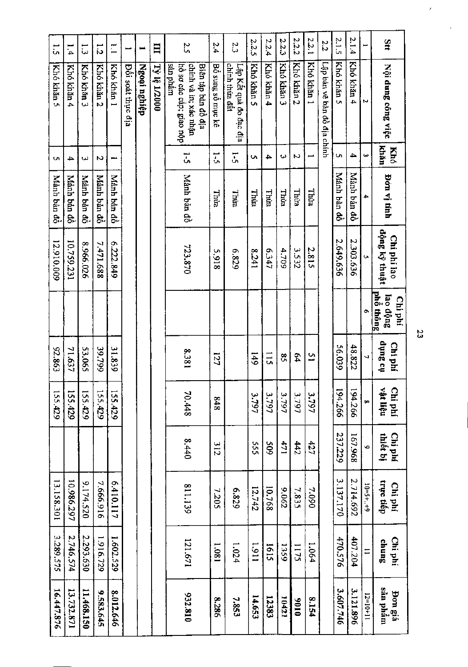| $\ddot{5}$  | 1.4         | $\tilde{\omega}$ | 1.2         | $\overline{\phantom{0}}$ | ىسر                       | $\blacksquare$ | Ħ                   | 2.5                                                                                 | 2.4               | 2.3                                      | 2.2.5      | 2.2.4         | 2.2.3         | 2.2.2      | 2.2.1      | 2.2                         | 2.1.5       | 2.1.4       |                   | as                               |
|-------------|-------------|------------------|-------------|--------------------------|---------------------------|----------------|---------------------|-------------------------------------------------------------------------------------|-------------------|------------------------------------------|------------|---------------|---------------|------------|------------|-----------------------------|-------------|-------------|-------------------|----------------------------------|
| Khó khản 5  | Khó khăn 4  | Khó khán 3       | Khó khán 2  | Khó khán 1               | <b>D</b> ôi soat thực địa | Ngoại nghiệp   | <b>Tÿ lệ 1/2000</b> | san phầm<br>chính và in; xác nhận<br>hồ sơ các cấp; giao nộp<br>Biên tập bản đồ địa | Bo sung so muc kê | chinh thừa đất<br>Lập Kết quả đo đạc địa | Khó khăn 5 | Khó khán 4    | Khó khán 3    | Khó khán 2 | Khó khăn 1 | Lập bản vẽ bản đồ địa chính | Khó khán 5  | Khó khán 4  | N                 | Nội dung công việc               |
| <b>Un</b>   | 4           | س                | N           | مصر                      |                           |                |                     | $\overline{5}$                                                                      | $\frac{1}{2}$     | <u>r</u>                                 | Ō,         | 4             | w             | N          |            |                             | <b>Ch</b>   | 4           | نبا               | khân<br><b>Khó</b>               |
| Manh bản đồ | Manh bản đồ | Mành bản đô      | Manh bản đồ | Manh ban dò              |                           |                |                     | Manh bản đồ                                                                         | Thira             | Thua                                     | Thim       | Thừa          | umit.         | Thira      | Thua       |                             | Mánh bản đồ | Manh bản đồ | ≏                 | Bon vị tính                      |
| 12.910.009  | 10.759.231  | 8.966.026        | 7.471.688   | 6.222.849                |                           |                |                     | 723.870                                                                             | 5.918             | 6.829                                    | 1741       | 747           | 4.709         | 3.532      | 2.815      |                             | 2.649.636   | 2.303.636   | Ç,                | động ký thuật<br>Chi phí lao     |
|             |             |                  |             |                          |                           |                |                     |                                                                                     |                   |                                          |            |               |               |            |            |                             |             |             | م                 | phố thông<br>lao động<br>Chi phí |
| 92.863      | 71.637      | 53.065           | 39.799      | 31.839                   |                           |                |                     | 1853                                                                                | 127               |                                          | 6#1        | $\frac{1}{2}$ | $\frac{8}{5}$ | 54         | 51         |                             | 56.039      | 48.822      | $\overline{a}$    | na Bunp<br>Chi phí               |
| 155.429     | 155.429     | 155.429          | 155.429     | 155.429                  |                           |                |                     | 70.448                                                                              | 848               |                                          | 3.797      | 3.797         | 3.797         | 3.797      | 3.797      |                             | 194.266     | 194.266     | $\bullet$         | vật liệu<br>Chi phí              |
|             |             |                  |             |                          |                           |                |                     | 8.440                                                                               | 312               |                                          | SSS.       | 60\$          | 1/1           | 442        | 427        |                             | 237.229     | 167.968     | Ó                 | thiết bị<br>Chi phí              |
| 13.158.301  | 10.986.297  | 9.174.520        | 7.666.916   | 6.410.117                |                           |                |                     | 811.139                                                                             | 7.205             | 6'829                                    | 12.742     | 10.768        | 20062         | 7.835      | 7.090      |                             | 3.137.170   | 2.714.692   | $5 - 10 - 3 + 10$ | trực tiếp<br>Chi phí             |
| 3.289.575   | 2.746.574   | 2.293.630        | 1.916.729   | 1.602.529                |                           |                |                     | 121.671                                                                             | 1.081             | 1.024                                    | 1.911      | 1615          | 1359          | 1175       | 1.064      |                             | 470.576     | 407.204     | $=$               | Chi phí<br>chung                 |
| 16.447.876  | 13.732.871  | 11,468,150       | 9.583.645   | 8.012.646                |                           |                |                     | 932.810                                                                             | 8.286             | 7.853                                    | 14.653     | 12383         | 10421         | 0106       | 8.154      |                             | 3.607.746   | 3.121.896   | $12=10+11$        | mân phâm<br>Pon giá              |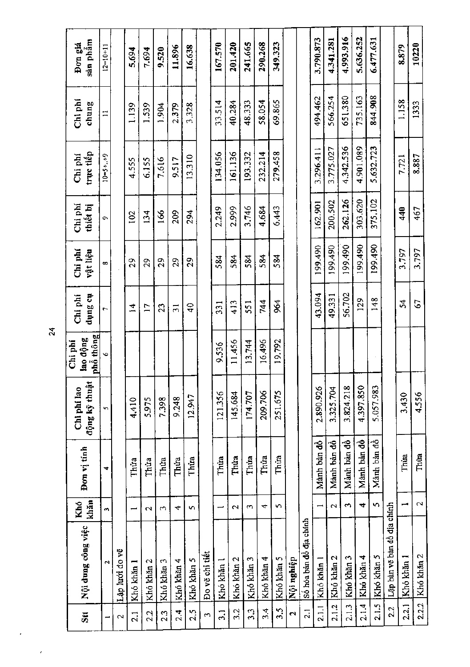| $\overline{\mathbf{5}}$ | Nội dung công việc          | khăn<br>Khó              | Đơn vị tính | động kỹ thuật<br>Chi phi lao | phố thông<br>lao động<br>$\operatorname{Chi}$ phi | th Sunp<br>Chi phí | Chi phí<br>vật liệu | Chi phi<br>thiết bị | trực tiếp<br>Chi phi | Chi phí<br>chung | sån phâm<br>Đơn giá |
|-------------------------|-----------------------------|--------------------------|-------------|------------------------------|---------------------------------------------------|--------------------|---------------------|---------------------|----------------------|------------------|---------------------|
|                         | $\mathbf{\tilde{c}}$        | $\sim$                   | ₹           | r.                           | ۱Q.                                               | r,                 | $\infty$            | Ō,                  | $10 - 5 + . + 9$     | Ξ                | $12 = 10 + 11$      |
| $\mathbf{\Omega}$       | Lập lưới đo vẽ              |                          |             |                              |                                                   |                    |                     |                     |                      |                  |                     |
| $\overline{2}$ .        | Khó khăn 1                  | $\overline{\phantom{0}}$ | Thúa        | 4,410                        |                                                   | $\overline{4}$     | $^{29}$             | 102                 | 4.555                | 1.139            | 5.694               |
| 2.2                     | Khó khăn 2                  | $\mathbf{\sim}$          | Thừa        | 5.975                        |                                                   | Ľ                  | 29                  | 134                 | 6.155                | 1.539            | 7.694               |
| 2.3                     | Khó khăn 3                  | $\mathfrak{m}$           | Thưa        | 7.398                        |                                                   | 23                 | 29                  | 166                 | 7,616                | 1.904            | 9.520               |
| य<br>२५                 | Khó khăn 4                  | ෑ                        | Thứa        | 9.248                        |                                                   | $\overline{5}$     | 29                  | 209                 | 9.517                | 2.379            | 11.896              |
| 2.5                     | Khó khăn 5                  | $\sim$                   | Thừa        | 12.947                       |                                                   | Ҿ                  | 29                  | 294                 | 13,310               | 3.328            | 16.638              |
| $\mathfrak{S}$          | Do vẽ chi tiết              |                          |             |                              |                                                   |                    |                     |                     |                      |                  |                     |
| $\overline{3.1}$        | Khó khăn l                  |                          | Thúa        | 121.356                      | 9.536                                             | 331                | 584                 | 2.249               | 134.056              | 33.514           | 167.570             |
| 3.2                     | Khó khăn 2                  | $\sim$                   | Thúa        | 145.684                      | 11.456                                            | 413                | 584                 | 2.999               | 161.136              | 40.284           | 201.420             |
| 3.3                     | Khó khăn 3                  | $\sim$                   | Thứa        | 174.707                      | 13.744                                            | 551                | 584                 | 3.746               | 193,332              | 48.333           | 241.665             |
| 3.4                     | Khó khăn 4                  | 4                        | Thứa        | 209.706                      | 16,496                                            | 744                | 584                 | 4.684               | 232.214              | 58.054           | 290.268             |
| 3.5                     | Khó khăn 5                  | S                        | Thứa        | 251.675                      | 19.792                                            | 964                | 584                 | 6.443               | 279.458              | 69.865           | 349,323             |
| Z                       | Nội nghiệp                  |                          |             |                              |                                                   |                    |                     |                     |                      |                  |                     |
| $\overline{2.1}$        | Số hóa bản đồ địa chính     |                          |             |                              |                                                   |                    |                     |                     |                      |                  |                     |
| 2.11                    | Khó khăn 1                  |                          | Manh bản đồ | 2.890.926                    |                                                   | 43.094             | 199.490             | 162.901             | 3.296.411            | 494.462          | 3.790.873           |
| 2.1.2                   | Khó khăn 2                  | $\mathbf{\mathcal{L}}$   | Manh bản đồ | 3.325.704                    |                                                   | 49.331             | 199.490             | 200.502             | 3.775.027            | 566.254          | 4.341.281           |
| 2.1.3                   | Khó khăn 3                  | $\sim$                   | Mành bản đồ | 3.824.218                    |                                                   | 56.702             | 199.490             | 262.126             | 4.342.536            | 651.380          | 4.993.916           |
| 2.14                    | Khó khăn 4                  | $\overline{\phantom{0}}$ | Manh bàn đồ | 4.397.850                    |                                                   | 129                | 199.490             | 303.620             | 4.901.089            | 735.163          | 5.636.252           |
| 2.1.5                   | Khó khăn 5                  | $\mathbf{\hat{z}}$       | Manh bản đồ | 5.057.983                    |                                                   | $\frac{8}{48}$     | 199.490             | 375,102             | 5.632.723            | 844.908          | 6.477.631           |
| 2.2                     | Lập bản vẽ bản đồ địa chính |                          |             |                              |                                                   |                    |                     |                     |                      |                  |                     |
| 2.2.1                   | Khó khăn 1                  | ⊷                        | Thúa        | 3.430                        |                                                   | $\mathcal{L}$      | 3.797               | 440                 | 7.721                | 1.158            | 8.879               |
| 2.2.2                   | Khó khăn 2                  | $\mathbf{\Omega}$        | Thùa        | 4.556                        |                                                   | G7                 | 3.797               | 467                 | 8.887                | 1333             | 10220               |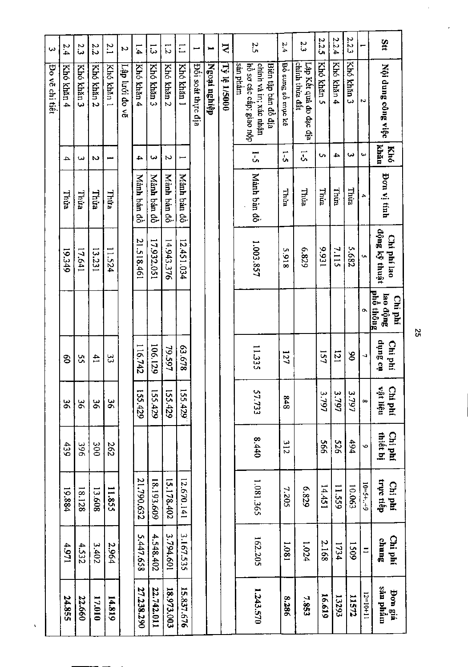| $\omega$       | 2.4        | 2.3        | 2.2           | $\tilde{c}$   | N              | $\overline{1.4}$ | $\tilde{\omega}$ | $\overline{z}$ | $\Xi$       | ىب                | سم           | $\mathbf{\tilde{z}}$ | 2.5                                                                                 | 2.4               | 2.3                                      | 2.2.5       | 2.2.4      | 2.2.3       |                  | Stt                              |
|----------------|------------|------------|---------------|---------------|----------------|------------------|------------------|----------------|-------------|-------------------|--------------|----------------------|-------------------------------------------------------------------------------------|-------------------|------------------------------------------|-------------|------------|-------------|------------------|----------------------------------|
| Bo vẽ chi tiết | Khó khán 4 | Khó khán 3 | Khó khán 2    | Khó khán 1    | Lập lưới đo vẽ | Khó khán 4       | Khó khán 3       | Khó khăn 2     | Khó khán 1  | Đối soát thực địa | Ngoại nghiệp | <b>Tỷ lệ 1/5000</b>  | chinh và in; xác nhận<br>sản phẩm<br>hồ sơ các cấp; giao nộp<br>Biên tập bản đồ địa | Bồ sung số mục kê | chinh thừa đất<br>Lập Kết quả đo đạc địa | Khó khán 5  | Khó khán 4 | Khó khản 3  | N                | Nội dung công việc               |
|                | 4          | ىئ         | N             | $\frac{1}{2}$ |                | 4                | ىئ               | Z.             | ⊷           |                   |              |                      | $\frac{1}{2}$                                                                       | $\overline{1}$    | 5                                        | Ō,          | 4          | ىئ          | ω                | khăn<br>Khó                      |
|                | Thừa       | Thừa       | Thừa          | Thừa          |                | Mành bản đồ      | Mành bản đồ      | Mành bản đồ    | Manh bản đồ |                   |              |                      | Manh ban đồ                                                                         | Thum              | Thừa                                     | <b>Thua</b> | Thừa       | Thira       | ٠                | Bon vị tính                      |
|                | 19.349     | 17.641     | 13.231        | 11.524        |                | 21.518.461       | 17.932.051       | 14.943.376     | 12.451.034  |                   |              |                      | 1.003.857                                                                           | <b>S.918</b>      | 6'839                                    | 156'6       | 7.115      | 5.682       | G                | dộng ký thuật<br>Chi phí lao     |
|                |            |            |               |               |                |                  |                  |                |             |                   |              |                      |                                                                                     |                   |                                          |             |            |             | ۰                | phố thông<br>lao động<br>Chi phí |
|                | ဒ္ဓ        | ς,         | $\mathbf{41}$ | ပ္ပ           |                | 116.742          | 106.129          | 79.597         | 87.678      |                   |              |                      | 11.335                                                                              | 127               |                                          | 157         | 121        | S           | J                | tia Sunp<br>Chí phí              |
|                | ŠΣ         | ă          | 9ç            | δg            |                | 155.429          | 155.429          | 155.429        | 155.429     |                   |              |                      | 57.733                                                                              | 848               |                                          | 3.797       | 3.797      | 3.797       | $\infty$         | Chi phí<br>vật liệu              |
|                | 439        | 396        | 300           | 262           |                |                  |                  |                |             |                   |              |                      | 8.440                                                                               | <b>312</b>        |                                          | 995         | 975        | 494         | $\ddot{\bullet}$ | thiêt bị<br>Chi phí              |
|                | 19.884     | 18.128     | 13.608        | 11.855        |                | 21.790.632       | 18.193.609       | 15.178.402     | 12.670.141  |                   |              |                      | 1.081.365                                                                           | 7.205             | 628'9                                    | 14.451      | 11.559     | 10.063      | $10=5++9$        | trực tiếp<br>Chi phí             |
|                | 1/61       | 4.532      | 3.402         | 2.964         |                | 5.447.658        | 4.548.402        | 3.794.601      | 3.167.535   |                   |              |                      | 162.205                                                                             | 1.081             | 1.024                                    | 2.168       | 1734       | <b>1509</b> | $\equiv$         | Chi phí<br>sunus                 |
|                | 24.855     | 22.660     | 17.010        | 14.819        |                | 27.238.290       | 22.742.011       | 18.973.003     | 15.837.676  |                   |              |                      | 1,243,570                                                                           | 8.286             | 7,853                                    | 16.619      | 13293      | 11572       | $12 = 10 + 11$   | can phâm<br><b>Don</b> giá       |

ŀ,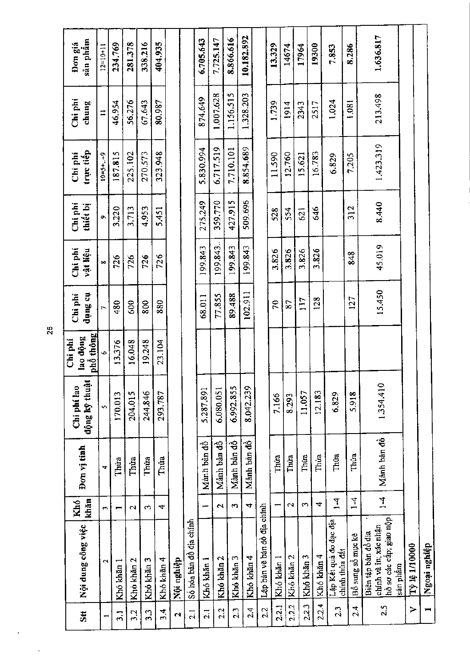| Stt                      | Nội dung công việc                                                                  | khăn<br>Khó              | Đơn vị tinh             | động kỹ thuậi<br>Chi phí lao | phố thông<br>lao động<br>Chi phí | dụng cụ<br>Chi phi | Chi phí<br>vật liệu | Chi phi<br>thiết bị | trực tiếp<br>Chi phí | Chi phi<br>chung | sān phâm<br>Đơn giá |
|--------------------------|-------------------------------------------------------------------------------------|--------------------------|-------------------------|------------------------------|----------------------------------|--------------------|---------------------|---------------------|----------------------|------------------|---------------------|
|                          | 2                                                                                   | m                        | $\mathbf{\overline{u}}$ | S,                           | Ý.                               | $\overline{C}$     | $\infty$            | $\sigma$            | $10 = 5 + . + 9$     | $\equiv$         | $12=10+11$          |
| $\overline{3}$ .         | Khó khăn l                                                                          | $\overline{\phantom{0}}$ | Thúa                    | 170.013                      | 13.376                           | 480                | 726                 | 3.220               | 187.815              | 46,954           | 234.769             |
| 3.2                      | Khó khăn 2                                                                          | $\mathbf{\Omega}$        | Thưa                    | 204.015                      | 16.048                           | 600                | 726                 | 3.713               | 225.102              | 56,276           | 281.378             |
| 3.3                      | Khó khăn 3                                                                          | $\infty$                 | Thứa                    | 244.846                      | 19.248                           | 800                | 726                 | 4.953               | 270.573              | 67.643           | 338.216             |
| $\frac{4}{3}$            | Khó khăn 4                                                                          | 4                        | Thua                    | 293.787                      | 23.104                           | 880                | 726                 | 5.451               | 323.948              | 80.987           | 404.935             |
| $\mathbf{c}$             | Nội nghiệp                                                                          |                          |                         |                              |                                  |                    |                     |                     |                      |                  |                     |
| $\overline{2}$           | Số hóa bản đồ địa chính                                                             |                          |                         |                              |                                  |                    |                     |                     |                      |                  |                     |
| $\overline{2}$ .         | Khó khăn l                                                                          | يسع                      | Manh ban dò             | 5.287.891                    |                                  | 68.011             | 199.843             | 275.249             | 5.830.994            | 874.649          | 6.705.643           |
| 2.2                      | Khó khăn 2                                                                          | $\mathbf{\Omega}$        | Mành bản đồ             | 6.080.051                    |                                  | 77.855             | 199.843.            | 359,770             | 6.717.519            | 1.007.628        | 7.725.147           |
| 2.3                      | Khó khăn 3                                                                          | $\sim$                   | Mành bản đồ             | 6,992.855                    |                                  | 89,488             | 199.843             | 427.915             | 7.710.101            | 1.156.515        | 8.866.616           |
| 2.4                      | Khó khăn 4                                                                          | 4                        | Mảnh bản đồ             | 8.042.239                    |                                  | 102.911            | 199.843             | 509.696             | 8.854.689            | 1.328.203        | 10.182.892          |
| 2.2                      | Lập bản vẽ bản đồ địa chính                                                         |                          |                         |                              |                                  |                    |                     |                     |                      |                  |                     |
| 2.2.1                    | Khó khăn 1                                                                          |                          | Thủa                    | 7.166                        |                                  | 70                 | 3.826               | 528                 | 11.590               | 1.739            | 13.329              |
| 2.2.2                    | Khó khăn 2                                                                          | $\mathbf{\Omega}$        | Thứa                    | 8.293                        |                                  | 87                 | 3.826               | 554                 | 12.760               | 1914             | 14674               |
| 2.2.3                    | Khó khăn 3                                                                          | $\sim$                   | Thứa                    | 11.057                       |                                  | 117                | 3.826               | 621                 | 15.621               | 2343             | 17964               |
| 2.2.4                    | Khó khăn 4                                                                          | 4                        | Thừa                    | 12.183                       |                                  | 128                | 3.826               | 646                 | 16.783               | 2517             | 19300               |
| 2.3                      | Lập Kết quả đo đạc địa<br>chinh thừa đất                                            | $\frac{1}{4}$            | Thúa                    | 6.829                        |                                  |                    |                     |                     | 6.829                | 1.024            | 7.853               |
| 2.4                      | Bồ sung số mục kê                                                                   | $1-4$                    | Thứa                    | 5.918                        |                                  | 127                | 848                 | 312                 | 7,205                | 1.081            | 8.286               |
| 2.5                      | chính và in; xác nhận<br>hồ sơ các cấp; giao nộp<br>Biên tập bản đồ địa<br>sån phâm | $\overline{1}$           | Mảnh bản đồ             | 1,354.410                    |                                  | 15.450             | 45.019              | 8.440               | 1.423.319            | 213.498          | 1.636.817           |
| $\geq$                   | 17 14 1/10000                                                                       |                          |                         |                              |                                  |                    |                     |                     |                      |                  |                     |
| $\overline{\phantom{a}}$ | dşıyan reosil                                                                       |                          |                         |                              |                                  |                    |                     |                     |                      |                  |                     |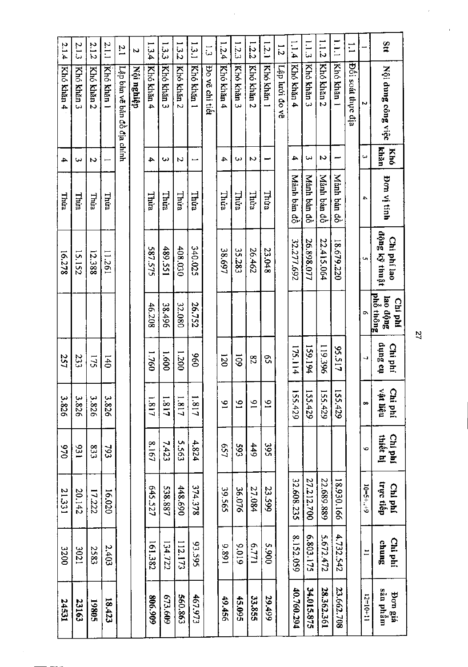|               | 2.1.3<br>Khó khán | 2.1.2<br>Khó khăn 2 | 2.1.1<br>Khó khán 1 | $\overline{2}$ .            | N<br>Nội nghiệp | 1.3.4<br>Khó khăn 4 | 1.3.3<br>Khó khán 3 | 1.3.2<br>Khó khán 2 | 1.3.1<br>Khó khán 1 | ر<br>دن        | 1.2.4<br>Khó khăn 4 | 1.2.3<br>Khó khăn 3 | 1.2.2<br>Khó khản 2 | 1.2.1<br>Khó khán 1 | $\overline{z}$ | 1.1.4<br>Khó khăn 4 | 1.1.3<br>Khó khăn 3 | 1.12<br>Khó khán 2 | E<br>Khó khán 1 | $\Xi$             |                          | Stt                              |
|---------------|-------------------|---------------------|---------------------|-----------------------------|-----------------|---------------------|---------------------|---------------------|---------------------|----------------|---------------------|---------------------|---------------------|---------------------|----------------|---------------------|---------------------|--------------------|-----------------|-------------------|--------------------------|----------------------------------|
| Khó khăn 4    |                   |                     |                     | Lập bản vẽ bản đồ địa chính |                 |                     |                     |                     |                     | Do vẽ chi tiết |                     |                     |                     |                     | Lập lưới đo vẽ |                     |                     |                    |                 | Đối soát thực địa | N                        | Nội dung công việc               |
| $\rightarrow$ | دی                | N                   |                     |                             |                 | $\blacktriangle$    | دب                  | N                   | Ī                   |                | 4                   | دیا                 | Z.                  |                     |                | 4                   | ω                   | Z                  |                 |                   | لما                      | khân<br>Khó                      |
| Thira         | Thừa              | Thira               | <b>Thira</b>        |                             |                 | Thừa                | Thừa                | Thura               | Thúa                |                | Thừa                | Thùa                | Thừa                | Thua                |                | Mảnh bản đồ         | Manh bản đồ         | Mành bản đồ        | Mành bản đồ     |                   | 44                       | Bon vị tính                      |
| 16.278        | 15.152            | 12.388              | 11.261              |                             |                 | 587.575             | 489.551             | 408.030             | 340.025             |                | 38.697              | 35.283              | 26.462              | 23.048              |                | 32.277.692          | 26.898.077          | 22.415.064         | 18.679.220      |                   | Cη,                      | dộng ký thuật<br>Chi phí lao     |
|               |                   |                     |                     |                             |                 | 46.208              | 38.496              | 32.080              | 26.752              |                |                     |                     |                     |                     |                |                     |                     |                    |                 |                   |                          | phổ thông<br>lao động<br>Chi phí |
| 257           | 233               | 175                 | 140                 |                             |                 | 1.760               | 1.600               | 1.200               | 86                  |                | $\overline{\omega}$ | $\overline{60}$     | 82                  | S,                  |                | 175.114             | 159.194             | 119.396            | 75.517          |                   | $\overline{\phantom{a}}$ | tio Sunp<br>Chi phí              |
| 3.826         | 3.826             | 3.826               | 3.826               |                             |                 | 1.817               | 1.817               | 1.817               | 1.817               |                | $\tilde{e}$         | $\mathfrak{S}$      | $\tilde{5}$         | $\overline{9}$      |                | 55.429              | 55.429              | 155,429            | 155.429         |                   | $\infty$                 | vật liệu<br>Chi phí              |
| 970           | 131               | <b>833</b>          | 793                 |                             |                 | 8.167               | 7.423               | 5.563               | 4.824               |                | 657                 | 593                 | 449                 | 395                 |                |                     |                     |                    |                 |                   | v                        | thiết hị<br>Chi phí              |
| 21.331        | 20.142            | 17.222              | 16.020              |                             |                 | 645.527             | 538.887             | 448.690             | 374.378             |                | 39.565              | 36.076              | 27.084              | 23.599              |                | 32.608.235          | 27.212.700          | 22.689.889         | 18.930.166      |                   | $10=5++9$                | trực tiếp<br>Chi phí             |
| 3200          | 120£              | 2583                | 2.403               |                             |                 | 161.382             | 134.722             | 112.173             | 59.595              |                | 168'6               | 9.019               | 177.9               | 006'S               |                | 8.152.059           | 6.803.175           | 5.672.472          | 4.732.542       |                   | Ħ                        | Chi phí<br>chung                 |
| 14531         | 23163             | 19805               | 18.423              |                             |                 | 806.909             | 673.609             | 560.863             | 467.973             |                | 49.456              | 45.095              | 33.855              | 29.499              |                | 40.760.294          | 34.015.875          | 28.362.361         | 23.662.708      |                   | $12 = 10 + 11$           | sān phâm<br><b>Pon</b> giá       |

 $\mathbf{z}$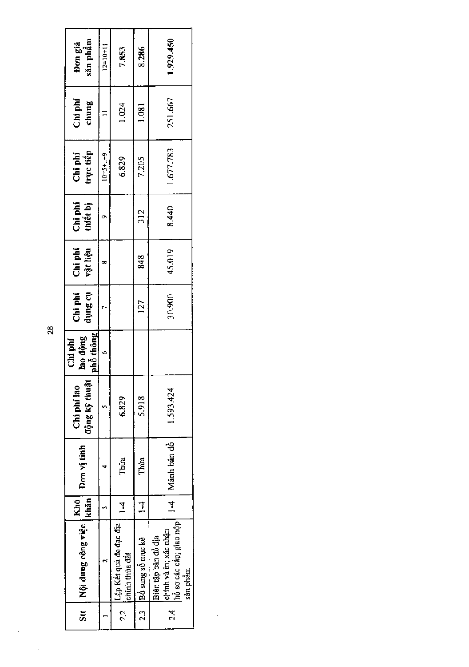i,

 $\overline{a}$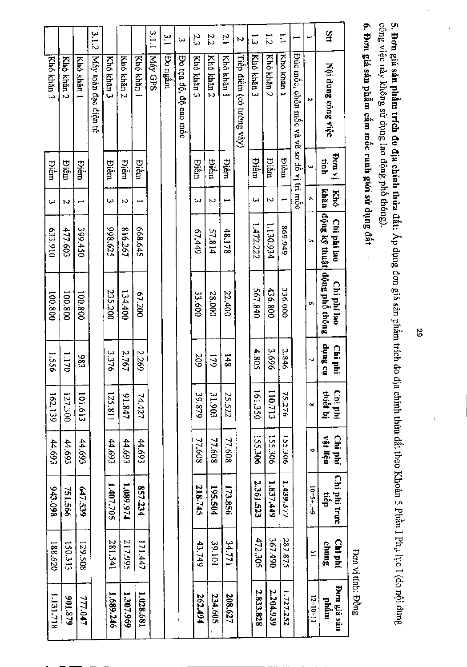| 3.1.1<br>3.1.2<br>ξ,<br>w        |             |            |             |             |                |               |                       | 2.3         | 2.2         | $\overline{c}$ | N                        | $\tilde{\omega}$ | $\overline{5}$ | Ε           |                                          |                  | $2\pi$                                      |  |
|----------------------------------|-------------|------------|-------------|-------------|----------------|---------------|-----------------------|-------------|-------------|----------------|--------------------------|------------------|----------------|-------------|------------------------------------------|------------------|---------------------------------------------|--|
| Máy toàn đạc điện tử<br>Khó khán |             | Khó khản 3 | Khó khán 2  | Khó khán    | <b>Náy GPS</b> | <b>Pongam</b> | Đo tọa độ, độ cao mốc | Khó khán 3  | Khó khăn 2  | Khó khán 1     | Tiếp điềm (có tường vây) | Khó khăn 3       | Khó khán 2     | Kho khan    | Đúc mốc, chân mốc và vẽ sơ đồ vị trí mốc | N                | Nội dung công việc                          |  |
|                                  | <b>Diêm</b> | Điếm       | <b>Piêm</b> | <b>Biềm</b> |                |               |                       | <b>Diêm</b> | <b>Dien</b> | Điếm           |                          | <b>Diêm</b>      | <b>Diêm</b>    | <b>Pien</b> |                                          | ω                | iv mod<br>tinh                              |  |
|                                  |             | ω          | N           |             |                |               |                       | ω           | N           |                |                          | ω                | N              |             |                                          | ₳                | khăn<br><b>Khó</b>                          |  |
| 477.603                          | 399.450     | 398.625    | 816.267     | 668.645     |                |               |                       | 61.449      | 57.814      | 48,178         |                          | 1.472.222        | 1.130.934      | 669.949     |                                          | Ù.               | Chi phi lao                                 |  |
| 100.800                          | 100.800     | 235.200    | 134.400     | 67.200      |                |               |                       | 33.600      | 28.000      | 22.400         |                          | 567.840          | 436.800        | 336.000     |                                          | Ō.               | dong kỹ thuật dộng phố thông<br>Chi phí lao |  |
|                                  | 686         | 3.376      | 2.767       | 2.269       |                |               |                       | 209         | 179         | 8#1            |                          | 4.805            | 3.696          | 2.846       |                                          | ĥ.               | no Sunp<br>Chi phí                          |  |
| 127.300                          | 101.613     | 125.811    | 91.847      | 74.427      |                |               |                       | 39.879      | 31,903      | 25.522         |                          | 161.350          | 110.713        | 75.276      |                                          | œ                | thiết bị<br>Chi phí                         |  |
| 44.693                           | 44.693      | 44.693     | 44.693      | 44.693      |                |               |                       | 77.608      | 77.608      | 77.608         |                          | 155.306          | 155.306        | 155.306     |                                          | Ø                | vật liệu<br>Chi phí                         |  |
| 751.566                          | 647.539     | 1.407.705  | 1.089.974   | 857.234     |                |               |                       | 218.745     | 195.504     | 173.856        |                          | 2.361.523        | 1.837,449      | 1,439.377   |                                          | $6 - 3 + 7 - 61$ | Chi phi trực<br>tiêp                        |  |
| 150.313                          | 129.508     | 281.541    | 217.995     | 171.447     |                |               |                       | 43.749      | 39.101      | 34.771         |                          | 472.305          | 367.490        | 287.875     |                                          | E                | Chi phí<br>chung                            |  |
| 628'106                          | 777.047     | 1.689.246  | 1.307.969   | 1.028.681   |                |               |                       | 262.494     | 234,605     | 208.627        |                          | 2.833.828        | 2.204.939      | 1.727.252   |                                          | $12=10+11$       | Don giá sản<br>ntâm                         |  |

Ł

5. Đơn giá sản phầm trích đo địa chính thửa đất: Áp dụng dơn giá sản phầm trích đo địa chính thừa đất theo Khoản 5 Phần I Phụ lục I (do nội dung<br>công việc này không sử dụng lao động phố thông).

6. Đơn giá sản phẩm cấm mốc ranh giới sử dụng đất

Bon vị tính: Đồng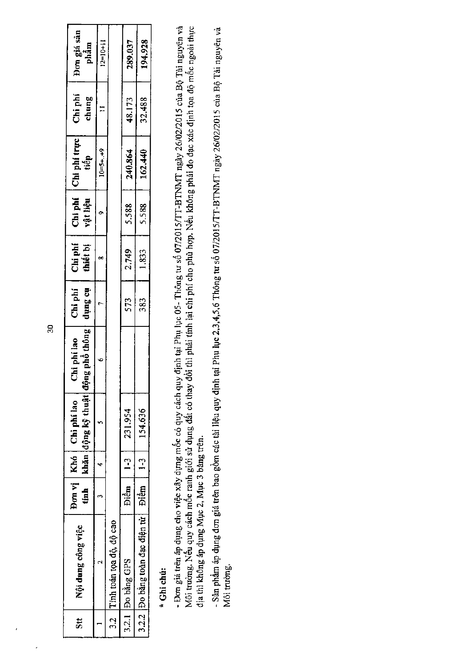| $\sharp$ | Nội dung công việc                    | tinh - | auộp hệng kỳ thuật dong<br>Don vj   Khó   Chi phí lao | $ph\delta$ thông $^{\prime}$<br>Chi phí lao | Chi phi<br>tio Surip | Chi phí<br>thiết bị | Chi phí<br>vật liệu | $\begin{array}{c} \begin{array}{c} \mathbf{1} \\ \hline \end{array} & \begin{array}{c} \mathbf{1} \\ \mathbf{1} \\ \mathbf{1} \end{array} & \begin{array}{c} \mathbf{1} \\ \mathbf{1} \\ \mathbf{1} \end{array} & \begin{array}{c} \mathbf{1} \\ \mathbf{1} \\ \mathbf{1} \end{array} \end{array}$ | $Chi$ phi<br>chung | Đơn giá sản<br>phẩm |
|----------|---------------------------------------|--------|-------------------------------------------------------|---------------------------------------------|----------------------|---------------------|---------------------|----------------------------------------------------------------------------------------------------------------------------------------------------------------------------------------------------------------------------------------------------------------------------------------------------|--------------------|---------------------|
|          |                                       |        |                                                       |                                             |                      |                     |                     | $10 = 5 + . + 9$                                                                                                                                                                                                                                                                                   |                    | $12=10+11$          |
|          | 3.2 Tinh toán tọa độ, độ cao          |        |                                                       |                                             |                      |                     |                     |                                                                                                                                                                                                                                                                                                    |                    |                     |
|          | 3.2.1 Do bằng GPS                     | Điểm   | $ 1-3 $ 231.954                                       |                                             | 573                  | 2.749               | 5.588               | 240.864                                                                                                                                                                                                                                                                                            | 48.173             | 289.037             |
|          | 3.2.2 Do bằng toàn đạc điện từ   Điểm |        | $1-3$   154.636                                       |                                             | 383                  | 1,833               | 5.588               | 162.440                                                                                                                                                                                                                                                                                            | 32.488             | 194.928             |

## \* Ghi chú:

- Đơn giá trên áp dụng cho việc xây dựng mốc có quy cách quy định tại Phụ lục 05- Thông tu số 07/2015/TT-BTNMT ngày 26/02/2015 của Bộ Tài nguyên và<br>Mối trường. Nếu quy cách mốc ranh giới sử dụng đất có thay đổi thì phái tí

- Sản phẩm áp dụng đơn giá trên bao gồm các tài liệu quy định tại Phụ lục 2,3,4,5,6 Thông tư số 07/2015/TT-BTNMT ngày 26/02/2015 của Bộ Tài nguyên và Môi trường.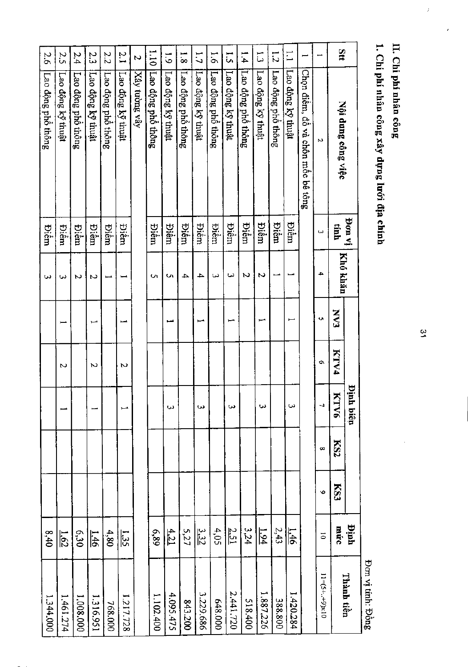II. Chi phi nhân công

 $\hat{t}$ 

1. Chi phí nhân công xây dựng lưới địa chính

Đơn vị tính: Đồng

 $\frac{\omega}{2}$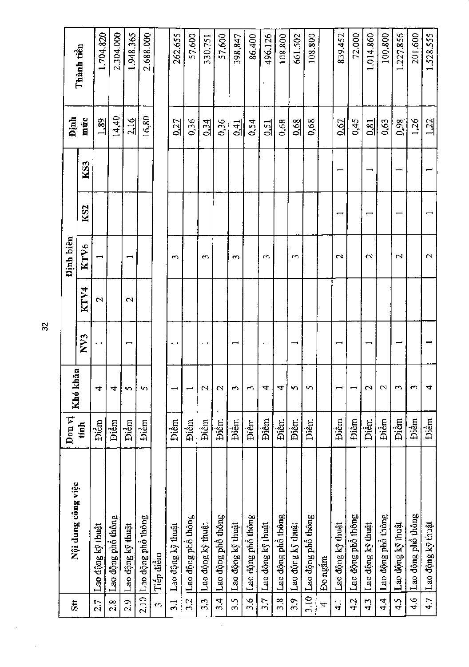|                      |                    | Đơn vị      |                      |                          |                   | Định biên                |                 |     | <b>Dinh</b>      |            |
|----------------------|--------------------|-------------|----------------------|--------------------------|-------------------|--------------------------|-----------------|-----|------------------|------------|
| $st$                 | Nội dung công việc | tinh        | hăn<br>Khó kl        | NV3                      | KTV4              | KTV6                     | KS <sub>2</sub> | KS3 | múc              | Thành tiền |
| 2.7                  | Lao động kỹ thuật  | Điểm        | 4                    | $\overline{\phantom{0}}$ | $\mathbf{\Omega}$ | $\overline{\phantom{0}}$ |                 |     | $\frac{1.89}{1}$ | 1.704.820  |
| 2.8                  | Lao động phổ thông | Điểm        | 4                    |                          |                   |                          |                 |     | 14,40            | 2.304.000  |
| 2.9                  | Lao động kỹ thuật  | Điểm        | S                    | $\overline{\phantom{0}}$ | $\mathbf 2$       | $\overline{\phantom{0}}$ |                 |     | 2.16             | 1.948.365  |
| 2.10                 | Lao động phổ thông | Điểm        | S                    |                          |                   |                          |                 |     | 16,80            | 2.688.000  |
| $\mathbf{\tilde{c}}$ | Tiếp điểm          |             |                      |                          |                   |                          |                 |     |                  |            |
| $\frac{1}{2}$        | Lao động kỹ thuật  | Điềm        |                      | $\overline{\phantom{0}}$ |                   | S                        |                 |     | 0.27             | 262.655    |
| 3.2                  | Lao động phổ thông | Điềm        |                      |                          |                   |                          |                 |     | 0,36             | 57.600     |
| 3.3                  | Lao động kỹ thuật  | Điềm        | 2                    | $\overline{\phantom{0}}$ |                   | $\sim$                   |                 |     | 0.34             | 330.751    |
| 3.4                  | Lao động phổ thông | Điểm        | $\mathbf{\Omega}$    |                          |                   |                          |                 |     | 0,36             | 57,600     |
| 3.5                  | Lao động kỹ thuật  | Điểm        | 5                    | $\overline{\phantom{0}}$ |                   | $\mathfrak{m}$           |                 |     | $\frac{1}{2}$    | 398.847    |
| 3.6                  | Lao động phổ thông | Điềm        | 5                    |                          |                   |                          |                 |     | 0,54             | 86.400     |
| 3.7                  | Lao động kỹ thuật  | Điềm        | 4                    | $\overline{\phantom{0}}$ |                   | S                        |                 |     | 0.51             | 496.126    |
| 3.8                  | Lao động phổ thông | Điểm        | 4                    |                          |                   |                          |                 |     | 0,68             | 108.800    |
| 3.9                  | Lao động kỹ thuật  | Điểm        | n                    | $\overline{\phantom{0}}$ |                   | 5                        |                 |     | 0.68             | 661.502    |
| 3.10                 | Lao động phổ thông | <b>Dièm</b> | S                    |                          |                   |                          |                 |     | 0,68             | 108.800    |
| 4                    | Đo ngắm            |             |                      |                          |                   |                          |                 |     |                  |            |
| $\vec{r}$            | Lao động kỹ thuật  | Điềm        |                      | $\overline{\phantom{0}}$ |                   | $\mathfrak{c}$           |                 |     | 0.67             | 839.452    |
| 4.2                  | Lao động phổ thông | Điềm        |                      |                          |                   |                          |                 |     | 0,45             | 72.000     |
| 43                   | Lao động kỹ thuật  | <b>Diêm</b> | $\mathbf{\sim}$      | $\overline{\phantom{0}}$ |                   | $\mathbf{\sim}$          |                 |     | 0,81             | 1.014.860  |
| प<br>प               | Lao động phổ thông | Điểm        | $\mathbf{\Omega}$    |                          |                   |                          |                 |     | 0,63             | 100.800    |
| 4.5                  | Lao động kỹ thuật  | Điểm        | $\mathbf{\tilde{c}}$ |                          |                   | $\mathbf 2$              |                 | ے   | 0.98             | 1.227.856  |
| $\frac{6}{4}$        | Lao động phổ thông | Điềm        | m                    |                          |                   |                          |                 |     | 1,26             | 201.600    |
| 4.7                  | Lao động kỹ thuật  | Điểm        | 4                    |                          |                   | $\mathbf 2$              |                 |     | 1,22             | 1.528.555  |

ÿ

 $\bar{z}$ 

 $32\,$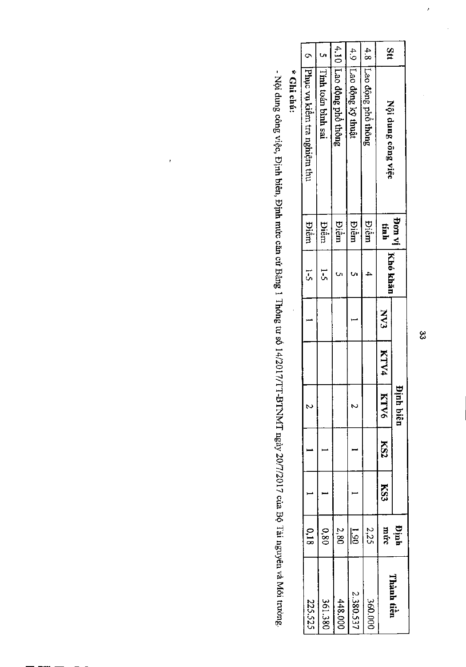|                               |                    |                         |                        |                        | Stt                |                                            |  |
|-------------------------------|--------------------|-------------------------|------------------------|------------------------|--------------------|--------------------------------------------|--|
| 6 Phục vụ kiêm tra nghiệm thu | Timh toán bình sai | 4.10 Lao dộng phố thông | 4.9 ILao dộng kỹ thuật | 4.8 Lao dộng phố thông | Nội dung công việc |                                            |  |
| <b>Diêm</b>                   | <b>Diêm</b>        | <b>Diêm</b>             | <b>Diêm</b>            | <b>Biểm</b>            | tính               |                                            |  |
| J<br>J                        | <u>ւ</u>           |                         |                        |                        |                    | ' <sup>Don vi</sup>   <sub>Khô</sub> khăn' |  |
|                               |                    |                         |                        |                        | <b>EAN</b>         |                                            |  |
|                               |                    |                         |                        |                        | KINA               |                                            |  |
| N                             |                    |                         | N                      |                        | <b>KTV6</b>        | Ĕ<br>nh biên                               |  |
|                               |                    |                         |                        |                        | KS2                |                                            |  |
|                               |                    |                         |                        |                        | KS3                |                                            |  |
| 0,18                          | 0.80               | $2,80$                  | $\overline{5}$         | 2,25                   |                    | Định<br>mức                                |  |
| 225.525                       | 361.380            | 448.000                 | 2.380.537              | 360.000                |                    | Thành tiền                                 |  |

\* Ghi chú:

 $\ddot{\phantom{0}}$ 

- Nội dung công việc, Định biên, Định mức căn cứ Bảng 1 Thông tư số 14/2017/TT-BTNMT ngày 20/7/2017 của Bộ Tải nguyên và Môi trường.

 $\frac{1}{2}$ 

 $\overline{a}$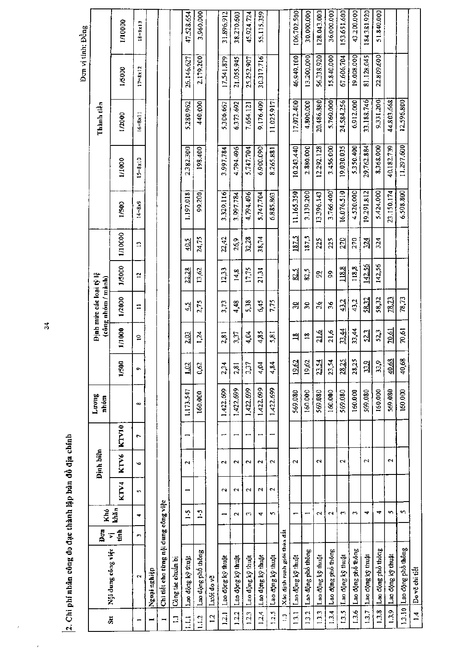|                  | י. לא האת המאוד בהוא המאוד המאוד האת המאוד המאוד המאוד המאוד המאוד המאוד ה |                |                             |                          |                          |                |               |                   |                                          |                                                         |                |                 |                   |                    |            | Don vị tính: Đồng  |                    |
|------------------|----------------------------------------------------------------------------|----------------|-----------------------------|--------------------------|--------------------------|----------------|---------------|-------------------|------------------------------------------|---------------------------------------------------------|----------------|-----------------|-------------------|--------------------|------------|--------------------|--------------------|
|                  |                                                                            | Б<br>Д         | Khó                         |                          | Dinh biên                |                | Luong<br>nhóm |                   |                                          | Pjuh mire các loại tỷ lệ<br>$(c\hat{o}$ ng nhóm / mành) |                |                 |                   |                    | Thành tiền |                    |                    |
| ä                | Nội dung công việc                                                         | r Ś            | khăn                        | KTV4                     | KTV6                     | KTV10          |               | 1/500             | 1/1000                                   | 1/2000                                                  | 1/5000         | 1/10000         | 1/500             | 1/1000             | 1/2000     | 1/5000             | 1/10000            |
|                  | $\mathbf{\tilde{z}}$                                                       | $\blacksquare$ | ÷                           | S                        | G                        | $\overline{ }$ | $\infty$      | c                 | $\mathrel{\mathop{\mathsf{e}}\nolimits}$ | Ξ                                                       | $\mathbf{\Xi}$ | $\mathbb{C}$    | $14 - 8 \times 9$ | $15 = 8 \times 10$ | $6 - 8x11$ | $17 - 8 \times 12$ | $18 - 8 \times 13$ |
|                  | Ngoại nghiệp                                                               |                |                             |                          |                          |                |               |                   |                                          |                                                         |                |                 |                   |                    |            |                    |                    |
|                  | Chi tiết cho từng nội dung công việc                                       |                |                             |                          |                          |                |               |                   |                                          |                                                         |                |                 |                   |                    |            |                    |                    |
| $\square$        | Công tác chuẩn bị                                                          |                |                             |                          |                          |                |               |                   |                                          |                                                         |                |                 |                   |                    |            |                    |                    |
| $\Xi$            | Lao dộng kỳ thuật                                                          |                | $\ddot{ }$ :                | I                        | $\overline{\phantom{0}}$ |                | 1.173.547     | 102               | 2.03                                     | $\frac{1}{4}$                                           | 22.28          | 40.5            | 1.197.018         | 2.382.300          | 5.280.962  | 26.146.627         | 47.528.654         |
| $\frac{12}{2}$   | Lao động phố thông                                                         |                | $\frac{1}{2}$               |                          |                          |                | 160.000       | 0,62              | 1,24                                     | 2,75                                                    | 13,62          | 24,75           | 99,200            | 198,400            | 440,000    | 2.179.200          | 3.960.000          |
| $\overline{1}$   | Luci do ve                                                                 |                |                             |                          |                          |                |               |                   |                                          |                                                         |                |                 |                   |                    |            |                    |                    |
| 1.2.1            | Lao động kỹ thuật                                                          |                |                             | $\sim$                   | $\mathbf{\tilde{c}}$     |                | 1,422.699     | 2,34              | 2,81                                     | 3.73                                                    | 12,33          | 22,42           | 3.329.116         | 3.997.784          | 5.306.667  | 17.541.879         | 31.896.912         |
| 1.2.2            | Lao động kỹ thuật                                                          |                | $\sim$                      | $\overline{\phantom{0}}$ | $\overline{\phantom{0}}$ |                | 1,422.699     | 2,81              | 3,37                                     | 4,48                                                    | 14,8           | 26,9            | 3.997.784         | 4.794.496          | 6.373.692  | 21.055.945         | 38.270.603         |
| 123              | Lao dộng kỹ thuật                                                          |                | ω                           | $\sim$                   | $\overline{\mathbf{c}}$  |                | 1,422,699     | 3,37              | 4,04                                     | 5,38                                                    | 17,75          | 32,28           | 4.794.496         | 5.747.704          | 7.654.121  | 25.252.907         | 45.924.724         |
| 1.2.4            | Lao dộng kỳ thuật                                                          |                | ↽                           | $\mathbf{\mathcal{L}}$   | $\mathbf{\tilde{z}}$     | −              | 1,422.699     | 4,04              | 4,85                                     | 6,45                                                    | 21,31          | 38,74           | 5.747.704         | 6.900.090          | 9.176,409  | 30.317.716         | 55.115.359         |
| 1.2.5            | Lao dong ký thuật                                                          |                | ŗ.                          | 2                        | $\sim$                   |                | 1,422,699     | 4,84              | 5,81                                     | 7,75                                                    |                |                 | 6.885.863         | 8.265.881          | 11.025.917 |                    |                    |
| $\mathbf{r}$     | Xác dịnh ranh giới thùa đất                                                |                |                             |                          |                          |                |               |                   |                                          |                                                         |                |                 |                   |                    |            |                    |                    |
| $\overline{131}$ | Lao dộng kỹ thuật                                                          |                |                             |                          | $\mathbf{r}$             |                | 569.080       | $\frac{19.62}{2}$ | খ                                        | 읬                                                       | 82.5           | 187.5           | 11.165.350        | 10.243.440         | 17.072.400 | 46,949.100         | 106.702.500        |
| 13.2             | Lao động phổ thông                                                         |                | ÷                           |                          |                          |                | 160.000       | 19,62             | $\approx$                                | $30^{\circ}$                                            | 82,5           | 187,5           | 3.139.200         | 2.880.000          | 4,800.000  | 13.200.000         | 30.000.000         |
| 13.3             | Lao động kỹ thuật                                                          |                | N                           |                          | $\sim$                   |                | 569.080       | 23.54             | 216                                      | $\frac{5}{2}$                                           | 의              | 225             | 13,396.143        | 12.292.128         | 20.486.880 | 56.338.920         | 128.043.000        |
| 13.4             | Lao cong phố thông                                                         |                | $\mathbf{\tilde{z}}$        |                          |                          |                | 160.000       | 23,54             | 21,6                                     | $\frac{6}{5}$                                           | g              | 225             | 3.766.400         | 3.456.000          | 5.760.000  | 15.840.000         | 36.000.000         |
| 13.5             | Lao động kỳ thuật                                                          |                | S.                          |                          | 2                        |                | 569.080       | 28.25             | 33.44                                    | 43.2                                                    | 118.8          | 270             | 16.076.510        | 19,030.035         | 24,584.256 | 67.606.704         | 153,651,600        |
| 13.6             | Lao động phổ thông                                                         |                | $\mathcal{C}^{\mathcal{P}}$ |                          |                          |                | 160.000       | tn.<br>28,2       | 33,44                                    | 43,2                                                    | 118,8          | 270             | 4.520.000         | 5.350.400          | 6,912.000  | 19.008.000         | 43.200.000         |
| 1.3.7            | Lao dong ky thuật                                                          |                | 4                           |                          | $\sim$                   |                | 569.080       | 읿                 | $\frac{23}{2}$                           | 58.32                                                   | 142.56         | $\frac{324}{5}$ | 19.291.812        | 29.762.884         | 33.188.746 | 81.128.045         | 184.381.920        |
| 13.8             | Lao động phổ thông                                                         |                | ₹                           |                          |                          |                | 160.000       | 33,9              | 523                                      | 58,32                                                   | 142,56         | 324             | 5.424.000         | 8.368.000          | 9.331.200  | 22.809.600         | 51.840.000         |
| 1.3.9            | Lao động kỳ thuật                                                          |                | ç,                          |                          | 2                        |                | 569.080       | 40.68             | 20.61                                    | 78.73                                                   |                |                 | 23.150.174        | 40.182.739         | 44.803.668 |                    |                    |
| 1.3.10           | Lao động phổ thông                                                         |                | ç,                          |                          |                          |                | 160.000       | 40,68             | 70,61                                    | 78,73                                                   |                |                 | 6.508.800         | 11,297.600         | 12,596.800 |                    |                    |
| $\vec{a}$        | Do vē chi tiết                                                             |                |                             |                          |                          |                |               |                   |                                          |                                                         |                |                 |                   |                    |            |                    |                    |

 $h = h$ ï ri<br>A ¢  $C$ hi nhí nh $\ell$ 

 $\overline{\cdot}$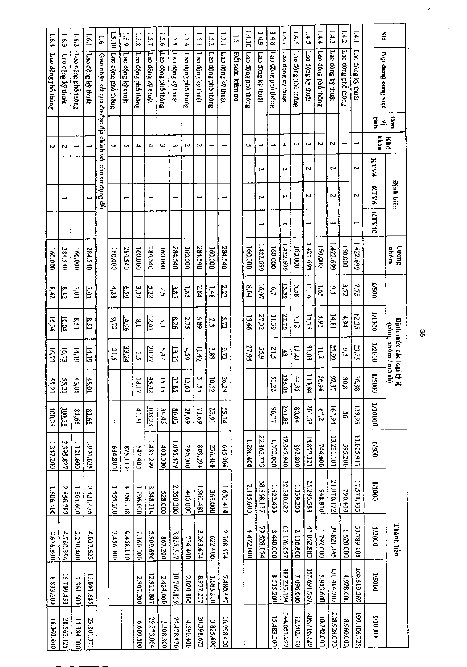| 1.6.4              | 1.6.3                  | 1.62                     | 1.6.1                       | $\overline{9}$                                         | 1.5.10             | 1.5.9             | 1.5.8              | 1.51              | 9.5.1              | 551               | 1.5.4              | $\overline{51}$   | 1.5.2              | 1.5.1             | $\overline{5}$     | 1.4.10             | 611               | 1.4.8                                    | 1.4.7             | 1.4.6              | 1.4.5             | 1.4.4              | 1.4.3             | 1.4.2              | 1.4.1             | Stt                |                                                    |
|--------------------|------------------------|--------------------------|-----------------------------|--------------------------------------------------------|--------------------|-------------------|--------------------|-------------------|--------------------|-------------------|--------------------|-------------------|--------------------|-------------------|--------------------|--------------------|-------------------|------------------------------------------|-------------------|--------------------|-------------------|--------------------|-------------------|--------------------|-------------------|--------------------|----------------------------------------------------|
| Lao dộng phố thông | Lao dộng kỳ thuật      | Lao dộng phổ thông       | Lao động kỳ thuật           | Giao nhận kết quả đo đạc địa chính với chủ sử dụng dất | Lao dộng phỏ thông | Lao dộng kỳ thuật | Lao động phổ thông | Lao động kỹ thuật | Lao dộng phố thông | Lao dộng kỹ thuật | Lao dộng phố thông | Lao động kỹ thuật | Lao dộng phố thông | Lao động kỹ thuật | Đối soát, kiêm tra | Lao động phổ thông | Lao dộng kỹ thuật | Lao dộng phố thông                       | Lao dộng kỹ thuật | Lao dộng phỏ thông | Lao dộng kỹ thuật | Lao dộng phố thông | Lao động kỳ thuật | Lao dộng phỏ thông | Lao dộng ký thuật | Nội dung công việc |                                                    |
|                    |                        |                          |                             |                                                        |                    |                   |                    |                   |                    |                   |                    |                   |                    |                   |                    |                    |                   |                                          |                   |                    |                   |                    |                   |                    |                   | Ŝ<br>Ξ.            | pom                                                |
| N                  | И                      | $\overline{\phantom{0}}$ |                             |                                                        | C.                 | c                 | 4                  | ≏                 | دما                | ىيا               | N                  | N                 | −                  |                   |                    | t۸                 | U                 | ₳                                        | 4                 | ω                  | ىيا               | Z                  | N                 | Ë                  | مبر               | khăn               | Khô                                                |
|                    |                        |                          |                             |                                                        |                    |                   |                    |                   |                    |                   |                    |                   |                    |                   |                    |                    | N                 |                                          | N                 |                    | N                 |                    | N                 |                    | N                 | KTV4               |                                                    |
|                    |                        |                          | Ë                           |                                                        |                    | Ë                 |                    |                   |                    |                   |                    |                   |                    | Ţ                 |                    |                    | N                 |                                          | n                 |                    | Z                 |                    | N                 |                    | N                 | <b>KTV6</b>        | <b>Dinh biên</b>                                   |
|                    |                        |                          |                             |                                                        |                    |                   |                    |                   |                    |                   |                    |                   |                    |                   |                    |                    | ┙                 |                                          | ↔                 |                    | L                 |                    | مسه               |                    |                   | <b>KTV10</b>       |                                                    |
| 160.000            | 284,540                | 160.000                  | 284.540                     |                                                        | 160.000            | 284.540           | 160.000            | 284,540           | 160.000            | 284.540           | 160.000            | 284.540           | 000'091            | 284.540           |                    | 160.000            | 1,422,699         | 160,000                                  | 1422.699          | 160.000            | 1.422.699         | 160.000            | 1.422.699         | 160.000            | 1.422.699         |                    | Tuon <sub>1</sub><br>nhóm                          |
| 8,42               | $\frac{8.42}{5}$       | 7,01                     | <u> 7.01</u>                |                                                        | 4.28               | 6.59              | 3.39               | 5.22              | 2,5                | 3.85              | 1,8.5              | 2.84              | 1,48               | 2.27              |                    | 8,04               | $\frac{16.07}{2}$ | 6,7                                      | 13.39             | 9.58               | $rac{11.16}{11}$  | $59*$              | ٣ç                | 3,72               | 四                 | 005/1              |                                                    |
| 10,04              | <u>। एक</u>            | 158                      | $\frac{1}{2}$               |                                                        | 9,72               | <u>14.96</u>      | $\frac{8}{10}$     | $\frac{12.47}{2}$ | ىن<br>سا           | 8.26              | 2,75               | 689               | 2,3                | $\Omega$          |                    | 13,66              | <u>27.32</u>      | $\overline{\mathfrak{g}}_{\mathfrak{m}}$ | 22.76             | 112                | 17.78             | 565                | <u>14.81</u>      | 7,94               | $\frac{1}{2}$     | 1/1000             |                                                    |
| 16,73              | <u>16.73</u>           | 14,19                    | 14.19                       |                                                        | 21,6               | 33.24             | <b>Li</b>          | 20.77             | 5,42               | 13.53             | 4,59               | $\frac{1147}{11}$ | 3.89               | 2.73              |                    | 27,95              | $\frac{55}{2}$    | 21,5                                     | ١à,               | 13,23              | 33.08             | 11.2               | 27.99             | č                  | 23.75             | 1/2000             | <b>Dinh muce cae loai ty</b><br>(công nhóm / mōnh) |
| U)<br>iz's         | ļU.<br>$\frac{521}{1}$ | 46,01                    | $\frac{46.01}{\frac{1}{2}}$ |                                                        |                    |                   | 18,17              | 45.42             | 15,15              | $\frac{27.85}{2}$ | 12,63              | 31.55             | ă<br>i22           | 26.29             |                    |                    |                   | U,<br>22                                 | 133.01            | 44<br>بن<br>ن      | 110.84            | 36,96              | 92.37             | 30.8               | 76.98             | 2<br>$\tilde{g}$   | -5                                                 |
| 100,38             | 100.38                 | 83,65                    | 83.65                       |                                                        | ÷,                 |                   | 41,31              | 103.23            | 34,43              | EQ 03             | 28,69              | <u>21.69</u>      | 23,91              | 59.74             |                    |                    |                   | 96,77                                    | <u>241.83</u>     | 80,64              | 201.53            | 67,2               | 167.94            | š                  | 139.95            | 00001/1            |                                                    |
| 1.347.200          | 2.395.827              | 1.121.600                | 1.994.625                   |                                                        | 684.800            | 1.875.119         | 542,400            | 1,485.299         | 400.000            | 1.095.479         | 296.000            | 808.094           | 236.800            | 645.906           |                    | 1.286.400          | 22.862.773        | 1.072.000                                | 076'69'61         | 892.800            | 15.877.321        | 744.000            | 13.231.101        | 595.200            | 11.025.917        | 00S/I              |                                                    |
| 1.606.400          | 2.856.782              | 1.361.600                | 2,421,435                   |                                                        | 1.555.200          | 4.256.718         | 1.296.000          | 3.548.214         | 528.000            | 2.350.300         | 440.000            | 1.960.481         | 368.000            | 1.630.414         |                    | 2.185.600          | 38.868.137        | 1.822.400                                | 32.380.629        | 1.139.200          | 25.295,588        | 008.846            | 21.070.172        | 790.400            | 17.570.333        | 0001/1             |                                                    |
| 2.676.800          | 4,760.354              | 2.270.400                | 4.037.623                   |                                                        | 3,456,000          | 01128210          | 2.160.000          | 5.909.896         | 867.200            | 3.855.517         | 734.400            | 3.263.674         | 622.400            | 2.768.574         |                    | 4.472.000          | 79.528.874        | 3.440.000                                | 61.176.057        | 2,116.800          | 47.062.883        | 1.792.000          | 39.821.345        | 1.520.000          | 13.789.101        | 000Z/1             | Thành liền                                         |
| 8.833.600          | 15,709.453             | 7.361.600                | 13.091.685                  |                                                        |                    |                   | 2,907.200          | 12.923.807        | 2,424,000          | 10.769.839        | 2.020.800          | 8.977.237         | 1.683.200          | 7.480.557         |                    |                    |                   | 8.515.200                                | 189.233.194       | 7.096.000          | 157.691.957       | 5,913.600          | 131,414.707       | 4,928.000          | 109.519.369       | 1/5000             |                                                    |
| 16.060.800         | 28.562.125             | 13.384.000               | 23.801.771                  |                                                        |                    |                   | 009'609'9          | 29.373.064        | 5.508.800          | 24.478.976        | 4.590.400          | 20.398.673        | 3.825.600          | 16.998.420        |                    |                    |                   | 15.483.200                               | 344.051.299       | 12,902.400         | 286.716.529       | 10.752.000         | 238.928.070       | 8.960.000          | 199.106.725       | 00001/1            |                                                    |

 $\overline{\phantom{a}}$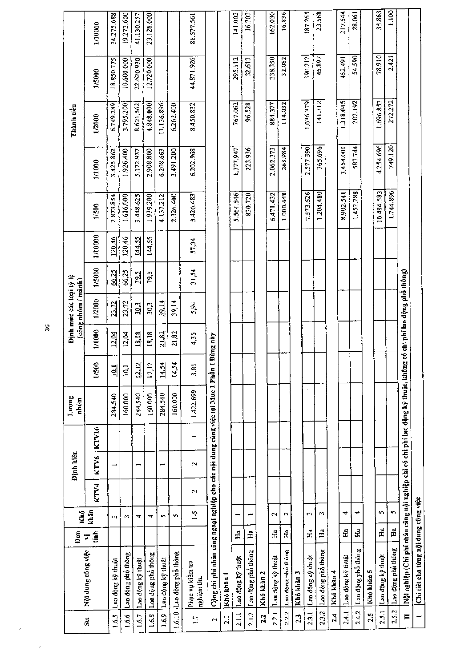|                      |                                                                                                                 | Đơn            | Khó           |        | Định hiên |       | Luong<br>nhóm |                                 |            | Định mức các loại tỷ lệ<br>(công nhóm / mành) |        |         |            |           | Thành tiền |            |            |
|----------------------|-----------------------------------------------------------------------------------------------------------------|----------------|---------------|--------|-----------|-------|---------------|---------------------------------|------------|-----------------------------------------------|--------|---------|------------|-----------|------------|------------|------------|
| $\ddot{s}$           | Nội dung công việc                                                                                              | á<br>Σ         | khăn          | KTV4   | KTV6      | KTV10 |               | 1/500                           | 1/1000     | 1/2000                                        | 1/5000 | 1/10000 | 1/500      | 1/1000    | 1/2000     | 1/5000     | 1/10000    |
| 1.6.5                | Lao động kỹ thuật                                                                                               |                | m             |        | −         |       | 284.540       | 의                               | 12.04      | 23.72                                         | 66.25  | 120,46  | 2,873.854  | 3.425.862 | 6.749.289  | 18.850.775 | 34.275.688 |
| 0.66                 | Lao động phố thông                                                                                              |                | Z             |        |           |       | 160.000       | $\overline{5}$                  | 12,04      | 23,72                                         | 66,25  | 120,46  | 1.616.000  | 1.926.400 | 3.795.200  | 10.600.000 | 19.273.600 |
| 1.6.7                | Lao động kỹ thuật                                                                                               |                | 4             |        |           |       | 284.540       | N<br>$\frac{12}{12}$            | 18.18      | 30.3                                          | 79.5   | 144.55  | 3,448.625  | 5.172.937 | 8.621.562  | 22.620.930 | 41.130.257 |
| 1.6.8                | Las động phổ thông                                                                                              |                | 4             |        |           |       | 160.000       | 12,12                           | 18,18      | 30,3                                          | 79,5   | 144,55  | 1.939.200  | 2.908.800 | 4.848.000  | 12.720.000 | 23.128.000 |
| 1,6,9                | Lao động kỹ thuật                                                                                               |                | S             |        | −         |       | 284.540       | $\overline{ }$<br>$\frac{1}{4}$ | 21.82      | 39.14                                         |        |         | 4.137.212  | 6.208.663 | 11.136.896 |            |            |
| 1.6.10               | Lao động phổ thông                                                                                              |                | $\mathbf{r}$  |        |           |       | 160.000       | 14,54                           | 21,82      | 39,14                                         |        |         | 2.326.400  | 3.491.200 | 6.262.400  |            |            |
| Ξ                    | Phục vụ kiểm tra<br>nghiệm thu                                                                                  |                | $\frac{1}{2}$ | $\sim$ | $\sim$    |       | 1,422.699     | 3,81                            | 4,36       | 5,94                                          | 31,54  | 57,34   | 5.420.483  | 6.202.968 | 8.450.832  | 44.871.926 | 81.577.561 |
| $\mathbf{\tilde{c}}$ | Cộng chi phí nhân công ngaại nghiệp cho các nội dung câng việc tại Mục 1 Phần                                   |                |               |        |           |       |               |                                 | I Bàng này |                                               |        |         |            |           |            |            |            |
| $\overline{21}$      | Khó khăn 1                                                                                                      |                |               |        |           |       |               |                                 |            |                                               |        |         |            |           |            |            |            |
| $\frac{1}{2}$        | Lao động kỹ thuật                                                                                               | $H_{a}$        |               |        |           |       |               |                                 |            |                                               |        |         | 5.564.546  | 1.777.947 | 767.062    | 295.112    | 141.003    |
| 2.1.2                | Lao dộng phổ thông                                                                                              | $H_a$          |               |        |           |       |               |                                 |            |                                               |        |         | 830.720    | 223.936   | 96.528     | 32.613     | 16.703     |
| 2.2                  | Khó khăn 2                                                                                                      |                |               |        |           |       |               |                                 |            |                                               |        |         |            |           |            |            |            |
| 2.2.1                | Laa dong kỹ thuật                                                                                               | Ë              | N             |        |           |       |               |                                 |            |                                               |        |         | 6,471,432  | 2.062.373 | 884.377    | 338.350    | 162.030    |
| 2.2.2                | Lao dong phố thông                                                                                              | £              | N             |        |           |       |               |                                 |            |                                               |        |         | 1.000.448  | 265.984   | 114,032    | 32.082     | 16.836     |
| 2.3                  | Khó khăn 3                                                                                                      |                |               |        |           |       |               |                                 |            |                                               |        |         |            |           |            |            |            |
| 2.3.1                | Lao dộng kỹ thuật                                                                                               | H.             | $\sim$        |        |           |       |               |                                 |            |                                               |        |         | 7.573.626  | 2.577.390 | 1,036.379  | 390.212    | 187.265    |
| 2.3.2                | Lao động phô thông                                                                                              | £              | S             |        |           |       |               |                                 |            |                                               |        |         | 1.204.480  | 365.696   | 141.312    | 45.897     | 23.568     |
| 2.4                  | Khó khăn 4                                                                                                      |                |               |        |           |       |               |                                 |            |                                               |        |         |            |           |            |            |            |
| 24.1                 | Lao động kỹ thuật                                                                                               | H <sub>a</sub> | ↤             |        |           |       |               |                                 |            |                                               |        |         | 8.902.541  | 3,454.001 | 1.318.045  | 452.491    | 217.544    |
| 2.4.2                | Lao dộng phô thông                                                                                              | Ha             | ₹             |        |           |       |               |                                 |            |                                               |        |         | 1,452.288  | 583.744   | 202.192    | 54.590     | 28.061     |
| 2.5                  | Khó khăn 5                                                                                                      |                |               |        |           |       |               |                                 |            |                                               |        |         |            |           |            |            |            |
| 2.5.1                | Lao động kỹ thuật                                                                                               | $\ddot{H}$     | S             |        |           |       |               |                                 |            |                                               |        |         | 10.484.583 | 4.254.696 | 1.696.853  | 78.910     | 35.863     |
| 2.5.2                | Lao dộng phả thông                                                                                              | £              | n             |        |           |       |               |                                 |            |                                               |        |         | 1.744.896  | 749.120   | 272.272    | 2.421      | 1.100      |
| $\blacksquare$       | Nội nghiệp (Chi phí nhân câng nội nghiệp chi có chi phí lao động kỹ thuật, không có chi phí lao động phổ thông) |                |               |        |           |       |               |                                 |            |                                               |        |         |            |           |            |            |            |
| $\blacksquare$       | Chi tiết cha từng nội dung công việc                                                                            |                |               |        |           |       |               |                                 |            |                                               |        |         |            |           |            |            |            |

 $\mathbf{g}$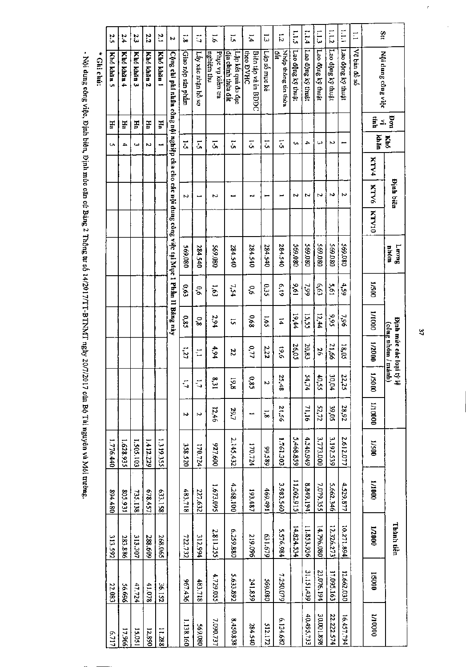|                | 2.5                      | 2.4        | 23         | 2.2        | ĩ,         | P,                                                                                          |                   | Ċ,                         | $\overline{5}$                 | ĩ,                                       | $\ddot{ }$                      | ٢,            | $\vec{v}$                  | 511               | 1.14              | E                 | 1.1.2             | E                 | E            | stt                |                                           |
|----------------|--------------------------|------------|------------|------------|------------|---------------------------------------------------------------------------------------------|-------------------|----------------------------|--------------------------------|------------------------------------------|---------------------------------|---------------|----------------------------|-------------------|-------------------|-------------------|-------------------|-------------------|--------------|--------------------|-------------------------------------------|
| <b>Guichú:</b> | Khó khăn 5               | Khó khān 4 | Khó khán 3 | Khó khán 2 | Khó khán 1 | Cộng chi phí nhân công nội nghiệp cha cho các nội dung công việc tại Mục 1 Phân II Bảng này | Giao nộp sản phầm | Lầy xác nhận hồ sơ         | Phục vụ kiêm tra<br>nghiệm thu | dia chinh thừa đất<br>Lập kết quả đo đạc | the DVHC<br>Biên tập và in BĐĐC | Lâp số mục kê | Nhập thông tín thừa<br>đất | Lao động kỹ thuật | Lao dộng ký thuật | Lao dộng ký thuật | Lao dộng kỳ thuật | Lao động kỷ thuật | Vẽ bản đồ số | Nội dung công việc |                                           |
|                | Ha                       | Ha         | ٣Ē         | Ha         | H          |                                                                                             |                   |                            |                                |                                          |                                 |               |                            |                   |                   |                   |                   |                   |              | ĝ≤.                | <b>Bon</b>                                |
|                | $\overline{\phantom{a}}$ | 4          | ىيا        | N          |            |                                                                                             | ī,                | Σ,                         | $\overline{5}$                 | ζ,                                       | 1.5                             | 5             | $\overline{\overline{a}}$  | c                 | ≏                 | ω                 | ς                 | -                 |              | khăn               | Khó                                       |
|                |                          |            |            |            |            |                                                                                             |                   |                            |                                |                                          |                                 |               |                            |                   |                   |                   |                   |                   |              | KTV4               |                                           |
|                |                          |            |            |            |            |                                                                                             | Z                 |                            | Σ                              |                                          | فيتو                            |               |                            | ς                 | Z                 | Z                 | N                 | Z                 |              | <b>NTV6</b>        | <b>Dinh biên</b>                          |
|                |                          |            |            |            |            |                                                                                             |                   |                            |                                |                                          |                                 |               |                            |                   |                   |                   |                   |                   |              | <b>KTV10</b>       |                                           |
|                |                          |            |            |            |            |                                                                                             | 080'695           | 284.540                    | 080.680                        | 284.540                                  | 284.540                         | 284.540       | 284.540                    | 080'699           | 080'695           | 080'695           | 080'695           | 080'695           |              |                    | Tuonf<br>móna                             |
|                |                          |            |            |            |            |                                                                                             | 6.63              | ٥°                         | 1,63                           | 7,54                                     | ò,6                             | G3S           | 6.19                       | $\frac{9.61}{2}$  | 66'L              | 6,63              | 19.61             | 4,59              |              | 1/500              |                                           |
|                |                          |            |            |            |            |                                                                                             | 683               | $\boldsymbol{8}^{\prime}0$ | 2,94                           | ς,                                       | 6,68                            | 1,65          | $\overline{4}$             | 19,44             | 15,55             | 12,44             | 566               | 96'1              |              | 0001/T             |                                           |
|                |                          |            |            |            |            |                                                                                             | 171               | t                          | 4,94                           | 22                                       | 0,77                            | 2,22          | 9'61                       | 26,05             | 20,83             | 56                | 21,66             | 18,05             |              | 1/2000             | Định mức các loại tỷ<br>(công nhóm / mánh |
|                |                          |            |            |            |            |                                                                                             | G                 | G                          | ∞<br>$\overline{5}$            | 19,8                                     | Φ<br>ė                          | N             | Я<br>48                    |                   | 54<br>्रं         | ਠੈ<br>š           | δ<br>40°          | 22<br>25          |              | 0005/1             | -75                                       |
|                |                          |            |            |            |            |                                                                                             | N                 | Σ                          | 12,46                          | 29,7                                     |                                 | ្ល            | 95.12                      |                   | 71,16             | 52,72             | 39,05             | 28,92             |              | 1/10000            |                                           |
|                | 1.776.440                | 1.628.935  | 1.505.103  | 1412.229   | 1.319.355  |                                                                                             | 358.520           | 170.724                    | 927.600                        | 2,145,432                                | 170.724                         | 99.589        | 1.761.303                  | 5,468.859         | 4.546.949         | 3,773.000         | 3.192.539         | 2.612.077         |              | 1/500              |                                           |
|                | 894.480                  | 805.931    | 735.138    | 678.457    | 633.158    |                                                                                             | 483,718           | 227.632                    | 1.673.095                      | 4.268.100                                | 193,487                         | 469.491       | 3.983.560                  | 11,062.915        | 8.849.194         | 7,079.355         | 5.662.346         | 4.529.877         |              | 0001/1             |                                           |
|                | 313.592                  | 283.886    | 313.307    | 288.609    | 268.065    |                                                                                             | 722.732           | 312.994                    | 2.811.255                      | 6.259.880                                | 219.096                         | 67.679        | 5.576.984                  | 14.824.534        | 11.853.936        | 14.796.080        | 12.326.273        | 10.271.894        |              | 1/2000             | Thành tiền                                |
|                | 22.083                   | 56.696     | 47.724     | 41.078     | 36.152     |                                                                                             | 967.436           | 483.718                    | 4.729.055                      | 5.633.892                                | 241.859                         | 080'695       | 7.250.079                  |                   | 31.151.439        | 23,076.194        | 17.095.163        | 12.662.030        |              | 1/5000             |                                           |
|                | 6.717                    | 17.966     | 15.051     | 12.890     | 11.288     |                                                                                             | 1.138.160         | 569.080                    | 7.090.737                      | 8,450.838                                | 284.540                         | 512.172       | 6.134.682                  |                   | 40.495,733        | 30.001.898        | 22.222.574        | 16.457.794        |              | 00001/1            |                                           |

- Nội dung công việc, Định biên, Định mức căn cứ Bảng 2 Thông tư số 14/2017/TT-BTNMT ngày 20/7/2017 của Bộ Tải nguyên và Môi trường.

 $\overline{27}$ 

 $\frac{1}{2}$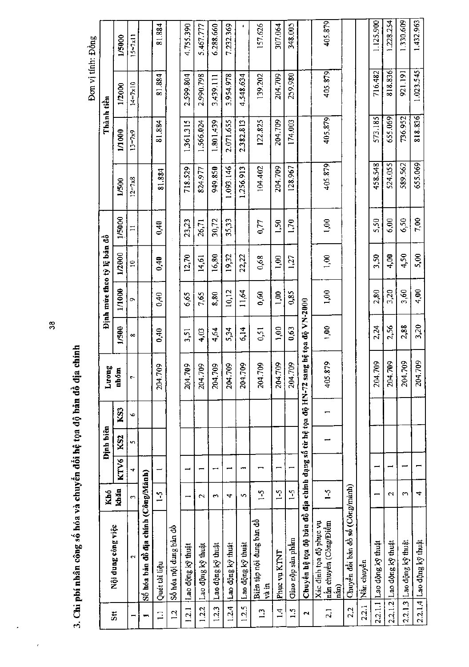|                                      |                                                                 |                      |      |                  |     |                         |                      |        |                            |        |                   |            | Đơn vị tính: Đồng  |                    |
|--------------------------------------|-----------------------------------------------------------------|----------------------|------|------------------|-----|-------------------------|----------------------|--------|----------------------------|--------|-------------------|------------|--------------------|--------------------|
|                                      |                                                                 | Khó                  |      | <b>Dinh biên</b> |     | Tuong                   |                      |        | Định mức theo tỷ lệ bản đồ |        |                   | Thành tiền |                    |                    |
| $\overline{\overline{\overline{5}}}$ | Nội dung công việc                                              | khăn                 | KTV6 | KS <sub>2</sub>  | KS3 | nhóm                    | 1/500                | 1/1000 | 1/2000                     | 1/5000 | 1/500             | 1/1000     | 1/2000             | 1/5000             |
|                                      | $\mathbf{\tilde{c}}$                                            | $\mathbf{\hat{z}}$   | ₹    | Y)               | Ğ.  | r                       | $\infty$             | Ō.     | $\approx$                  | $\Xi$  | $12 = 7 \times 8$ | $3 = 7x9$  | $14 = 7 \times 10$ | $15 = 7 \times 11$ |
|                                      | Số hóa bản đồ địa chính (Công/Mảnh)                             |                      |      |                  |     |                         |                      |        |                            |        |                   |            |                    |                    |
| Ξ                                    | Quét tài liệu                                                   | $\frac{1}{2}$        |      |                  |     | 204.709                 | 0,40                 | 0,40   | 0,40                       | 6,40   | 81.884            | 81.884     | 81.884             | 81.884             |
| $\overline{c}$                       | Số hóa nội dung bản đồ                                          |                      |      |                  |     |                         |                      |        |                            |        |                   |            |                    |                    |
| 1.2.1                                | Lao động kỹ thuật                                               |                      |      |                  |     | 204.709                 | 3,51                 | 6,65   | 12,70                      | 23,23  | 718.529           | 1.361.315  | 2.599.804          | 4.755.390          |
| 1.2.2                                | Lao động kỹ thuật                                               | $\sim$               |      |                  |     | g<br>204.7              | 4,03                 | 7,65   | 14,61                      | 26,71  | 824.977           | 1.566.024  | 2.990.798          | 5.467.777          |
| 12.3                                 | Lao động kỹ thuật                                               | $\mathbf{\tilde{z}}$ |      |                  |     | $\mathfrak{S}$<br>204.7 | 4,64                 | 8,80   | 16,80                      | 30,72  | 949.850           | 1.801.439  | 3.439.111          | 6.288.660          |
| 1.2.4                                | Lao động kỹ thuật                                               | 4                    |      |                  |     | 204.709                 | 5,34                 | 10,12  | 19,32                      | 35,33  | 1.093.146         | 2.071.655  | 3.954.978          | 7.232.369          |
| 1.2.5                                | Lao động kỹ thuật                                               | S                    | ∽    |                  |     | δò,<br>204.7            | 6,14                 | 11,64  | 22,22                      |        | 1.256.913         | 2.382.813  | 4.548.634          | $\blacksquare$     |
| $\mathbb{C}$                         | Biên tập nội dung bản đồ<br>và in                               | $\frac{5}{2}$        |      |                  |     | Ŝ.<br>204.7             | 0,51                 | 0,60   | 0,68                       | 0,77   | 104.402           | 122.825    | 139.202            | 157.626            |
| $\overline{1}$                       | Phục vụ KTNT                                                    | $\sim$               |      |                  |     | 204.709                 | 00,1                 | 1,00   | 00,1                       | 1,50   | 204.709           | 204.709    | 204.709            | 307.064            |
| 1.5                                  | Giao nộp sản phẩm                                               | $1-5$                |      |                  |     | 204.709                 | 0,63                 | 0,85   | 1,27                       | 1,70   | 128.967           | 174.003    | 259,980            | 348.005            |
| N                                    | Chuyền hệ tọa độ bản đồ địa chính dạng số từ hệ tọa độ HN-72 sa |                      |      |                  |     |                         | ng hệ tọa độ VN-2000 |        |                            |        |                   |            |                    |                    |
| $\overline{2}$                       | Xác dinh tọa độ phục vụ<br>nắn chuyền (Công/Điềm<br>năn)        | $-5$                 |      |                  |     | 405.879                 | 00 <sub>1</sub>      | 1,00   | 00,1                       | 00,1   | 405.879           | 405.879    | 405.879            | 405.879            |
| 2.2                                  | Chuyền đồi băn đồ số (Công/mành)                                |                      |      |                  |     |                         |                      |        |                            |        |                   |            |                    |                    |
| 2.2.1                                | Nán chuyên                                                      |                      |      |                  |     |                         |                      |        |                            |        |                   |            |                    |                    |
|                                      | 2.2.1.1 Lao dộng kỹ thuật                                       |                      |      |                  |     | 709<br>204.             | 2,24                 | 2,80   | 3,50                       | 5,50   | 458.548           | 573.185    | 716.482            | 1.125.900          |
|                                      | $2.2.1.2$ Lao dộng kỹ thuật                                     | $\sim$               |      |                  |     | 709<br>204.             | 2,56                 | 3,20   | 4,00                       | 6,00   | 524.055           | 655.069    | 818.836            | 1.228.254          |
|                                      | $2.2.1.3$ Lao dộng kỹ thuật                                     | S                    |      |                  |     | 204.709                 | 2,88                 | 3,60   | 4,50                       | 6,50   | 589.562           | 736.952    | 921.191            | 1.330.609          |
|                                      | 2.2.1.4 Lao dộng kỹ thuật                                       | 4                    |      |                  |     | 709<br>204.             | 3,20                 | 4,00   | 5,00                       | 7,00   | 655.069           | 818.836    | 1.023.545          | 1.432.963          |

 $\ddot{\mathbf{g}}$ 

3. Chi pbí nhân công số hóa và chuyển đối hệ tọa độ bản đồ địa chính

 $\cdot$ 

 $\overline{\phantom{a}}$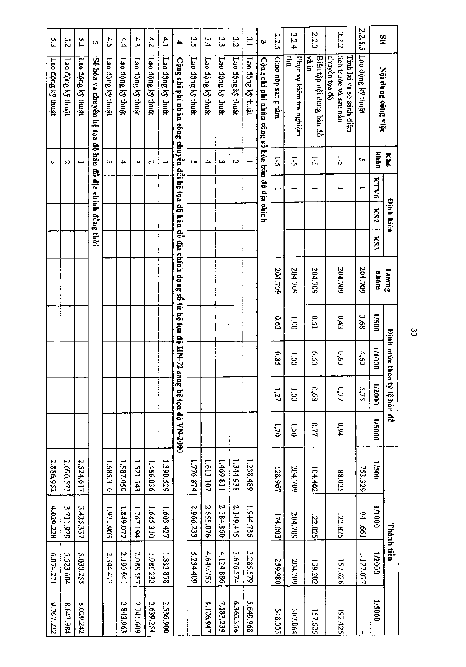|               |                                                                                             | Кhо  |      | <b>Dinh hiên</b> |     | Luong   |       | <b>Dinh</b> mare theo | tỷ lệ bản đồ |                      |           | Thành tiền |           |           |
|---------------|---------------------------------------------------------------------------------------------|------|------|------------------|-----|---------|-------|-----------------------|--------------|----------------------|-----------|------------|-----------|-----------|
| Stt           | Nội dung công việc                                                                          | khăn | KTV6 | KS2              | KS3 | nhóm    | 1/500 | 1/1000                | 1/2000       | 0005/1               | 1/500     | 000I/I     | 000Z/1    | 1/5000    |
| 2.2.1.5       | Lao động kỹ thuật                                                                           | Ō,   | ∽    |                  |     | 204.709 | 395   | 4,60                  | 5,75         |                      | 753.329   | 1991166    | 1.177.077 |           |
|               | Tính lại và so sánh điện                                                                    |      |      |                  |     |         |       |                       |              |                      |           |            |           |           |
| 222           | tich trước và sau nắn<br>chuyên tọa độ                                                      | ū    |      |                  |     | 204.709 | 0,43  | 0.60                  | 777          | 6,94                 | 88.025    | 122.825    | 157.626   | 192.426   |
| 2.2.3         | Biên tập nội đung bản đồ<br>m gA                                                            | J.   |      |                  |     | 204,709 | 0,51  | 0.60                  | 99'0         | 0,77                 | 104.402   | 122.825    | 139.202   | 157.626   |
| 224           | Phuc vu kiêm tra nghiệm<br>Ë                                                                | 51   |      |                  |     | 204.709 | 1,00  | $\overline{8}$        | i.oo         | 1,50                 | 204.709   | 204.709    | 204.709   | 307.064   |
| 2.2.5         | Giao nộp sản phần:                                                                          | ī,   |      |                  |     | 204.709 | 630   | 0,85                  | 1,27         | 0L <sub>1</sub>      | 128.967   | 174.003    | 259,980   | 348.005   |
| <b>سا</b>     | Cộng chi phi nhân công số hóa bản đồ địa chính                                              |      |      |                  |     |         |       |                       |              |                      |           |            |           |           |
| $\frac{3}{1}$ | Lao động kỹ thuật                                                                           |      |      |                  |     |         |       |                       |              |                      | 1.238.489 | 1.944.736  | 3.285.579 | 5.649.968 |
| 3<br>21       | Lao dộng kỹ thuật                                                                           | Ν    |      |                  |     |         |       |                       |              |                      | 1.344.938 | 2.149.445  | 3.676.574 | 6.362.356 |
| سا<br>سا      | Lao động kỹ thuật                                                                           | ىئ   |      |                  |     |         |       |                       |              |                      | 1.469.811 | 2.384.860  | 4.124.886 | 7.183.239 |
| $\frac{4}{4}$ | Lao động kỹ thuật                                                                           | 4    |      |                  |     |         |       |                       |              |                      | 1.613.107 | 2.655.076  | 4.640.753 | 8.126.947 |
| ς<br>ς        | Lao động kỹ thuật                                                                           | Ō,   |      |                  |     |         |       |                       |              |                      | 1.776.874 | 2,966.233  | 5.234.409 |           |
| 4             | Cộng chi phí nhân công chuyển đổi hệ tọa độ hảu đồ địa chính dạng số từ hệ tọa độ HN-72 san |      |      |                  |     |         |       |                       |              | 12 hệ tọa độ VN-2000 |           |            |           |           |
| 4.1           | Lao động kỹ thuật                                                                           |      |      |                  |     |         |       |                       |              |                      | 1.390.529 | 1.603.427  | 1,883,878 | 2.536.900 |
| 4.2           | Lao dộng kỹ thuật                                                                           | Ν    |      |                  |     |         |       |                       |              |                      | 1.456.036 | 1.685.310  | 1,986.232 | 2.639.254 |
| 43            | Lao dộng kỹ thuật                                                                           | ىئا  |      |                  |     |         |       |                       |              |                      | 1.521.543 | 1.767.194  | 2.088.587 | 2.741.609 |
| 4.4           | Lao động kỹ thuật                                                                           | 4    |      |                  |     |         |       |                       |              |                      | 1.587.050 | 1.849.077  | 2.190.941 | 2.843.963 |
| 4.5           | Lao dộng ký thuật                                                                           | Ō,   |      |                  |     |         |       |                       |              |                      | 1.685.310 | 1.971.903  | 2.344.473 |           |
| Q,            | Số hóa và chuyển hệ tọa độ bản đồ địa chính đồng thời                                       |      |      |                  |     |         |       |                       |              |                      |           |            |           |           |
| $\tilde{L}$   | Lao động kỹ thuật                                                                           |      |      |                  |     |         |       |                       |              |                      | 2.524.617 | 3.425.337  | 5.030.255 | 8.029.242 |
| $\frac{2}{5}$ | Lao động ký thuật                                                                           | Z    |      |                  |     |         |       |                       |              |                      | 2.696.573 | 3.711.929  | 5.523.604 | 8.843.984 |
| ن<br>سا       | Lao động kỹ thuật                                                                           | ىيە  |      |                  |     |         |       |                       |              |                      | 2.886.952 | 4.029.228  | 6.074.271 | 9.767.222 |
|               |                                                                                             |      |      |                  |     |         |       |                       |              |                      |           |            |           |           |

l,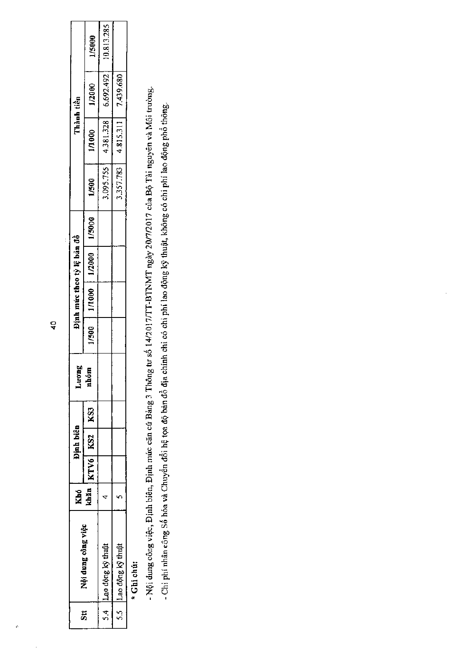|    |                       | Khó |                                  | <b>Dinh biên</b> | Juong  |                  |        | Định mức theo tỷ lệ bản đô |        |           | Thành tiến              |                     |              |
|----|-----------------------|-----|----------------------------------|------------------|--------|------------------|--------|----------------------------|--------|-----------|-------------------------|---------------------|--------------|
| 51 | Nội dung công việc    |     | $k$ hān $ $ KTV6 $ $ KS2 $ $ KS3 |                  | Ē<br>Ě | $\frac{60}{200}$ | 1/1000 | 1/2000                     | 1/5000 | 1/500     | 1/1000                  | 1/2000              | <b>U5000</b> |
|    | 5.4 Lao dộng kỹ thuật |     |                                  |                  |        |                  |        |                            |        |           | $3.095.755$   4.381.328 | 6.692.492           | 10.813.285   |
|    | 5.5 Lao động kỹ thuật |     |                                  |                  |        |                  |        |                            |        | 1,357.783 |                         | 4.815.311 7.439.680 |              |

\* Ghi chú:

- Nội dung công việc, Định biên, Định mức căn cứ Bảng 3 Thông tư số 14/2017/TT-BTNMT ngày 20/7/2017 của Bộ Tài nguyên và Môi trường. - Chi phí nhân công Số hóa và Chuyển đổi hệ tọa độ bản đồ địa chính chỉ có chi phí lao động kỹ thuật, không có chí phí lao động phổ thông.

 $\frac{1}{4}$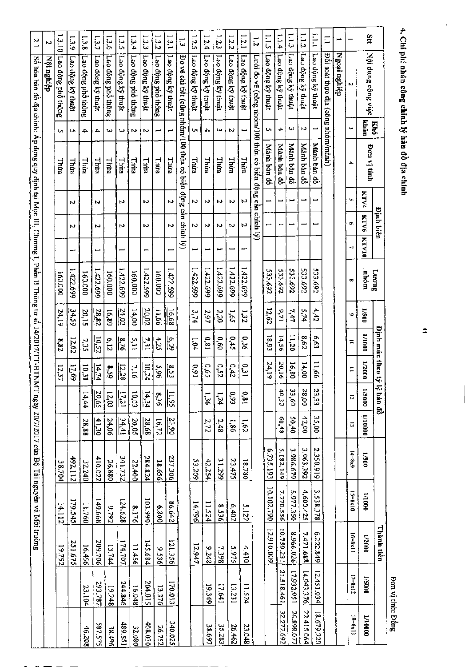| Stt            | Nội dung công việc                                                                                  | khăn<br>Khó | Don vị tính | KTV4 | <b>Dinh biên</b><br><b>KTV6</b> | <b>KTV10</b> | TuonT<br>nhóm | 005/1             | <b>Dinh múc theo tý</b><br>000L/1 | 1/2000                      |                   | 1/5000            | lệ bản đồ<br>00001/1 | 1/500   | 000 L/T            | Thành tiền<br>1/2000                               | 000S/I      |
|----------------|-----------------------------------------------------------------------------------------------------|-------------|-------------|------|---------------------------------|--------------|---------------|-------------------|-----------------------------------|-----------------------------|-------------------|-------------------|----------------------|---------|--------------------|----------------------------------------------------|-------------|
|                | N                                                                                                   | یب          | ₳           | Ü,   | ç.                              | J,           | $\bullet$     | ٠                 | ă                                 | $\equiv$                    | $\overline{5}$    | $\vec{\omega}$    | $14 = 8 \times 9$    |         | $15 - 8 \times 10$ | 16=8x11                                            | $17 = 8x12$ |
|                | Ngoai nghiệp                                                                                        |             |             |      |                                 |              |               |                   |                                   |                             |                   |                   |                      |         |                    |                                                    |             |
| E              | Dôi soat thực địa (công nhóm/manh)                                                                  |             |             |      |                                 |              |               |                   |                                   |                             |                   |                   |                      |         |                    |                                                    |             |
| 1.111          | Lao động kỹ thuật                                                                                   |             | Mành bản đồ |      |                                 |              | 533.692       | 4,42              | 6,63                              | 99'11                       | 23,33             | 35,00             | 2.358.919            |         | 3.538.378          | 6.222.849                                          | 12.451.034  |
| 1.1.2          | Lao động ký thuật                                                                                   | N           | Manh ban đồ |      | ∸                               |              | 533.692       | 5,74              | 8.62                              | 14,00                       | 00'82             | 42,00             | 3.063.392            |         | 4,600.425          | 7.471.688                                          | 14.943.376  |
| $\frac{1}{2}$  | Lao dộng ký thuật                                                                                   | c           | Mành bản đồ |      |                                 |              | 533.692       | 7,47              | 11,20                             | 16,80                       | 33,60             | 50,40             | 3.986.679            |         | 5,977.350          | 8.966.026                                          | 17.932.051  |
| 1.1.4          | Lao dộng ký thuật                                                                                   | 4           | Manh bản đồ |      |                                 |              | 533.692       | 9,71              | 14,56                             | 20,16                       | 40,32             | 84,09             | 5.182.149            |         | 7.770.556          | 10.759.231                                         | 21.518.461  |
| 1.1.5          | Lao động kỹ thuật                                                                                   | S           | Mành bản đồ |      |                                 |              | 533.692       | 12,62             | 18,93                             | 24,19                       |                   |                   | 6.735.193            |         | 10.102.790         | 12.910.009                                         |             |
| $\vec{v}$      | Lưới đo vẽ (công nhóm/100 thừa có biến động cần chinh lý)                                           |             |             |      |                                 |              |               |                   |                                   |                             |                   |                   |                      |         |                    |                                                    |             |
| 1.2.1          | Lao động kỳ thuật                                                                                   |             | Thira       | ω    | N                               | سيو          | 1,422.699     | 1,22              | ο, 36                             | ιč,                         | 18'0              | 1.62              |                      | 18.780  | 5.122              | 4.410                                              | 11.524      |
| 1.2.2          | Lao dộng kỹ thuật                                                                                   | ω           | Thua        | P.   | N                               |              | 1,422,699     | 1,65              | 0,4.5                             | 0,42                        | 0.93              | 98 <sup>1</sup>   |                      | 23.475  | 6.402              | 5275                                               | 13.231      |
| 1.2.3          | Lao động kỹ thuật                                                                                   | ω           | Thừa        | w    | N                               | مهم          | 1,422,699     | 022               | 0,60                              | 0.52                        | hzi               | 2,48              |                      | 31.299  | 8.536              | 7.398                                              | 17.641      |
| 1.2.4          | Lao động kỹ thuật                                                                                   | 4           | Thừa        | ω    | ω                               |              | 1,422,699     | 2.97              | 18'0                              | 5.65                        | <b>ون</b>         | 272               |                      | 42.254  | 11.524             | 8226                                               | 19.349      |
| 1.2.5          | Lao động kỹ thuật                                                                                   | Ç.          | Thura       | И    | n                               | L            | 1.422.699     | 3,74              | 1.04                              | 0,91                        |                   |                   |                      | 53.209  | 14.796             | 12.947                                             |             |
| $\vec{\omega}$ | Bo vẽ chi tiết (công nhóm/100 thừa có biến động cần chinh lý)                                       |             |             |      |                                 |              |               |                   |                                   |                             |                   |                   |                      |         |                    |                                                    |             |
| 1.3.1          | Lao động kỹ thuật                                                                                   |             | Thira       | Μ    | N                               |              | 1.422.699     | $\frac{16.68}{3}$ | $\frac{1}{3}$                     | $\frac{83}{3}$              | $\frac{11.95}{2}$ | 23,90             |                      | 237.306 | 86.642             | 121.356                                            | 170.013     |
| 1.32           | Lao động phổ thông                                                                                  | L           | Thua        |      |                                 |              | 000'091       | 11,66             | 4,25                              | 96'S                        | 8,36              | $16.72\,$         |                      | 18.656  | 008'9              | 9.536                                              | 13.376      |
| 1.3.3          | Lao dộng ký thuật                                                                                   | N           | Thừa        | N    | N                               | ⊢            | 1.422.699     | 20.02             | $\frac{7.31}{2}$                  | $\frac{10,24}{\frac{1}{2}}$ | $\frac{14,34}{2}$ | $\frac{28.68}{3}$ |                      | 284.824 | 103.999            | 145.684                                            | 204.015     |
| 1.3.4          | Lao động phố thông                                                                                  | w           | Thua        |      |                                 |              | 160,000       | 14,00             | 5,11                              | ρťί                         | 10,03             | 20,05             |                      | 22.400  | 8.176              | 11.456                                             | 16.048      |
| $1.3 - 5$      | Lao động ký thuật                                                                                   | ډۍ          | Thừa        | N    | w                               |              | 1,422.699     | 24.02             | हैं।<br>बाह                       | $\frac{12.28}{ }$           | $\frac{17.21}{2}$ | $\frac{34,41}{2}$ |                      | 341.732 | 124.628            | 174.707                                            | 244.846     |
| 1.3.6          | Lao động phổ thông                                                                                  | ډۍ          | <b>Thừa</b> |      |                                 |              | 000'091       | 16,80             | 6,12                              | 8.59                        | 12,03             | 24,06             |                      | 26.880  | 9.792              | 13.744                                             | 19.248      |
| 1.3.7          | Lao dộng kỹ thuật                                                                                   | ≏           | Thira       | N    | N                               | ⊷            | 1,422,699     | 28.82             | $\frac{10.52}{10}$                | $\frac{14,74}{11}$          | $rac{20,65}{2}$   | $\frac{41,30}{2}$ |                      | 410.022 | 149,668            | 209.706                                            | 293.787     |
| 1.3.8          | Lao dộng phố thông                                                                                  | ₽           | Thira       |      |                                 |              | 160.000       | 20,15             | 7.35                              | 10,31                       | 14,44             | 28,88             |                      | 32.240  |                    | 11.760<br>16,496                                   | 23.104      |
| $\frac{1}{2}$  | Lao dộng kỹ thuật                                                                                   | c           | Thira       | Μ    | N                               | ميم          | 1,422.699     | 34,59             | 12,62                             | $\frac{17.69}{11}$          |                   |                   |                      | 492.112 | 179.545            | 251.675                                            |             |
|                | 1.3.10 Lao dộng phố thông                                                                           | Ō,          | Thira       |      |                                 |              | 160.000       | 24,19             | 28'8                              | 12.37                       |                   |                   |                      | 38.704  |                    | 14.112<br>19.792                                   |             |
| N              | Nội nghiệp                                                                                          |             |             |      |                                 |              |               |                   |                                   |                             |                   |                   |                      |         |                    |                                                    |             |
| ΓZ.            | Số hóa bản đồ địa chính: Áp dụng quy định tại Mục III, Chương I, Phân II Thông tư số 14/2017/TT-BTN |             |             |      |                                 |              |               |                   |                                   |                             |                   |                   |                      |         |                    | IMT ngày 20/7/2017 cùa Bộ Tài nguyên và Môi trường |             |

4. Chi phí nhân công chỉnh lý hản đồ địa chính

ł,

 $\Delta$ 

Bon vị tính: Đồng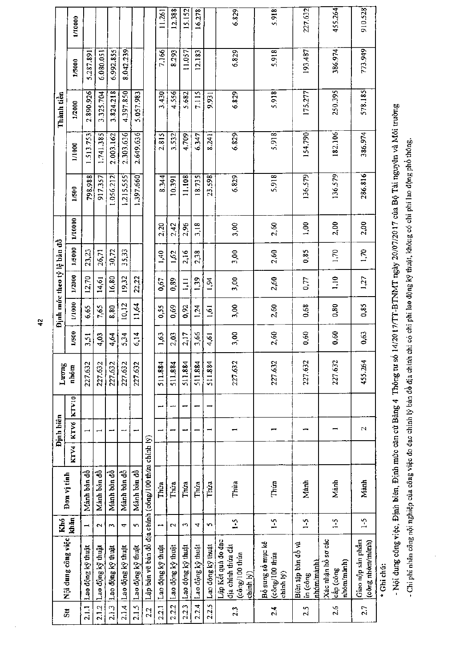|                                                             |                                                                         | Khó                      |             | Định biên                |       |               |       |        | Định mức theo tỷ lệ bản đồ |             |           |           |           | Thành tiền |           |         |
|-------------------------------------------------------------|-------------------------------------------------------------------------|--------------------------|-------------|--------------------------|-------|---------------|-------|--------|----------------------------|-------------|-----------|-----------|-----------|------------|-----------|---------|
| $\overline{\mathbf{5}}$ <sub><math>\mathbf{ii}</math></sub> | Nội dung công việc                                                      | khăn                     | Don vị tính | KTV4   KTV6              | KTV10 | Luong<br>nhóm | 1/500 | 1/1000 | 1/2000                     | 1/5000      | 1/10000   | 1/500     | 1/1000    | 1/2000     | 1/5000    | 1/10000 |
| 2.1.1                                                       | Lao động kỹ thuật                                                       | $\overline{\phantom{0}}$ | Manh bản đồ | $\overline{ }$           |       | 227.632       | 3,51  | 6,65   | 12,70                      | 23,23       |           | 798.988   | 1.513.753 | 2.890.926  | 5.287.891 |         |
| 2.1.2                                                       | Lao động kỹ thuật                                                       | $\sim$                   | Manh ban đồ | $\overline{\phantom{0}}$ |       | 227.632       | 4,03  | 7,65   | 14,61                      | 26,71       |           | 917,357   | 1.741.385 | 3.325.704  | 6.080.051 |         |
| 2.1.3                                                       | Lao động kỹ thuật                                                       | S                        | Mành bàn đồ |                          |       | 227.632       | 4,64  | 8,80   | 16,80                      | 30,72       |           | 1.056.212 | 2.003.162 | 3.824.218  | 6.992.855 |         |
| 2.1.4                                                       | iLao động kỹ thuật                                                      | ᠴ                        | Manh bàn đồ | щ,                       |       | 227.632       | 5.34  | 10,12  | 19,32                      | 35,33       |           | 1,215.555 | 2.303.636 | 4.397.850  | 8.042.239 |         |
| 2.1.5                                                       | Lao động ký thuật                                                       | y.                       | Mảnh bản đồ | ÷                        |       | 227.632       | 6,14  | 11,64  | 22.22                      |             |           | 1,397.660 | 2.649.636 | 5.057.983  |           |         |
| 22                                                          | Lập bản vẽ bản đồ địa chính (công/100 thừa chính lý)                    |                          |             |                          |       |               |       |        |                            |             |           |           |           |            |           |         |
| 2.2.1                                                       | Lao động kỹ thuật                                                       | --                       | Thúa        |                          | -4    | 511.884       | 1,63  | 0,55   | 0.67                       | 1,40        | 2,20      | 8.344     | 2.815     | 3.430      | 7.166     | 11.261  |
| 2.2.2                                                       | Lao động kỳ thuật                                                       | Z                        | Thúa        |                          |       | 511.884       | 2,03  | 0,69   | 0,89                       | 1,62        | 2,42      | 10.391    | 3.532     | 4.556      | 8.293     | 12.388  |
| 2.2.3                                                       | Lao động kỹ thuật                                                       | $\overline{\phantom{a}}$ | Thúa        |                          | ↽     | 511.884       | 2,17  | 0,92   | $\Xi$                      | 2,16        | 2,96      | 11.108    | 4.709     | 5.682      | 11.057    | 15.152  |
| 2.2.4                                                       | Lao động kỳ thuật                                                       | ₹                        | Thúa        |                          |       | 511.884       | 3,66  | 124    | 139                        | 2,38        | 3,18      | 18.735    | 6.347     | 7.115      | 12.183    | 16.278  |
| 2.2.5                                                       | Lao động kỹ thuật                                                       | ç,                       | Thúa        |                          |       | 511.884       | 4,61  | 1,61   | 1,54                       |             |           | 23.598    | 8.241     | 9.931      |           |         |
| 2.3                                                         | Lập Kết quả do đạc<br>dia chinh thừa đất<br>(công/100 thứa<br>chinh lý) | $\frac{1}{2}$            | Thua        |                          |       | 227.632       | 3,00  | 3,00   | 3,00                       | 3,00        | 3,00      | 6.829     | 6.829     | 6.829      | 6.829     | 6.829   |
| 2.4                                                         | Bồ sung số mục kê<br>(công/100 thứa<br>chinh lý)                        | $\frac{1}{2}$            | Thúa        |                          |       | 227.632       | 2,60  | 2,60   | 2,60                       | 2,60        | 2,60      | 5.918     | 5.918     | 5.918      | 5.918     | 5.918   |
| $2.5\,$                                                     | Biên tập bản đồ và<br>nhóm/mành)<br>lin (công                           | $\frac{5}{1}$            | Manh        |                          |       | 227.632       | 0,60  | 0,68   | 0,77                       | 0,85        | $00^{11}$ | 136.579   | 154.790   | 175.277    | 193,487   | 227.632 |
| 2.6                                                         | Xác nhận hồ sơ các<br>nhóm/mành)<br>cấp (công                           | $-5$                     | Manh        |                          |       | 227.632       | 0,60  | 0.80   | 1,10                       | <b>PL'1</b> | 2,00      | 136.579   | 182.106   | 250.395    | 386.974   | 455.264 |
| 2.7                                                         | Giao nộp sản phầm<br>(công nhóm/mành)                                   | $\frac{1}{2}$            | Mành        | 2                        |       | 455.264       | 0,63  | 0,85   | 1,27                       | 1,70        | 2,00      | 286.816   | 386.974   | 578.185    | 773.949   | 910.528 |

\* Ghi chú:

- Nội dung công việc, Định biên, Định mức căn cử Bảng 4 Thông tư số 14/2017/TT-BTNMT ngày 20/07/2017 của Bộ Tài nguyên và Môi trường

- Chi phí nhân công nội nghiệp của công việc đo đạc chinh lý bàn đồ địa chinh chỉ có chi phí lao động kỹ thuật, không có chi phí lao động phổ thông.

 $\overline{\mathbf{r}}$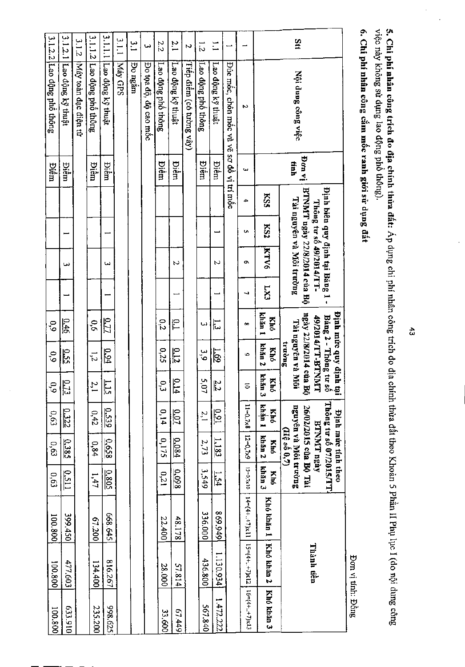|                 |                                          | bon vi      |            |     | Dinh biên quy định tại Bảng 1 -<br>BTNMT ngày 22/8/2014 của Bộ<br>Thông tursố 49/2014/TT- |     |                         | Định mức quy định<br>ngày 22/8/2014 của Bộ<br>ðinh mức quy định tại<br>Bảng 2 - Thống tư số<br>49/2014/TT-BTNNT |                               |                     | Thông tur số 07/2015/TT.<br>26/02/2015 của Bộ Tài<br><b>Dinh</b> muc tinh theo<br><b>BTNMT ngày</b> |                      |                                              | Thành tiền |            |
|-----------------|------------------------------------------|-------------|------------|-----|-------------------------------------------------------------------------------------------|-----|-------------------------|-----------------------------------------------------------------------------------------------------------------|-------------------------------|---------------------|-----------------------------------------------------------------------------------------------------|----------------------|----------------------------------------------|------------|------------|
| $\frac{5}{4}$   | Nội dung công việc                       | tinh        |            |     | Tài nguyên và Môi trường                                                                  |     |                         | Tài nguyên và Môi<br>truong                                                                                     |                               |                     | nguyên và Môi trường<br>$(H\hat{e} \, \text{so} \, 0,7)$                                            |                      |                                              |            |            |
|                 |                                          |             | <b>KSS</b> | KS2 | <b>KTV6</b>                                                                               | LX1 | khán 1<br>Khó           | kbăn 2<br>Khó                                                                                                   | khân 3<br>Khó                 | khán 1<br>Khó       | khân 2<br>Khó                                                                                       | khán 3<br>Khó        | Khó khán 1                                   | Khó khán 2 | Khó khán 3 |
|                 | ω                                        | ω           | 4          | Ų,  | Ō.                                                                                        | ┙   | ۵o                      | 6                                                                                                               | 5                             | $11 - 0.7 \times 8$ | $12 = 0,7 \times 9$                                                                                 | $13 = 0,7 \times 10$ | $14=(4+.7)x11$ $15=(4+.7)x12$ $16=(4+.7)x13$ |            |            |
|                 | Đúc mốc, chôn mốc và vẽ sơ đồ vị trí mốc |             |            |     |                                                                                           |     |                         |                                                                                                                 |                               |                     |                                                                                                     |                      |                                              |            |            |
| Ξ               | Lao dộng kỹ thuật                        | Điếm        |            |     | Ν                                                                                         |     | اب<br>سا                | <u>1.69</u>                                                                                                     | 22                            | $\frac{0.91}{2}$    | $\frac{1.183}{2}$                                                                                   | $\frac{1.54}{2}$     | 669.949                                      | 1.130.934  | 1.472.222  |
| $\frac{1}{2}$   | Lao động phổ thông                       | Điễm        |            |     |                                                                                           |     | ىيا                     | ن<br>ه'                                                                                                         | Ō,<br>Ġ                       | $\frac{2}{1}$       | 2.73                                                                                                | 3,549                | 336.000                                      | 436.800    | 567.840    |
| $\overline{v}$  | Tiếp điểm (có tường vây)                 |             |            |     |                                                                                           |     |                         |                                                                                                                 |                               |                     |                                                                                                     |                      |                                              |            |            |
| $\frac{2.1}{2}$ | Lao động kỹ thuật                        | Diễm        |            |     | Ν                                                                                         |     | ÎΌ                      | $\frac{0.12}{2}$                                                                                                | p<br>뇌                        | <u>0.07</u>         | <u>0.084</u>                                                                                        | 0.098                | 48.178                                       | 57.814     | 67.449     |
| 2.2             | Lao dộng phố thông                       | Diêm        |            |     |                                                                                           |     | 0,2                     | 0,25                                                                                                            | ؾ                             | 0,14                | 0,175                                                                                               | 0,21                 | 22.400                                       | 28.000     | 33.600     |
| ىيا             | Đo tọa độ, độ cao mốc                    |             |            |     |                                                                                           |     |                         |                                                                                                                 |                               |                     |                                                                                                     |                      |                                              |            |            |
| $\Xi$           | Po ngam                                  |             |            |     |                                                                                           |     |                         |                                                                                                                 |                               |                     |                                                                                                     |                      |                                              |            |            |
| $\frac{1}{2}$   | Máy GPS                                  |             |            |     |                                                                                           |     |                         |                                                                                                                 |                               |                     |                                                                                                     |                      |                                              |            |            |
| 1.1.1.7         | Lao dộng kỹ thuật                        | Điếm        |            |     | ω                                                                                         |     | 0.77                    | 9.94                                                                                                            | $\frac{1.15}{2}$              | 0.539               | 0.658                                                                                               | 0.805                | 668.645                                      | 816.267    | 398.625    |
|                 | 3.1.1.2 Lao dộng phố thông               | <b>Diêm</b> |            |     |                                                                                           |     | 6,6                     | $\vec{5}$                                                                                                       | $\tilde{z}$                   | 0,42                | 0,84                                                                                                | 1,47                 | 67.200                                       | 134,400    | 235.200    |
| 3.1.2           | Máy toàn đạc điện tử                     |             |            |     |                                                                                           |     |                         |                                                                                                                 |                               |                     |                                                                                                     |                      |                                              |            |            |
| 1.2.1           | Lao dộng kỹ thuật                        | Điểm        |            |     | نسا                                                                                       |     | 0.46                    | <u>0.55</u>                                                                                                     | $\overline{C}$<br>E           | 0.322               | 0.385                                                                                               | <u>0.511</u>         | 399.450                                      | 477.603    | 016'E59    |
|                 | 3.1.2.2 Lao dộng phố thông               | <b>Diêm</b> |            |     |                                                                                           |     | $\mathcal{C}^{\bullet}$ | $\frac{0}{2}$                                                                                                   | $\mathfrak{s}^{\mathfrak{d}}$ | 6,63                | 0,63                                                                                                | 0,63                 | 100.800                                      | 008'001    | 100.800    |
|                 |                                          |             |            |     |                                                                                           |     |                         |                                                                                                                 |                               |                     |                                                                                                     |                      |                                              |            |            |

5. Chi phí nhân công trích đo địa chính thừa đất: Áp dụng chi phí nhân công trích đo địa chính thừa đất theo Khoàn 5 Phần II Phụ lục I (do nội dung công<br>việc này không sử dụng lao động phổ thông).

6. Chi phí nhân công cắm mốc ranh giới sử dụng đất

Don vị tính: Đồng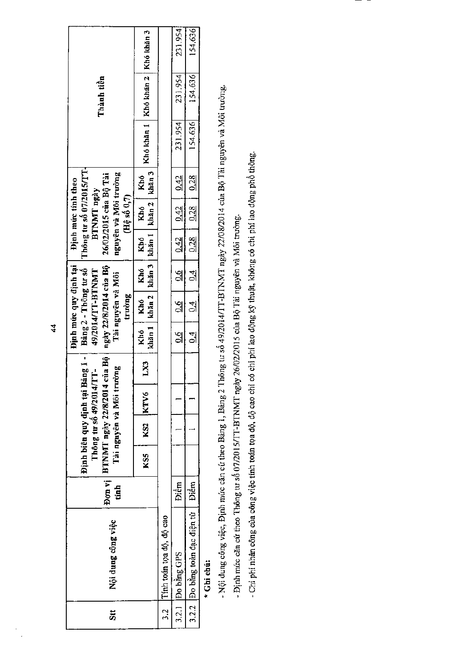| $\frac{1}{5}$ | Nội dung công việc             | tanh        | Bon vị   BTNMT ngày 22/8/2014 của Bộ | Tài nguyên và Môi trường<br>Thông tư số 49/2014/TT- | Dinh biên quy dinh tại Bảng 1 - |          | Định mức quy định tại  <br>ngày 22/8/2014 của Bộ<br>Bang 2 - Thông tư số<br>49/2014/TT-BTNMT<br>Tai nguyên và Môi<br>trường |                                                                                |      | Thông tư số 07/2015/TT-<br>nguyên và Môi trường<br>26/02/2015 của Bộ Tài<br>Dinh mire tinh theo<br>BTNMT ngày<br>(Hệ số 0,7) |         | Thành tiền                           |         |
|---------------|--------------------------------|-------------|--------------------------------------|-----------------------------------------------------|---------------------------------|----------|-----------------------------------------------------------------------------------------------------------------------------|--------------------------------------------------------------------------------|------|------------------------------------------------------------------------------------------------------------------------------|---------|--------------------------------------|---------|
|               |                                |             | KS5                                  | KS2 KTV6                                            | LX3                             |          |                                                                                                                             | khăn 1   khăn 2   khăn 3   khăn 1   khăn 2   khăn 3  <br>Khó   Khó   Khó   Khó |      | Khó   Khó                                                                                                                    |         | Khó khăn I   Khó khăn 2   Khó khăn 3 |         |
| ი<br>ო        | Tính toán toa dộ, dộ cao       |             |                                      |                                                     |                                 |          |                                                                                                                             |                                                                                |      |                                                                                                                              |         |                                      |         |
|               | 3.2.1 Do bằng GPS              | <b>Biềm</b> |                                      |                                                     |                                 | ।<br>जु  | $1 - 0.6 - 1$                                                                                                               | $\frac{0.6}{0.42}$   $\frac{0.42}{0.42}$   $\frac{0.42}{0.42}$                 |      |                                                                                                                              | 231.954 | 231.954                              | 231.954 |
|               | 3.2.2 Do bằng toàn đạc điện từ | Điểm        |                                      |                                                     |                                 | <u>식</u> | $\frac{1}{2}$                                                                                                               | $-1.6$                                                                         | 0.28 | $0.28$   $0.28$                                                                                                              | 154.636 | 154.636                              | 154,636 |

\* Ghi chú:

- Nội dung công việc, Định mức căn cứ theo Bảng 1, Bảng 2 Thông tư số 49/2014/TT-BTNMT ngày 22/08/2014 của Bộ Tài nguyên và Môi trường.

- Định mức căn cứ theo Thông tư số 07/2015/IT-BTNMT ngày 26/02/2015 của Bộ Tài nguyên và Môi trường.

- Chi phí nhân công của công việc tính toán tọa độ, độ cao chi có chi phí lao động kỹ thuật, không có chi phí lao động phổ thông.

 $\frac{4}{3}$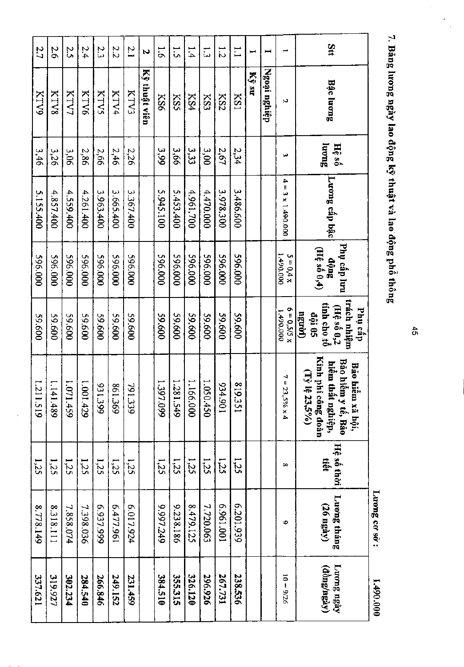$\ddot{\phantom{a}}$ 

7. Bầng lương ngày lao động kỹ thuật và lao động phố thông

Luong co so:  $1.490.0000$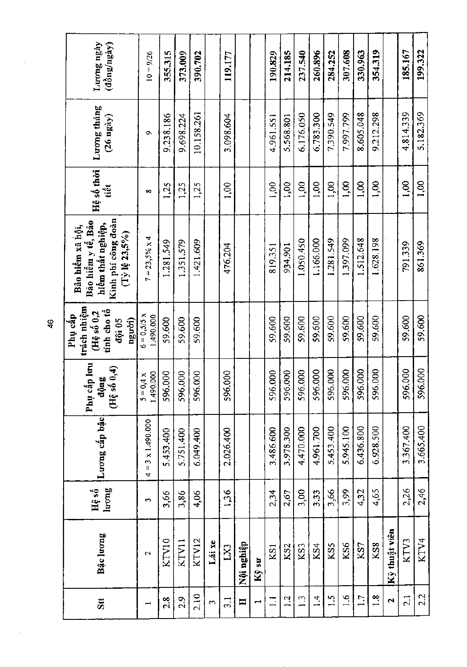| Luong ngày<br>(dong/ngay)                                                                             | $10 = 9/26$                              | 355.315   | 373,009   | 390.702    |              | 119.177      |                      |       | 190.829      | 214.185         | 237.540      | 260.896         | 284.252    | 307.608   | 330.963   | 354.319       |                      | 185.167         | 199,322   |
|-------------------------------------------------------------------------------------------------------|------------------------------------------|-----------|-----------|------------|--------------|--------------|----------------------|-------|--------------|-----------------|--------------|-----------------|------------|-----------|-----------|---------------|----------------------|-----------------|-----------|
| Luong tháng<br>$(26 \text{ ngay})$                                                                    | c                                        | 9.238.186 | 9.698.224 | 10.158.261 |              | 3.098.604    |                      |       | 4.961.551    | 5.568.801       | 6.176.050    | 6.783.300       | 7.390.549  | 7.997.799 | 8.605.048 | 9.212.298     |                      | 4.814.339       | 5.182.369 |
| Hệ số thời<br>tiết                                                                                    | 8                                        | 1,25      | 1,25      | 1,25       |              | 1,00         |                      |       | 1,00         | 00,1            | 1,00         | 00 <sub>1</sub> | 1,00       | 1,00      | 5,00      | $\frac{8}{1}$ |                      | 00 <sub>1</sub> | 1,00      |
| Kinh phí công đoàn<br>Bão hiếm y tế, Bão<br>hiềm thất nghiệp,<br>Bảo hiểm xã hội,<br>$(Ty)$ lệ 23,5%) | $7 = 23,5% x4$                           | 1.281.549 | 1.351.579 | 1.421.609  |              | 476.204      |                      |       | 819,351      | 934.901         | 1.050.450    | 1.166.000       | 1.281.549  | 1.397.099 | 1.512.648 | 1.628.198     |                      | 791.339         | 861.369   |
| trách nhiệm<br>tinh cho tổ<br>$(H\hat{\epsilon} s\hat{\delta} 0,2$<br>Phụ cấp<br>ngu'oi)<br>đội 05    | $6 = 0,5/5 x$<br>1,490.000               | 59.600    | 59.600    | 59.600     |              |              |                      |       | 59.600       | 59.600          | 59,600       | 59.600          | 59,600     | 59.600    | 59.600    | 59.600        |                      | 59,600          | 59,600    |
| Phụ cấp lưu<br>(Hệ số 0,4)<br>dộng                                                                    | 1,490.000<br>$5 = 0,4 x$                 | 596.000   | 596.000   | 596.000    |              | 596.000      |                      |       | 5,000<br>596 | 596.000         | 596.000      | 596.000         | 596.000    | 596.000   | 596.000   | 596.000       |                      | 596.000         | 596.000   |
| Luong cấp bậc                                                                                         | $= 3 \times 1.490.000$<br>$\overline{a}$ | 5.453.400 | 5.751.400 | 6.049.400  |              | 2.026.400    |                      |       | 3.486.600    | 3.978.300       | 4.470.000    | 4.961.700       | 5.453.400  | 5.945.100 | 6.436.800 | 6,928.500     |                      | 3.367.400       | 3.665.400 |
| luong<br>Hệ số                                                                                        | S                                        | 3,66      | 3,86      | 4,06       |              | 1,36         |                      |       | 2,34         | 2,67            | 3,00         | 3,33            | 3,66       | 3,99      | 4,32      | 4,65          |                      | 2,26            | 2,46      |
| Bậc lương                                                                                             | $\mathbf{\tilde{c}}$                     | KTV10     | KTV11     | KTV12      | Lái xe       | $\mathbf{Z}$ | dậingu ng.<br>Nội ng | Kÿ sư | KS1          | KS <sub>2</sub> | KS3          | KS4             | KS5        | KS6       | KS7       | KS8           | Kỹ thuật viên        | KTV3            | KTV4      |
| Stt                                                                                                   |                                          | 2.8       | 2.9       | 2.10       | $\mathbf{c}$ | $\ddot{3}$   | $\blacksquare$       |       | $\Box$       | 1.2             | $\mathbf{L}$ | $\frac{4}{1}$   | $\ddot{1}$ | 1.6       | 1.7       | 1.8           | $\ddot{\phantom{1}}$ | 2.1             | 2.2       |

 $\frac{6}{4}$ 

J,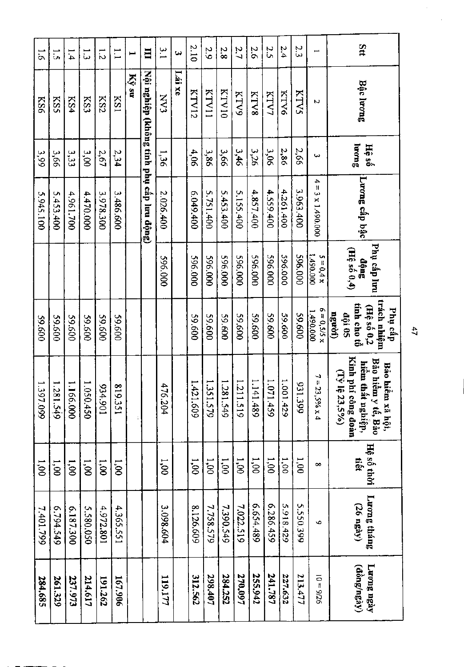| Stt                      | Bậc lương                                | Juong<br>Hệ số  | Lương cấp bậc            | Phụ cấp lưu<br>$\hat{\mathfrak{ang}}$ $\hat{\mathfrak{g}}$ ang | trách nhiệm<br>tính cho tổ<br>$(H\hat{e} s\hat{0} 0,2$<br>Phụ cấp<br>ngwời)<br><b>dội 05</b> | Kinh phí<br>Bảo hiểm y tế, Bảo<br>hiểm thất nghiệp,<br>Bảo hiếm xã hội,<br>(Ty)<br>$33,5\%$<br>công đoàn |                | Hệ số thời<br>tiết | Luong tháng<br>(26 ngày) |
|--------------------------|------------------------------------------|-----------------|--------------------------|----------------------------------------------------------------|----------------------------------------------------------------------------------------------|----------------------------------------------------------------------------------------------------------|----------------|--------------------|--------------------------|
| $\overline{\phantom{0}}$ | N                                        | دیا             | $4 = 3 \times 1.490.000$ | 000'067'1<br>$5 = 0.4 x$                                       | $6 = 0, 5/5 x$<br>1.490.000                                                                  | $7 = 23,596 \times 4$                                                                                    | $\infty$       | Ğ.                 |                          |
| 2.3                      | KTVS                                     | 2,66            | 3.963.400                | 000'965                                                        | 009'65                                                                                       | S,<br>11.399                                                                                             | 1.001          | 5.550.399          |                          |
| 2.4                      | KTV6                                     | 2,86            | 4,261,400                | 296.000                                                        | 009'65                                                                                       | 1,001,429                                                                                                | 1,000          | 5.918.429          |                          |
| 2.5                      | KTV7                                     | 30 <sup>2</sup> | 4.559.400                | 596.000                                                        | 009'65                                                                                       | 1.071.459                                                                                                | $00^{\prime}1$ | 6.286.459          |                          |
| 2.6                      | <b>KTV8</b>                              | 326             | 4.857.400                | 000'965                                                        | 009'65                                                                                       | 1.141.489                                                                                                | 1,000          | 6.654,489          |                          |
| 2.7                      | <b>KTV9</b>                              | 3,46            | 5.155.400                | 000'965                                                        | 009'65                                                                                       | 1.211.519                                                                                                | 1,00           | 7.022.519          |                          |
| 2.8                      | <b>RTV10</b>                             | 3,66            | 5.453.400                | 000'965                                                        | 009'65                                                                                       | 1.281.549                                                                                                | 00'1           | 7.390.549          |                          |
| 2.9                      | KTV11                                    | 3,86            | 5.751.400                | 000'965                                                        | 009'65                                                                                       | 1.351.579                                                                                                | 1,00           | 7.758.579          |                          |
| 2.10                     | KIV12                                    | 4,06            | 007649.400               | 000.000                                                        | 009'65                                                                                       | 1.421.609                                                                                                | 00'1           | 8.126.609          |                          |
| ىي                       | Lái xe                                   |                 |                          |                                                                |                                                                                              |                                                                                                          |                |                    |                          |
| یا<br>سا                 | $\sum_{i=1}^{n}$                         | 1,36            | 2.026.400                | 596,000                                                        |                                                                                              | 476.204                                                                                                  | 1,000          | 3.098.604          |                          |
| 目                        | Nội nghiệp (không tính phụ cấp lưu động) |                 |                          |                                                                |                                                                                              |                                                                                                          |                |                    |                          |
| $\blacksquare$           | Ký su                                    |                 |                          |                                                                |                                                                                              |                                                                                                          |                |                    |                          |
| $\Xi$                    | <b>KS1</b>                               | 2,34            | 3.486.600                |                                                                | 009'65                                                                                       | ≌<br>19.351                                                                                              | 00'1           | 4.365.551          |                          |
| 1.2                      | KS2                                      | 2,67            | 3.978.300                |                                                                | 009'65                                                                                       | 106'+56                                                                                                  | 1,00           | 4.972.801          |                          |
| $\vec{u}$                | KS3                                      | 3,00            | 4.470.000                |                                                                | 009'65                                                                                       | 1.050.450                                                                                                | 00'1           | 5.580.050          |                          |
| 1.4                      | KS4                                      | 3,3             | 4.961.700                |                                                                | 009'65                                                                                       | 1.166.000                                                                                                | 00'1           | 6.187.300          |                          |
| $\vec{5}$                | <b>KSS</b>                               | 3,66            | 5.453.400                |                                                                | 009'65                                                                                       | 1.281.549                                                                                                | 1,00           | 6.794.549          |                          |
| $\overline{5}$           | KS6                                      | 3,99            | 5.945.100                |                                                                | 009'65                                                                                       | 1.397.099                                                                                                | 1,000          | 7.401.799          |                          |
|                          |                                          |                 |                          |                                                                |                                                                                              |                                                                                                          |                |                    |                          |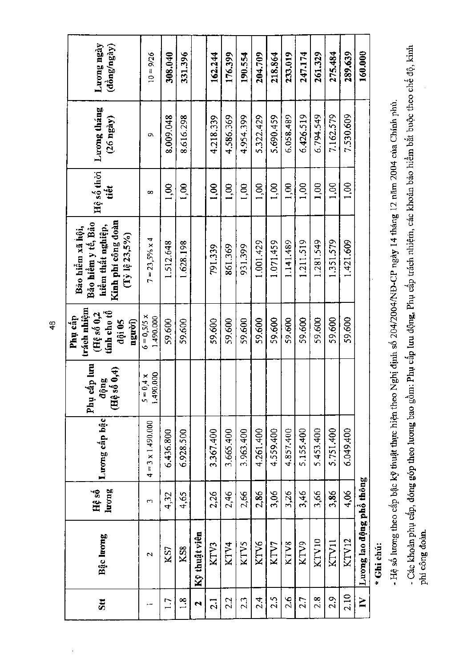| Luong ngày<br>(dong/ngay)                                                                             | $10 = 9/26$                | 308.040         | 331,396        |                    | 162.244         | 176,399   | 190.554   | 204.709         | 218.864   | 233,019   | 247.174   | 261.329   | 275.484   | 289,639   | 160.000                  |
|-------------------------------------------------------------------------------------------------------|----------------------------|-----------------|----------------|--------------------|-----------------|-----------|-----------|-----------------|-----------|-----------|-----------|-----------|-----------|-----------|--------------------------|
| Luong tháng<br>$(26 \text{ ngay})$                                                                    | ο                          | 8.009.048       | 8.616.298      |                    | 4.218.339       | 4.586.369 | 4.954.399 | 5.322.429       | 5.690.459 | 6.058.489 | 6.426.519 | 6.794.549 | 7.162.579 | 7.530.609 |                          |
| Hệ số thời<br>tiêt                                                                                    | ∞                          | 1,00            | 1,00           |                    | 1,00            | 1,00      | 1,00      | 00 <sub>1</sub> | 1,00      | 1,00      | 1,00      | 1,00      | 1,00      | 1,00      |                          |
| Kinh phí công đoàn<br>Bảo hiểm y tế, Bảo<br>hiềm thất nghiệp,<br>Bảo hiểm xã hội,<br>$(Ty 16 23,5\%)$ | $7 = 23,5\% \times 4$      | 1.512.648       | 1.628.198      |                    | 791.339         | 861.369   | 931.399   | 1.001.429       | 1.071.459 | 1.141.489 | 1.211.519 | 1.281.549 | 1.351.579 | 1.421.609 |                          |
| trách nhiệm<br>tính cho tổ<br>$($ Hệ số $0,2$<br>Phụ cấp<br>nguvi)<br>đội 05                          | $6 = 0.5/5 x$<br>1.490.000 | 59.600          | 59,600         |                    | 59,600          | 59,600    | 59,600    | 59,600          | 59,600    | 59,600    | 59.600    | 59,600    | 59.600    | 59,600    |                          |
| ip lim<br>$\widehat{\mathbf{e}}$<br>động<br>Phụ cá<br>$\overline{AB}$ so                              | $5 = 0,4 x$<br>1.490.000   |                 |                |                    |                 |           |           |                 |           |           |           |           |           |           |                          |
| Luong cấp bậc                                                                                         | $4 = 3 \times 1.490.000$   | 6.436.800       | 6.928.500      |                    | 3.367.400       | 3.665.400 | 3.963.400 | 4.261.400       | 4.559.400 | 4.857.400 | 5,155,400 | 5.453.400 | 5.751.400 | 6.049.400 |                          |
| luong<br>Hệ số                                                                                        | س                          | 4,32            | 4,65           |                    | 2,26            | 2,46      | 2,66      | 2,86            | 3,06      | 3,26      | 3,46      | 3,66      | 3,86      | 4,06      |                          |
| Bậc lương                                                                                             | $\overline{\mathbf{c}}$    | KS7             | KSS            | Kỹ thuật viên      | KTV3            | KTV4      | KTV5      | KTV6            | KTV7      | KTV8      | KTV9      | KTV10     | KTV11     | KTV12     | Luong lao dộng phổ thông |
| 5 <sub>tt</sub>                                                                                       |                            | $\overline{17}$ | $\frac{8}{11}$ | $\mathbf{\hat{z}}$ | $\overline{21}$ | 22        | 2.3       | 2.4             | 2.5       | 2.6       | 2.7       | 2.8       | 2.9       | 2.10      | $\mathbf{N}$             |

- Hệ số lương theo cấp bậc kỹ thuật thực hiện theo Nghị định số 204/2004/NĐ-CP ngày 14 tháng 12 năm 2004 của Chính phủ.

\* Ghi chú:

- Các khoản phụ cấp, đóng góp theo lương bao gồm: Phụ cấp lưu động, Phụ cấp trách nhiệm, các khoản bảo hiểm bắt buộc theo chế độ, kinh phí công đoàn.

 $\frac{48}{5}$